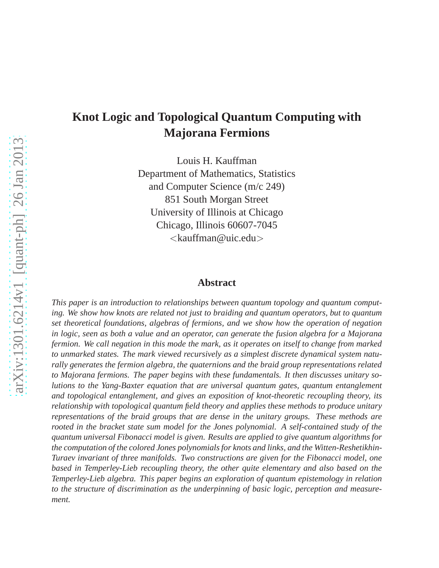# **Knot Logic and Topological Quantum Computing with Majorana Fermions**

Louis H. Kauffman Department of Mathematics, Statistics and Computer Science (m/c 249) 851 South Morgan Street University of Illinois at Chicago Chicago, Illinois 60607-7045 <kauffman@uic.edu>

### **Abstract**

*This paper is an introduction to relationships between quantum topology and quantum computing. We show how knots are related not just to braiding and quantum operators, but to quantum set theoretical foundations, algebras of fermions, and we show how the operation of negation in logic, seen as both a value and an operator, can generate the fusion algebra for a Majorana fermion. We call negation in this mode the mark, as it operates on itself to change from marked to unmarked states. The mark viewed recursively as a simplest discrete dynamical system naturally generates the fermion algebra, the quaternions and the braid group representations related to Majorana fermions. The paper begins with these fundamentals. It then discusses unitary solutions to the Yang-Baxter equation that are universal quantum gates, quantum entanglement and topological entanglement, and gives an exposition of knot-theoretic recoupling theory, its relationship with topological quantum field theory and applies these methods to produce unitary representations of the braid groups that are dense in the unitary groups. These methods are rooted in the bracket state sum model for the Jones polynomial. A self-contained study of the quantum universal Fibonacci model is given. Results are applied to give quantum algorithms for the computation of the colored Jones polynomials for knots and links, and the Witten-Reshetikhin-Turaev invariant of three manifolds. Two constructions are given for the Fibonacci model, one based in Temperley-Lieb recoupling theory, the other quite elementary and also based on the Temperley-Lieb algebra. This paper begins an exploration of quantum epistemology in relation to the structure of discrimination as the underpinning of basic logic, perception and measurement.*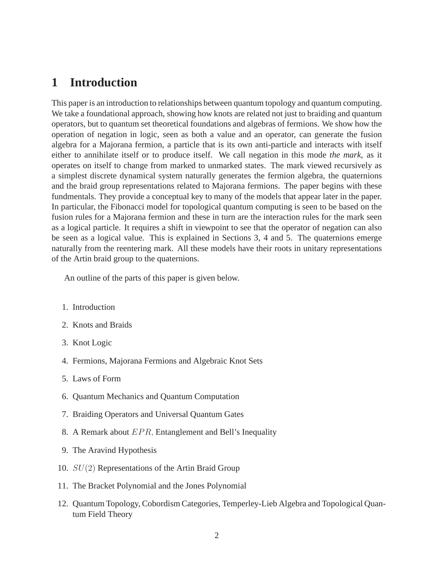# **1 Introduction**

This paper is an introduction to relationships between quantum topology and quantum computing. We take a foundational approach, showing how knots are related not just to braiding and quantum operators, but to quantum set theoretical foundations and algebras of fermions. We show how the operation of negation in logic, seen as both a value and an operator, can generate the fusion algebra for a Majorana fermion, a particle that is its own anti-particle and interacts with itself either to annihilate itself or to produce itself. We call negation in this mode *the mark*, as it operates on itself to change from marked to unmarked states. The mark viewed recursively as a simplest discrete dynamical system naturally generates the fermion algebra, the quaternions and the braid group representations related to Majorana fermions. The paper begins with these fundmentals. They provide a conceptual key to many of the models that appear later in the paper. In particular, the Fibonacci model for topological quantum computing is seen to be based on the fusion rules for a Majorana fermion and these in turn are the interaction rules for the mark seen as a logical particle. It requires a shift in viewpoint to see that the operator of negation can also be seen as a logical value. This is explained in Sections 3, 4 and 5. The quaternions emerge naturally from the reentering mark. All these models have their roots in unitary representations of the Artin braid group to the quaternions.

An outline of the parts of this paper is given below.

- 1. Introduction
- 2. Knots and Braids
- 3. Knot Logic
- 4. Fermions, Majorana Fermions and Algebraic Knot Sets
- 5. Laws of Form
- 6. Quantum Mechanics and Quantum Computation
- 7. Braiding Operators and Universal Quantum Gates
- 8. A Remark about  $EPR$ , Entanglement and Bell's Inequality
- 9. The Aravind Hypothesis
- 10.  $SU(2)$  Representations of the Artin Braid Group
- 11. The Bracket Polynomial and the Jones Polynomial
- 12. Quantum Topology, Cobordism Categories, Temperley-Lieb Algebra and Topological Quantum Field Theory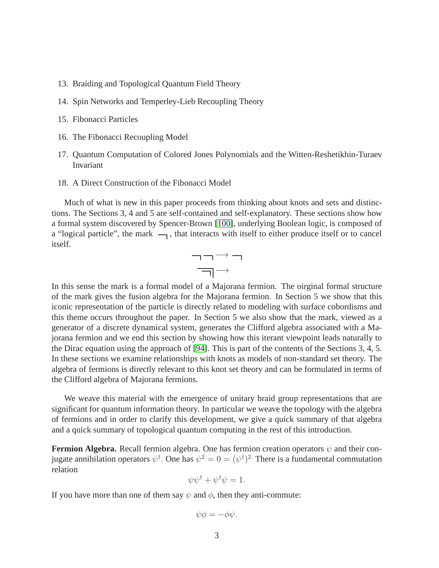- 13. Braiding and Topological Quantum Field Theory
- 14. Spin Networks and Temperley-Lieb Recoupling Theory
- 15. Fibonacci Particles
- 16. The Fibonacci Recoupling Model
- 17. Quantum Computation of Colored Jones Polynomials and the Witten-Reshetikhin-Turaev Invariant
- 18. A Direct Construction of the Fibonacci Model

Much of what is new in this paper proceeds from thinking about knots and sets and distinctions. The Sections 3, 4 and 5 are self-contained and self-explanatory. These sections show how a formal system discovered by Spencer-Brown [\[100\]](#page-122-0), underlying Boolean logic, is composed of a "logical particle", the mark  $\overline{\phantom{a}}$ , that interacts with itself to either produce itself or to cancel itself.



In this sense the mark is a formal model of a Majorana fermion. The oirginal formal structure of the mark gives the fusion algebra for the Majorana fermion. In Section 5 we show that this iconic representation of the particle is directly related to modeling with surface cobordisms and this theme occurs throughout the paper. In Section 5 we also show that the mark, viewed as a generator of a discrete dynamical system, generates the Clifford algebra associated with a Majorana fermion and we end this section by showing how this iterant viewpoint leads naturally to the Dirac equation using the approach of [\[94\]](#page-122-1). This is part of the contents of the Sections 3, 4, 5. In these sections we examine relationships with knots as models of non-standard set theory. The algebra of fermions is directly relevant to this knot set theory and can be formulated in terms of the Clifford algebra of Majorana fermions.

We weave this material with the emergence of unitary braid group representations that are significant for quantum information theory. In particular we weave the topology with the algebra of fermions and in order to clarify this development, we give a quick summary of that algebra and a quick summary of topological quantum computing in the rest of this introduction.

**Fermion Algebra.** Recall fermion algebra. One has fermion creation operators  $\psi$  and their conjugate annihilation operators  $\psi^{\dagger}$ . One has  $\psi^2 = 0 = (\psi^{\dagger})^2$  There is a fundamental commutation relation

$$
\psi \psi^{\dagger} + \psi^{\dagger} \psi = 1.
$$

If you have more than one of them say  $\psi$  and  $\phi$ , then they anti-commute:

$$
\psi\phi=-\phi\psi.
$$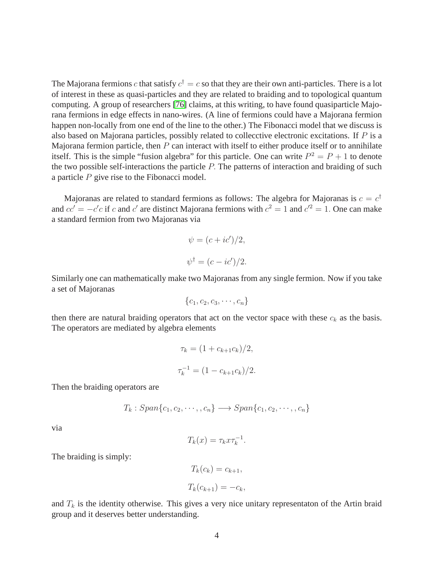The Majorana fermions  $c$  that satisfy  $c^\dagger = c$  so that they are their own anti-particles. There is a lot of interest in these as quasi-particles and they are related to braiding and to topological quantum computing. A group of researchers [\[76\]](#page-121-0) claims, at this writing, to have found quasiparticle Majorana fermions in edge effects in nano-wires. (A line of fermions could have a Majorana fermion happen non-locally from one end of the line to the other.) The Fibonacci model that we discuss is also based on Majorana particles, possibly related to collecctive electronic excitations. If P is a Majorana fermion particle, then  $P$  can interact with itself to either produce itself or to annihilate itself. This is the simple "fusion algebra" for this particle. One can write  $P^2 = P + 1$  to denote the two possible self-interactions the particle  $P$ . The patterns of interaction and braiding of such a particle  $P$  give rise to the Fibonacci model.

Majoranas are related to standard fermions as follows: The algebra for Majoranas is  $c = c^{\dagger}$ and  $cc' = -c'c$  if c and c' are distinct Majorana fermions with  $c^2 = 1$  and  $c'^2 = 1$ . One can make a standard fermion from two Majoranas via

$$
\psi = (c + ic')/2,
$$
  

$$
\psi^{\dagger} = (c - ic')/2.
$$

Similarly one can mathematically make two Majoranas from any single fermion. Now if you take a set of Majoranas

$$
\{c_1,c_2,c_3,\cdots,c_n\}
$$

then there are natural braiding operators that act on the vector space with these  $c_k$  as the basis. The operators are mediated by algebra elements

$$
\tau_k = (1 + c_{k+1}c_k)/2,
$$
  

$$
\tau_k^{-1} = (1 - c_{k+1}c_k)/2.
$$

Then the braiding operators are

$$
T_k: Span{c_1, c_2, \cdots, c_n} \longrightarrow Span{c_1, c_2, \cdots, c_n}
$$

via

$$
T_k(x) = \tau_k x \tau_k^{-1}.
$$

The braiding is simply:

$$
T_k(c_k) = c_{k+1},
$$
  

$$
T_k(c_{k+1}) = -c_k,
$$

and  $T_k$  is the identity otherwise. This gives a very nice unitary representaton of the Artin braid group and it deserves better understanding.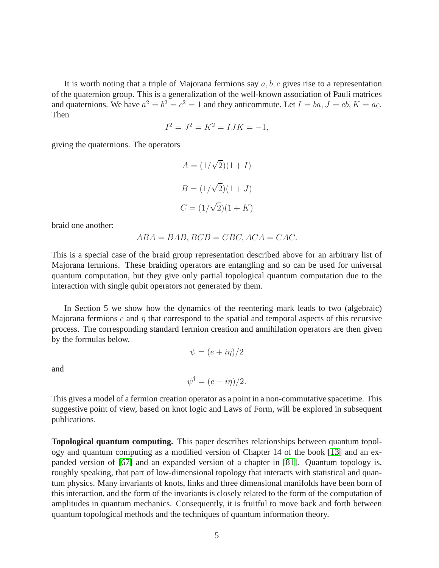It is worth noting that a triple of Majorana fermions say  $a, b, c$  gives rise to a representation of the quaternion group. This is a generalization of the well-known association of Pauli matrices and quaternions. We have  $a^2 = b^2 = c^2 = 1$  and they anticommute. Let  $I = ba, J = cb, K = ac$ . Then

$$
I^2 = J^2 = K^2 = IJK = -1,
$$

giving the quaternions. The operators

$$
A = (1/\sqrt{2})(1+I)
$$

$$
B = (1/\sqrt{2})(1+J)
$$

$$
C = (1/\sqrt{2})(1+K)
$$

braid one another:

$$
ABA = BAB, BCB = CBC, ACA = CAC.
$$

This is a special case of the braid group representation described above for an arbitrary list of Majorana fermions. These braiding operators are entangling and so can be used for universal quantum computation, but they give only partial topological quantum computation due to the interaction with single qubit operators not generated by them.

In Section 5 we show how the dynamics of the reentering mark leads to two (algebraic) Majorana fermions  $e$  and  $\eta$  that correspond to the spatial and temporal aspects of this recursive process. The corresponding standard fermion creation and annihilation operators are then given by the formulas below.

and

$$
\psi = (e + i\eta)/2
$$

$$
\psi^{\dagger} = (e - i\eta)/2.
$$

This gives a model of a fermion creation operator as a point in a non-commutative spacetime. This suggestive point of view, based on knot logic and Laws of Form, will be explored in subsequent publications.

**Topological quantum computing.** This paper describes relationships between quantum topology and quantum computing as a modified version of Chapter 14 of the book [\[13\]](#page-117-0) and an expanded version of [\[67\]](#page-120-0) and an expanded version of a chapter in [\[81\]](#page-121-1). Quantum topology is, roughly speaking, that part of low-dimensional topology that interacts with statistical and quantum physics. Many invariants of knots, links and three dimensional manifolds have been born of this interaction, and the form of the invariants is closely related to the form of the computation of amplitudes in quantum mechanics. Consequently, it is fruitful to move back and forth between quantum topological methods and the techniques of quantum information theory.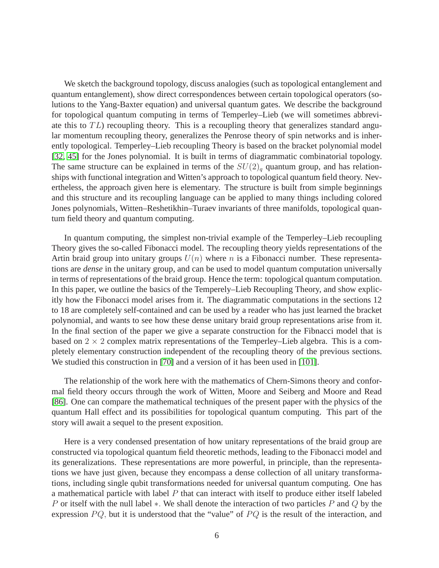We sketch the background topology, discuss analogies (such as topological entanglement and quantum entanglement), show direct correspondences between certain topological operators (solutions to the Yang-Baxter equation) and universal quantum gates. We describe the background for topological quantum computing in terms of Temperley–Lieb (we will sometimes abbreviate this to  $TL$ ) recoupling theory. This is a recoupling theory that generalizes standard angular momentum recoupling theory, generalizes the Penrose theory of spin networks and is inherently topological. Temperley–Lieb recoupling Theory is based on the bracket polynomial model [\[32,](#page-118-0) [45\]](#page-119-0) for the Jones polynomial. It is built in terms of diagrammatic combinatorial topology. The same structure can be explained in terms of the  $SU(2)_{q}$  quantum group, and has relationships with functional integration and Witten's approach to topological quantum field theory. Nevertheless, the approach given here is elementary. The structure is built from simple beginnings and this structure and its recoupling language can be applied to many things including colored Jones polynomials, Witten–Reshetikhin–Turaev invariants of three manifolds, topological quantum field theory and quantum computing.

In quantum computing, the simplest non-trivial example of the Temperley–Lieb recoupling Theory gives the so-called Fibonacci model. The recoupling theory yields representations of the Artin braid group into unitary groups  $U(n)$  where n is a Fibonacci number. These representations are *dense* in the unitary group, and can be used to model quantum computation universally in terms of representations of the braid group. Hence the term: topological quantum computation. In this paper, we outline the basics of the Temperely–Lieb Recoupling Theory, and show explicitly how the Fibonacci model arises from it. The diagrammatic computations in the sections 12 to 18 are completely self-contained and can be used by a reader who has just learned the bracket polynomial, and wants to see how these dense unitary braid group representations arise from it. In the final section of the paper we give a separate construction for the Fibnacci model that is based on  $2 \times 2$  complex matrix representations of the Temperley–Lieb algebra. This is a completely elementary construction independent of the recoupling theory of the previous sections. We studied this construction in [\[70\]](#page-120-1) and a version of it has been used in [\[101\]](#page-122-2).

The relationship of the work here with the mathematics of Chern-Simons theory and conformal field theory occurs through the work of Witten, Moore and Seiberg and Moore and Read [\[86\]](#page-122-3). One can compare the mathematical techniques of the present paper with the physics of the quantum Hall effect and its possibilities for topological quantum computing. This part of the story will await a sequel to the present exposition.

Here is a very condensed presentation of how unitary representations of the braid group are constructed via topological quantum field theoretic methods, leading to the Fibonacci model and its generalizations. These representations are more powerful, in principle, than the representations we have just given, because they encompass a dense collection of all unitary transformations, including single qubit transformations needed for universal quantum computing. One has a mathematical particle with label  $P$  that can interact with itself to produce either itself labeled P or itself with the null label  $*$ . We shall denote the interaction of two particles P and Q by the expression  $PQ$ , but it is understood that the "value" of  $PQ$  is the result of the interaction, and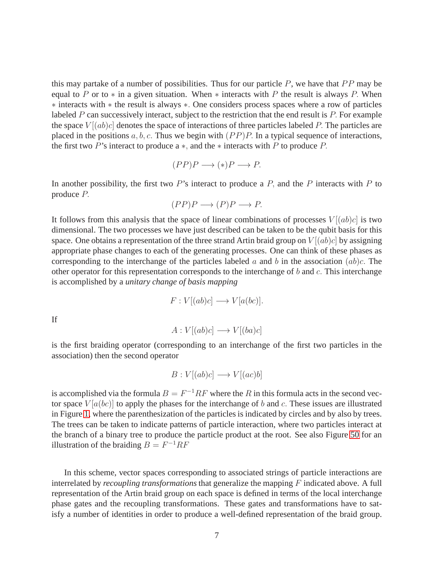this may partake of a number of possibilities. Thus for our particle  $P$ , we have that  $PP$  may be equal to P or to  $*$  in a given situation. When  $*$  interacts with P the result is always P. When ∗ interacts with ∗ the result is always ∗. One considers process spaces where a row of particles labeled  $P$  can successively interact, subject to the restriction that the end result is  $P$ . For example the space  $V[(ab)c]$  denotes the space of interactions of three particles labeled P. The particles are placed in the positions a, b, c. Thus we begin with  $(PP)P$ . In a typical sequence of interactions, the first two P's interact to produce a  $*$ , and the  $*$  interacts with P to produce P.

$$
(PP)P \longrightarrow (*)P \longrightarrow P.
$$

In another possibility, the first two  $P$ 's interact to produce a  $P$ , and the  $P$  interacts with  $P$  to produce P.

$$
(PP)P \longrightarrow (P)P \longrightarrow P.
$$

It follows from this analysis that the space of linear combinations of processes  $V[(ab)c]$  is two dimensional. The two processes we have just described can be taken to be the qubit basis for this space. One obtains a representation of the three strand Artin braid group on  $V[(ab)c]$  by assigning appropriate phase changes to each of the generating processes. One can think of these phases as corresponding to the interchange of the particles labeled a and b in the association  $(ab)c$ . The other operator for this representation corresponds to the interchange of  $b$  and  $c$ . This interchange is accomplished by a *unitary change of basis mapping*

$$
F: V[(ab)c] \longrightarrow V[a(bc)].
$$

If

$$
A: V[(ab)c] \longrightarrow V[(ba)c]
$$

is the first braiding operator (corresponding to an interchange of the first two particles in the association) then the second operator

$$
B: V[(ab)c] \longrightarrow V[(ac)b]
$$

is accomplished via the formula  $B = F^{-1}RF$  where the R in this formula acts in the second vector space  $V[a(bc)]$  to apply the phases for the interchange of b and c. These issues are illustrated in Figure [1,](#page-7-0) where the parenthesization of the particles is indicated by circles and by also by trees. The trees can be taken to indicate patterns of particle interaction, where two particles interact at the branch of a binary tree to produce the particle product at the root. See also Figure [50](#page-80-0) for an illustration of the braiding  $B = F^{-1}RF$ 

In this scheme, vector spaces corresponding to associated strings of particle interactions are interrelated by *recoupling transformations*that generalize the mapping F indicated above. A full representation of the Artin braid group on each space is defined in terms of the local interchange phase gates and the recoupling transformations. These gates and transformations have to satisfy a number of identities in order to produce a well-defined representation of the braid group.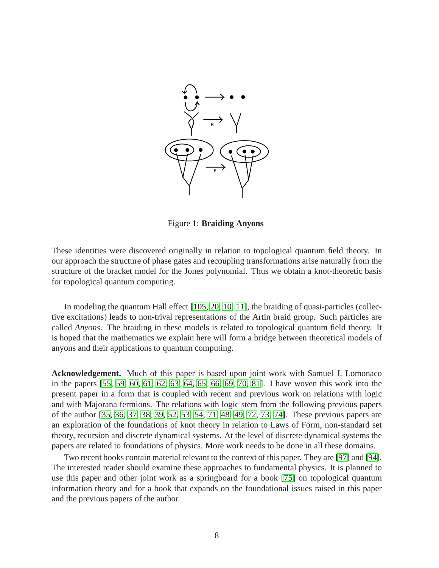

<span id="page-7-0"></span>Figure 1: **Braiding Anyons**

These identities were discovered originally in relation to topological quantum field theory. In our approach the structure of phase gates and recoupling transformations arise naturally from the structure of the bracket model for the Jones polynomial. Thus we obtain a knot-theoretic basis for topological quantum computing.

In modeling the quantum Hall effect [\[105,](#page-123-0) [20,](#page-117-1) [10,](#page-116-0) [11\]](#page-116-1), the braiding of quasi-particles (collective excitations) leads to non-trival representations of the Artin braid group. Such particles are called *Anyons*. The braiding in these models is related to topological quantum field theory. It is hoped that the mathematics we explain here will form a bridge between theoretical models of anyons and their applications to quantum computing.

**Acknowledgement.** Much of this paper is based upon joint work with Samuel J. Lomonaco in the papers [\[55,](#page-119-1) [59,](#page-120-2) [60,](#page-120-3) [61,](#page-120-4) [62,](#page-120-5) [63,](#page-120-6) [64,](#page-120-7) [65,](#page-120-8) [66,](#page-120-9) [69,](#page-120-10) [70,](#page-120-1) [81\]](#page-121-1). I have woven this work into the present paper in a form that is coupled with recent and previous work on relations with logic and with Majorana fermions. The relations with logic stem from the following previous papers of the author [\[35,](#page-118-1) [36,](#page-118-2) [37,](#page-118-3) [38,](#page-118-4) [39,](#page-118-5) [52,](#page-119-2) [53,](#page-119-3) [54,](#page-119-4) [71,](#page-121-2) [48,](#page-119-5) [49,](#page-119-6) [72,](#page-121-3) [73,](#page-121-4) [74\]](#page-121-5). These previous papers are an exploration of the foundations of knot theory in relation to Laws of Form, non-standard set theory, recursion and discrete dynamical systems. At the level of discrete dynamical systems the papers are related to foundations of physics. More work needs to be done in all these domains.

Two recent books contain material relevant to the context of this paper. They are [\[97\]](#page-122-4) and [\[94\]](#page-122-1). The interested reader should examine these approaches to fundamental physics. It is planned to use this paper and other joint work as a springboard for a book [\[75\]](#page-121-6) on topological quantum information theory and for a book that expands on the foundational issues raised in this paper and the previous papers of the author.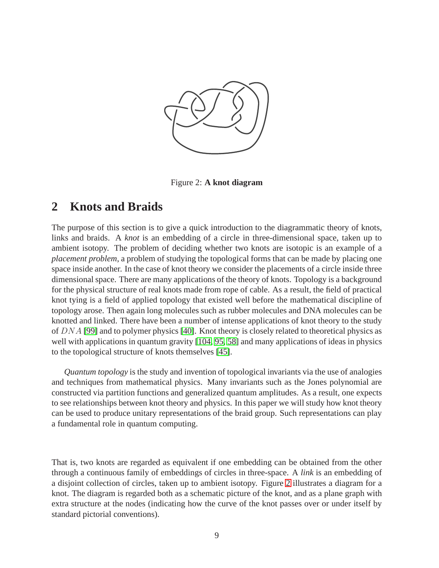

<span id="page-8-0"></span>Figure 2: **A knot diagram**

# **2 Knots and Braids**

The purpose of this section is to give a quick introduction to the diagrammatic theory of knots, links and braids. A *knot* is an embedding of a circle in three-dimensional space, taken up to ambient isotopy. The problem of deciding whether two knots are isotopic is an example of a *placement problem*, a problem of studying the topological forms that can be made by placing one space inside another. In the case of knot theory we consider the placements of a circle inside three dimensional space. There are many applications of the theory of knots. Topology is a background for the physical structure of real knots made from rope of cable. As a result, the field of practical knot tying is a field of applied topology that existed well before the mathematical discipline of topology arose. Then again long molecules such as rubber molecules and DNA molecules can be knotted and linked. There have been a number of intense applications of knot theory to the study of DNA [\[99\]](#page-122-5) and to polymer physics [\[40\]](#page-118-6). Knot theory is closely related to theoretical physics as well with applications in quantum gravity [\[104,](#page-123-1) [95,](#page-122-6) [58\]](#page-120-11) and many applications of ideas in physics to the topological structure of knots themselves [\[45\]](#page-119-0).

*Quantum topology* is the study and invention of topological invariants via the use of analogies and techniques from mathematical physics. Many invariants such as the Jones polynomial are constructed via partition functions and generalized quantum amplitudes. As a result, one expects to see relationships between knot theory and physics. In this paper we will study how knot theory can be used to produce unitary representations of the braid group. Such representations can play a fundamental role in quantum computing.

That is, two knots are regarded as equivalent if one embedding can be obtained from the other through a continuous family of embeddings of circles in three-space. A *link* is an embedding of a disjoint collection of circles, taken up to ambient isotopy. Figure [2](#page-8-0) illustrates a diagram for a knot. The diagram is regarded both as a schematic picture of the knot, and as a plane graph with extra structure at the nodes (indicating how the curve of the knot passes over or under itself by standard pictorial conventions).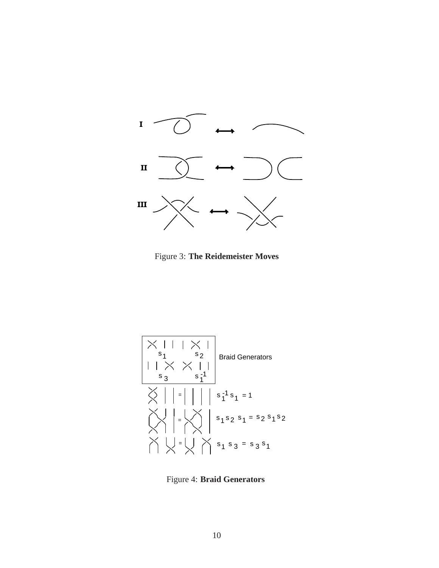

<span id="page-9-0"></span>Figure 3: **The Reidemeister Moves**



<span id="page-9-1"></span>Figure 4: **Braid Generators**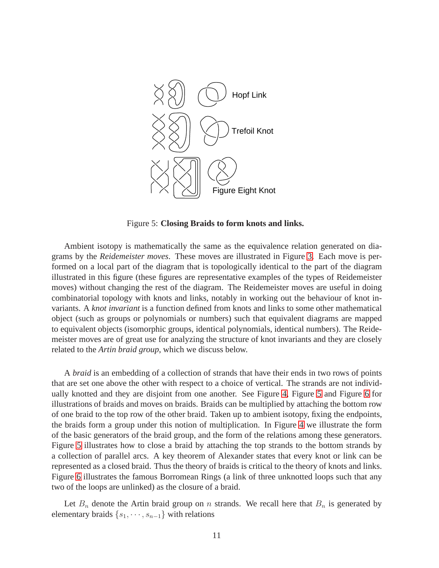

<span id="page-10-0"></span>Figure 5: **Closing Braids to form knots and links.**

Ambient isotopy is mathematically the same as the equivalence relation generated on diagrams by the *Reidemeister moves*. These moves are illustrated in Figure [3.](#page-9-0) Each move is performed on a local part of the diagram that is topologically identical to the part of the diagram illustrated in this figure (these figures are representative examples of the types of Reidemeister moves) without changing the rest of the diagram. The Reidemeister moves are useful in doing combinatorial topology with knots and links, notably in working out the behaviour of knot invariants. A *knot invariant* is a function defined from knots and links to some other mathematical object (such as groups or polynomials or numbers) such that equivalent diagrams are mapped to equivalent objects (isomorphic groups, identical polynomials, identical numbers). The Reidemeister moves are of great use for analyzing the structure of knot invariants and they are closely related to the *Artin braid group*, which we discuss below.

A *braid* is an embedding of a collection of strands that have their ends in two rows of points that are set one above the other with respect to a choice of vertical. The strands are not individually knotted and they are disjoint from one another. See Figure [4,](#page-9-1) Figure [5](#page-10-0) and Figure [6](#page-11-0) for illustrations of braids and moves on braids. Braids can be multiplied by attaching the bottom row of one braid to the top row of the other braid. Taken up to ambient isotopy, fixing the endpoints, the braids form a group under this notion of multiplication. In Figure [4](#page-9-1) we illustrate the form of the basic generators of the braid group, and the form of the relations among these generators. Figure [5](#page-10-0) illustrates how to close a braid by attaching the top strands to the bottom strands by a collection of parallel arcs. A key theorem of Alexander states that every knot or link can be represented as a closed braid. Thus the theory of braids is critical to the theory of knots and links. Figure [6](#page-11-0) illustrates the famous Borromean Rings (a link of three unknotted loops such that any two of the loops are unlinked) as the closure of a braid.

Let  $B_n$  denote the Artin braid group on n strands. We recall here that  $B_n$  is generated by elementary braids  $\{s_1, \dots, s_{n-1}\}$  with relations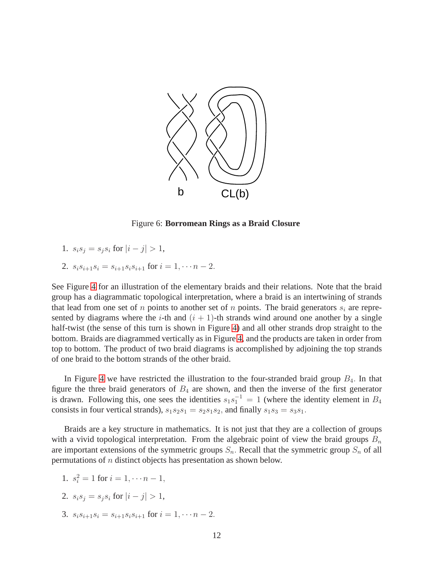

<span id="page-11-0"></span>Figure 6: **Borromean Rings as a Braid Closure**

- 1.  $s_i s_j = s_j s_i$  for  $|i j| > 1$ ,
- 2.  $s_i s_{i+1} s_i = s_{i+1} s_i s_{i+1}$  for  $i = 1, \dots, n-2$ .

See Figure [4](#page-9-1) for an illustration of the elementary braids and their relations. Note that the braid group has a diagrammatic topological interpretation, where a braid is an intertwining of strands that lead from one set of n points to another set of n points. The braid generators  $s_i$  are represented by diagrams where the *i*-th and  $(i + 1)$ -th strands wind around one another by a single half-twist (the sense of this turn is shown in Figure [4\)](#page-9-1) and all other strands drop straight to the bottom. Braids are diagrammed vertically as in Figure [4,](#page-9-1) and the products are taken in order from top to bottom. The product of two braid diagrams is accomplished by adjoining the top strands of one braid to the bottom strands of the other braid.

In Figure [4](#page-9-1) we have restricted the illustration to the four-stranded braid group  $B_4$ . In that figure the three braid generators of  $B_4$  are shown, and then the inverse of the first generator is drawn. Following this, one sees the identities  $s_1s_1^{-1} = 1$  (where the identity element in  $B_4$ consists in four vertical strands),  $s_1s_2s_1 = s_2s_1s_2$ , and finally  $s_1s_3 = s_3s_1$ .

Braids are a key structure in mathematics. It is not just that they are a collection of groups with a vivid topological interpretation. From the algebraic point of view the braid groups  $B_n$ are important extensions of the symmetric groups  $S_n$ . Recall that the symmetric group  $S_n$  of all permutations of n distinct objects has presentation as shown below.

- 1.  $s_i^2 = 1$  for  $i = 1, \dots n 1$ ,
- 2.  $s_i s_j = s_j s_i$  for  $|i j| > 1$ ,
- 3.  $s_i s_{i+1} s_i = s_{i+1} s_i s_{i+1}$  for  $i = 1, \dots n-2$ .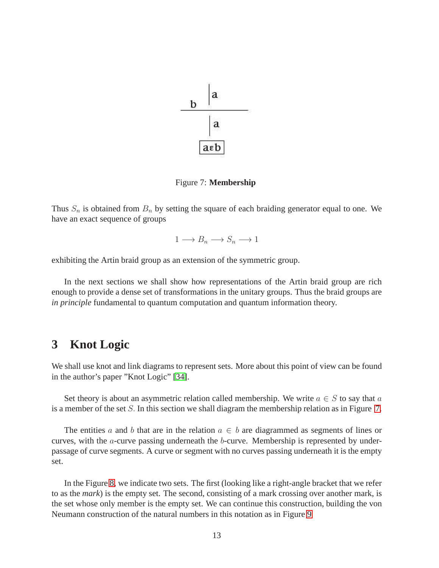

<span id="page-12-0"></span>Figure 7: **Membership**

Thus  $S_n$  is obtained from  $B_n$  by setting the square of each braiding generator equal to one. We have an exact sequence of groups

$$
1 \longrightarrow B_n \longrightarrow S_n \longrightarrow 1
$$

exhibiting the Artin braid group as an extension of the symmetric group.

In the next sections we shall show how representations of the Artin braid group are rich enough to provide a dense set of transformations in the unitary groups. Thus the braid groups are *in principle* fundamental to quantum computation and quantum information theory.

# **3 Knot Logic**

We shall use knot and link diagrams to represent sets. More about this point of view can be found in the author's paper "Knot Logic" [\[34\]](#page-118-7).

Set theory is about an asymmetric relation called membership. We write  $a \in S$  to say that a is a member of the set  $S$ . In this section we shall diagram the membership relation as in Figure [7.](#page-12-0)

The entities a and b that are in the relation  $a \in b$  are diagrammed as segments of lines or curves, with the a-curve passing underneath the b-curve. Membership is represented by underpassage of curve segments. A curve or segment with no curves passing underneath it is the empty set.

In the Figure [8,](#page-13-0) we indicate two sets. The first (looking like a right-angle bracket that we refer to as the *mark*) is the empty set. The second, consisting of a mark crossing over another mark, is the set whose only member is the empty set. We can continue this construction, building the von Neumann construction of the natural numbers in this notation as in Figure [9](#page-13-1)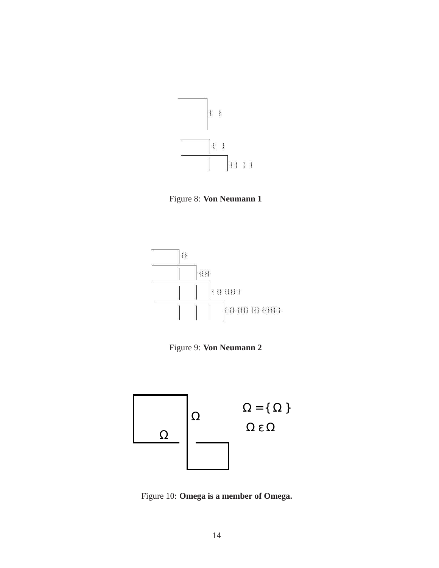

<span id="page-13-0"></span>



<span id="page-13-1"></span>



<span id="page-13-2"></span>Figure 10: **Omega is a member of Omega.**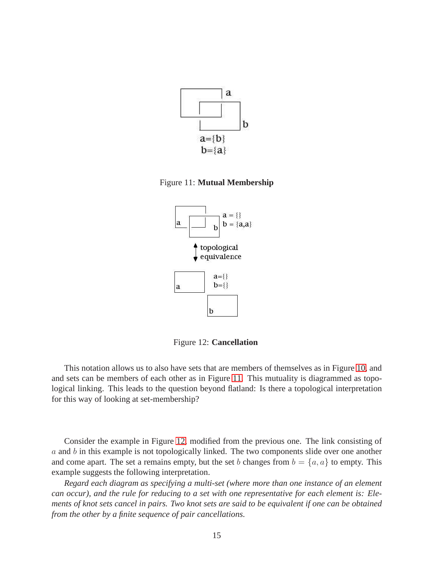

Figure 11: **Mutual Membership**

<span id="page-14-0"></span>

<span id="page-14-1"></span>Figure 12: **Cancellation**

This notation allows us to also have sets that are members of themselves as in Figure [10,](#page-13-2) and and sets can be members of each other as in Figure [11.](#page-14-0) This mutuality is diagrammed as topological linking. This leads to the question beyond flatland: Is there a topological interpretation for this way of looking at set-membership?

Consider the example in Figure [12,](#page-14-1) modified from the previous one. The link consisting of  $a$  and  $b$  in this example is not topologically linked. The two components slide over one another and come apart. The set a remains empty, but the set b changes from  $b = \{a, a\}$  to empty. This example suggests the following interpretation.

*Regard each diagram as specifying a multi-set (where more than one instance of an element can occur), and the rule for reducing to a set with one representative for each element is: Elements of knot sets cancel in pairs. Two knot sets are said to be equivalent if one can be obtained from the other by a finite sequence of pair cancellations.*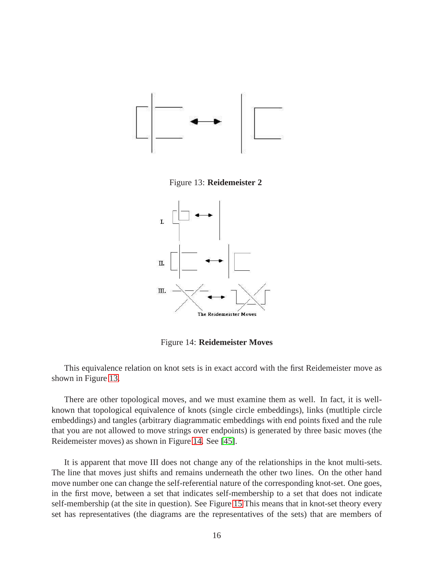

<span id="page-15-0"></span>Figure 13: **Reidemeister 2**



<span id="page-15-1"></span>Figure 14: **Reidemeister Moves**

This equivalence relation on knot sets is in exact accord with the first Reidemeister move as shown in Figure [13.](#page-15-0)

There are other topological moves, and we must examine them as well. In fact, it is wellknown that topological equivalence of knots (single circle embeddings), links (mutltiple circle embeddings) and tangles (arbitrary diagrammatic embeddings with end points fixed and the rule that you are not allowed to move strings over endpoints) is generated by three basic moves (the Reidemeister moves) as shown in Figure [14.](#page-15-1) See [\[45\]](#page-119-0).

It is apparent that move III does not change any of the relationships in the knot multi-sets. The line that moves just shifts and remains underneath the other two lines. On the other hand move number one can change the self-referential nature of the corresponding knot-set. One goes, in the first move, between a set that indicates self-membership to a set that does not indicate self-membership (at the site in question). See Figure [15](#page-16-0) This means that in knot-set theory every set has representatives (the diagrams are the representatives of the sets) that are members of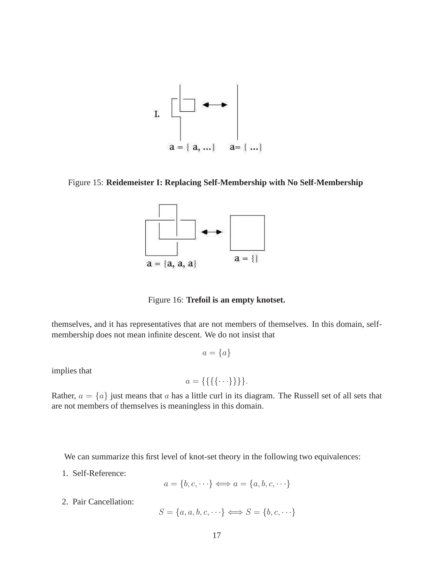

Figure 15: **Reidemeister I: Replacing Self-Membership with No Self-Membership**

<span id="page-16-0"></span>

<span id="page-16-1"></span>Figure 16: **Trefoil is an empty knotset.**

themselves, and it has representatives that are not members of themselves. In this domain, selfmembership does not mean infinite descent. We do not insist that

$$
a = \{a\}
$$

implies that

$$
a = \{\{\{\{\cdot\cdot\cdot\}\}\}\}.
$$

Rather,  $a = \{a\}$  just means that a has a little curl in its diagram. The Russell set of all sets that are not members of themselves is meaningless in this domain.

We can summarize this first level of knot-set theory in the following two equivalences:

1. Self-Reference:

$$
a = \{b, c, \cdots\} \Longleftrightarrow a = \{a, b, c, \cdots\}
$$

2. Pair Cancellation:

$$
S = \{a, a, b, c, \cdots\} \Longleftrightarrow S = \{b, c, \cdots\}
$$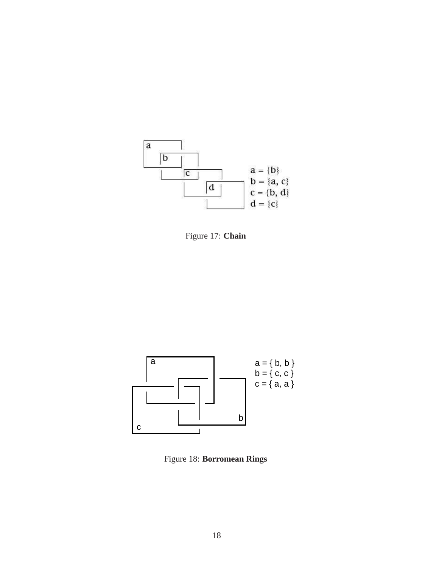

<span id="page-17-0"></span>Figure 17: **Chain**



<span id="page-17-1"></span>Figure 18: **Borromean Rings**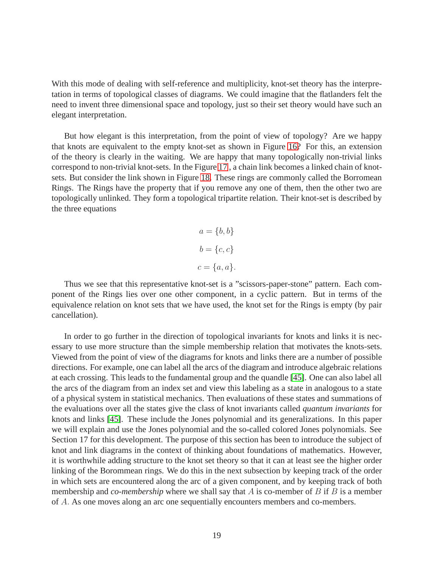With this mode of dealing with self-reference and multiplicity, knot-set theory has the interpretation in terms of topological classes of diagrams. We could imagine that the flatlanders felt the need to invent three dimensional space and topology, just so their set theory would have such an elegant interpretation.

But how elegant is this interpretation, from the point of view of topology? Are we happy that knots are equivalent to the empty knot-set as shown in Figure [16?](#page-16-1) For this, an extension of the theory is clearly in the waiting. We are happy that many topologically non-trivial links correspond to non-trivial knot-sets. In the Figure [17](#page-17-0) , a chain link becomes a linked chain of knotsets. But consider the link shown in Figure [18.](#page-17-1) These rings are commonly called the Borromean Rings. The Rings have the property that if you remove any one of them, then the other two are topologically unlinked. They form a topological tripartite relation. Their knot-set is described by the three equations

$$
a = \{b, b\}
$$

$$
b = \{c, c\}
$$

$$
c = \{a, a\}.
$$

Thus we see that this representative knot-set is a "scissors-paper-stone" pattern. Each component of the Rings lies over one other component, in a cyclic pattern. But in terms of the equivalence relation on knot sets that we have used, the knot set for the Rings is empty (by pair cancellation).

In order to go further in the direction of topological invariants for knots and links it is necessary to use more structure than the simple membership relation that motivates the knots-sets. Viewed from the point of view of the diagrams for knots and links there are a number of possible directions. For example, one can label all the arcs of the diagram and introduce algebraic relations at each crossing. This leads to the fundamental group and the quandle [\[45\]](#page-119-0). One can also label all the arcs of the diagram from an index set and view this labeling as a state in analogous to a state of a physical system in statistical mechanics. Then evaluations of these states and summations of the evaluations over all the states give the class of knot invariants called *quantum invariants* for knots and links [\[45\]](#page-119-0). These include the Jones polynomial and its generalizations. In this paper we will explain and use the Jones polynomial and the so-called colored Jones polynomials. See Section 17 for this development. The purpose of this section has been to introduce the subject of knot and link diagrams in the context of thinking about foundations of mathematics. However, it is worthwhile adding structure to the knot set theory so that it can at least see the higher order linking of the Borommean rings. We do this in the next subsection by keeping track of the order in which sets are encountered along the arc of a given component, and by keeping track of both membership and *co-membership* where we shall say that A is co-member of B if B is a member of A. As one moves along an arc one sequentially encounters members and co-members.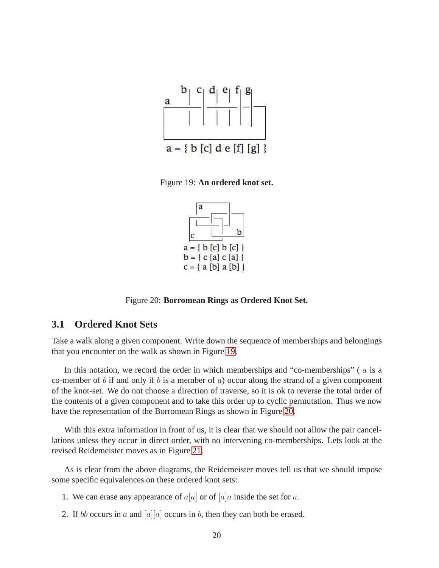

Figure 19: **An ordered knot set.**

<span id="page-19-0"></span>

<span id="page-19-1"></span>Figure 20: **Borromean Rings as Ordered Knot Set.**

## **3.1 Ordered Knot Sets**

Take a walk along a given component. Write down the sequence of memberships and belongings that you encounter on the walk as shown in Figure [19.](#page-19-0)

In this notation, we record the order in which memberships and "co-memberships" ( $\alpha$  is a co-member of b if and only if b is a member of a) occur along the strand of a given component of the knot-set. We do not choose a direction of traverse, so it is ok to reverse the total order of the contents of a given component and to take this order up to cyclic permutation. Thus we now have the representation of the Borromean Rings as shown in Figure [20.](#page-19-1)

With this extra information in front of us, it is clear that we should not allow the pair cancellations unless they occur in direct order, with no intervening co-memberships. Lets look at the revised Reidemeister moves as in Figure [21.](#page-20-0)

As is clear from the above diagrams, the Reidemeister moves tell us that we should impose some specific equivalences on these ordered knot sets:

- 1. We can erase any appearance of  $a[a]$  or of  $[a]a$  inside the set for a.
- 2. If bb occurs in a and  $[a][a]$  occurs in b, then they can both be erased.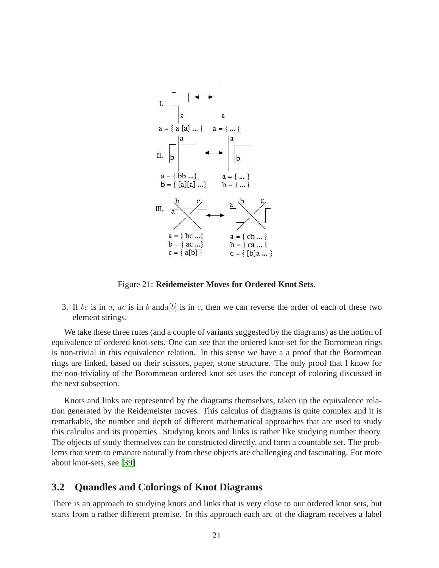

<span id="page-20-0"></span>Figure 21: **Reidemeister Moves for Ordered Knot Sets.**

3. If bc is in a, ac is in b anda [b] is in c, then we can reverse the order of each of these two element strings.

We take these three rules (and a couple of variants suggested by the diagrams) as the notion of equivalence of ordered knot-sets. One can see that the ordered knot-set for the Borromean rings is non-trivial in this equivalence relation. In this sense we have a a proof that the Borromean rings are linked, based on their scissors, paper, stone structure. The only proof that I know for the non-triviality of the Borommean ordered knot set uses the concept of coloring discussed in the next subsection.

Knots and links are represented by the diagrams themselves, taken up the equivalence relation generated by the Reidemeister moves. This calculus of diagrams is quite complex and it is remarkable, the number and depth of different mathematical approaches that are used to study this calculus and its properties. Studying knots and links is rather like studying number theory. The objects of study themselves can be constructed directly, and form a countable set. The problems that seem to emanate naturally from these objects are challenging and fascinating. For more about knot-sets, see [\[39\]](#page-118-5)

## **3.2 Quandles and Colorings of Knot Diagrams**

There is an approach to studying knots and links that is very close to our ordered knot sets, but starts from a rather different premise. In this approach each arc of the diagram receives a label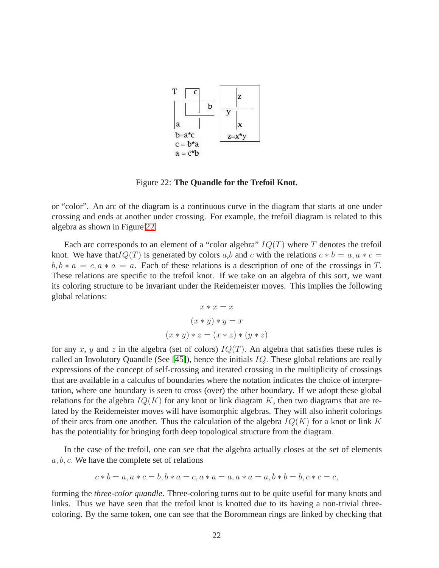

<span id="page-21-0"></span>Figure 22: **The Quandle for the Trefoil Knot.**

or "color". An arc of the diagram is a continuous curve in the diagram that starts at one under crossing and ends at another under crossing. For example, the trefoil diagram is related to this algebra as shown in Figure [22.](#page-21-0)

Each arc corresponds to an element of a "color algebra"  $IQ(T)$  where T denotes the trefoil knot. We have that  $IQ(T)$  is generated by colors a,b and c with the relations  $c * b = a, a * c = b$  $b, b * a = c, a * a = a$ . Each of these relations is a description of one of the crossings in T. These relations are specific to the trefoil knot. If we take on an algebra of this sort, we want its coloring structure to be invariant under the Reidemeister moves. This implies the following global relations:

$$
x * x = x
$$
  

$$
(x * y) * y = x
$$
  

$$
(x * y) * z = (x * z) * (y * z)
$$

for any x, y and z in the algebra (set of colors)  $IQ(T)$ . An algebra that satisfies these rules is called an Involutory Quandle (See [\[45\]](#page-119-0)), hence the initials  $IQ$ . These global relations are really expressions of the concept of self-crossing and iterated crossing in the multiplicity of crossings that are available in a calculus of boundaries where the notation indicates the choice of interpretation, where one boundary is seen to cross (over) the other boundary. If we adopt these global relations for the algebra  $IQ(K)$  for any knot or link diagram K, then two diagrams that are related by the Reidemeister moves will have isomorphic algebras. They will also inherit colorings of their arcs from one another. Thus the calculation of the algebra  $IQ(K)$  for a knot or link K has the potentiality for bringing forth deep topological structure from the diagram.

In the case of the trefoil, one can see that the algebra actually closes at the set of elements a, b, c. We have the complete set of relations

$$
c * b = a, a * c = b, b * a = c, a * a = a, a * a = a, b * b = b, c * c = c,
$$

forming the *three-color quandle*. Three-coloring turns out to be quite useful for many knots and links. Thus we have seen that the trefoil knot is knotted due to its having a non-trivial threecoloring. By the same token, one can see that the Borommean rings are linked by checking that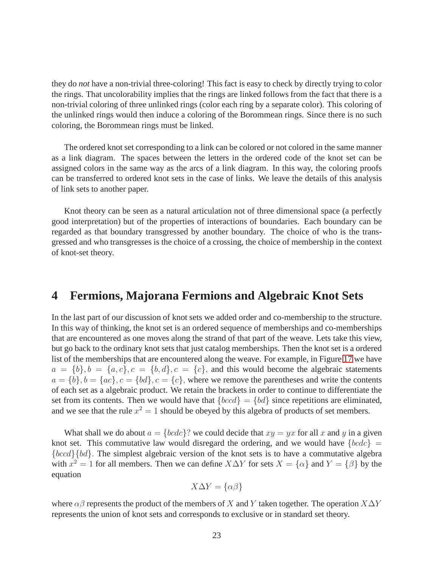they do *not* have a non-trivial three-coloring! This fact is easy to check by directly trying to color the rings. That uncolorability implies that the rings are linked follows from the fact that there is a non-trivial coloring of three unlinked rings (color each ring by a separate color). This coloring of the unlinked rings would then induce a coloring of the Borommean rings. Since there is no such coloring, the Borommean rings must be linked.

The ordered knot set corresponding to a link can be colored or not colored in the same manner as a link diagram. The spaces between the letters in the ordered code of the knot set can be assigned colors in the same way as the arcs of a link diagram. In this way, the coloring proofs can be transferred to ordered knot sets in the case of links. We leave the details of this analysis of link sets to another paper.

Knot theory can be seen as a natural articulation not of three dimensional space (a perfectly good interpretation) but of the properties of interactions of boundaries. Each boundary can be regarded as that boundary transgressed by another boundary. The choice of who is the transgressed and who transgresses is the choice of a crossing, the choice of membership in the context of knot-set theory.

# **4 Fermions, Majorana Fermions and Algebraic Knot Sets**

In the last part of our discussion of knot sets we added order and co-membership to the structure. In this way of thinking, the knot set is an ordered sequence of memberships and co-memberships that are encountered as one moves along the strand of that part of the weave. Lets take this view, but go back to the ordinary knot sets that just catalog memberships. Then the knot set is a ordered list of the memberships that are encountered along the weave. For example, in Figure [17](#page-17-0) we have  $a = \{b\}, b = \{a, c\}, c = \{b, d\}, c = \{c\}$ , and this would become the algebraic statements  $a = \{b\}, b = \{ac\}, c = \{bd\}, c = \{c\}$ , where we remove the parentheses and write the contents of each set as a algebraic product. We retain the brackets in order to continue to differentiate the set from its contents. Then we would have that  ${bccd} = {bd}$  since repetitions are eliminated, and we see that the rule  $x^2 = 1$  should be obeyed by this algebra of products of set members.

What shall we do about  $a = \{bcdc\}$ ? we could decide that  $xy = yx$  for all x and y in a given knot set. This commutative law would disregard the ordering, and we would have  ${bcdc} =$  ${bccd}{d}$ . The simplest algebraic version of the knot sets is to have a commutative algebra with  $x^2 = 1$  for all members. Then we can define  $X\Delta Y$  for sets  $X = \{\alpha\}$  and  $Y = \{\beta\}$  by the equation

$$
X\Delta Y = \{\alpha\beta\}
$$

where  $\alpha\beta$  represents the product of the members of X and Y taken together. The operation  $X\Delta Y$ represents the union of knot sets and corresponds to exclusive or in standard set theory.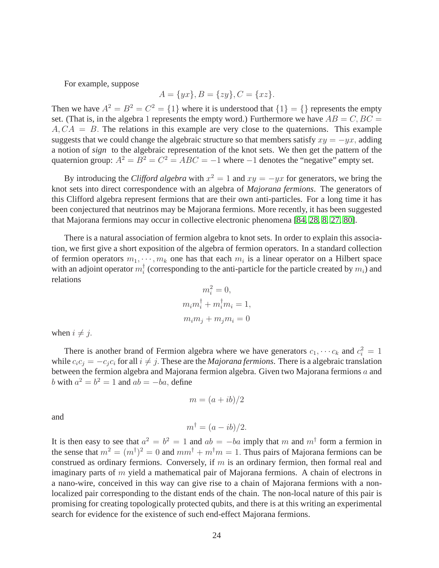For example, suppose

$$
A = \{yx\}, B = \{zy\}, C = \{xz\}.
$$

Then we have  $A^2 = B^2 = C^2 = \{1\}$  where it is understood that  $\{1\} = \{\}$  represents the empty set. (That is, in the algebra 1 represents the empty word.) Furthermore we have  $AB = C$ ,  $BC =$  $A, CA = B$ . The relations in this example are very close to the quaternions. This example suggests that we could change the algebraic structure so that members satisfy  $xy = -yx$ , adding a notion of *sign* to the algebraic representation of the knot sets. We then get the pattern of the quaternion group:  $A^2 = B^2 = C^2 = ABC = -1$  where  $-1$  denotes the "negative" empty set.

By introducing the *Clifford algebra* with  $x^2 = 1$  and  $xy = -yx$  for generators, we bring the knot sets into direct correspondence with an algebra of *Majorana fermions*. The generators of this Clifford algebra represent fermions that are their own anti-particles. For a long time it has been conjectured that neutrinos may be Majorana fermions. More recently, it has been suggested that Majorana fermions may occur in collective electronic phenomena [\[84,](#page-121-7) [28,](#page-118-8) [8,](#page-116-2) [27,](#page-117-2) [80\]](#page-121-8).

There is a natural association of fermion algebra to knot sets. In order to explain this association, we first give a short exposition of the algebra of fermion operators. In a standard collection of fermion operators  $m_1, \dots, m_k$  one has that each  $m_i$  is a linear operator on a Hilbert space with an adjoint operator  $m_i^{\dagger}$  (corresponding to the anti-particle for the particle created by  $m_i$ ) and relations

$$
m_i^2 = 0,
$$
  
\n
$$
m_i m_i^{\dagger} + m_i^{\dagger} m_i = 1,
$$
  
\n
$$
m_i m_j + m_j m_i = 0
$$

when  $i \neq j$ .

There is another brand of Fermion algebra where we have generators  $c_1, \dots, c_k$  and  $c_i^2 = 1$ while  $c_i c_j = -c_j c_i$  for all  $i \neq j$ . These are the *Majorana fermions*. There is a algebraic translation between the fermion algebra and Majorana fermion algebra. Given two Majorana fermions a and b with  $a^2 = b^2 = 1$  and  $ab = -ba$ , define

$$
m = (a + ib)/2
$$

and

$$
m^{\dagger} = (a - ib)/2.
$$

It is then easy to see that  $a^2 = b^2 = 1$  and  $ab = -ba$  imply that m and  $m^{\dagger}$  form a fermion in the sense that  $m^2 = (m^{\dagger})^2 = 0$  and  $mm^{\dagger} + m^{\dagger}m = 1$ . Thus pairs of Majorana fermions can be construed as ordinary fermions. Conversely, if  $m$  is an ordinary fermion, then formal real and imaginary parts of  $m$  yield a mathematical pair of Majorana fermions. A chain of electrons in a nano-wire, conceived in this way can give rise to a chain of Majorana fermions with a nonlocalized pair corresponding to the distant ends of the chain. The non-local nature of this pair is promising for creating topologically protected qubits, and there is at this writing an experimental search for evidence for the existence of such end-effect Majorana fermions.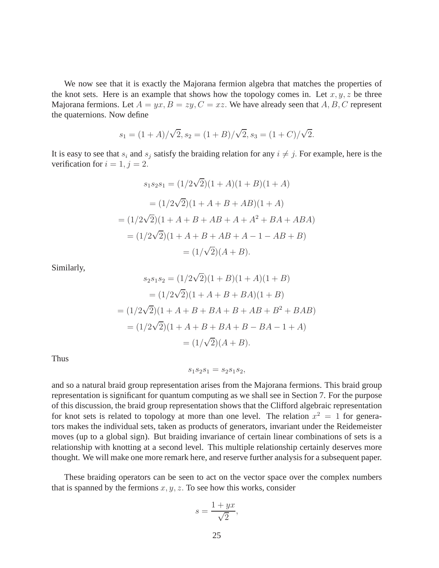We now see that it is exactly the Majorana fermion algebra that matches the properties of the knot sets. Here is an example that shows how the topology comes in. Let  $x, y, z$  be three Majorana fermions. Let  $A = yx, B = zy, C = xz$ . We have already seen that A, B, C represent the quaternions. Now define

$$
s_1 = (1 + A)/\sqrt{2}, s_2 = (1 + B)/\sqrt{2}, s_3 = (1 + C)/\sqrt{2}.
$$

It is easy to see that  $s_i$  and  $s_j$  satisfy the braiding relation for any  $i \neq j$ . For example, here is the verification for  $i = 1, j = 2$ .

$$
s_1 s_2 s_1 = (1/2\sqrt{2})(1+A)(1+B)(1+A)
$$
  
=  $(1/2\sqrt{2})(1+A+B+AB)(1+A)$   
=  $(1/2\sqrt{2})(1+A+B+AB+A+A^2+BA+ABA)$   
=  $(1/2\sqrt{2})(1+A+B+AB+A-1-AB+B)$   
=  $(1/\sqrt{2})(A+B).$ 

Similarly,

$$
s_2s_1s_2 = (1/2\sqrt{2})(1+B)(1+A)(1+B)
$$
  
=  $(1/2\sqrt{2})(1+A+B+BA)(1+B)$   
=  $(1/2\sqrt{2})(1+A+B+BA+B+AB+B^2+BAB)$   
=  $(1/2\sqrt{2})(1+A+B+BA+B-BA-1+A)$   
=  $(1/\sqrt{2})(A+B).$ 

Thus

$$
s_1 s_2 s_1 = s_2 s_1 s_2,
$$

and so a natural braid group representation arises from the Majorana fermions. This braid group representation is significant for quantum computing as we shall see in Section 7. For the purpose of this discussion, the braid group representation shows that the Clifford algebraic representation for knot sets is related to topology at more than one level. The relation  $x^2 = 1$  for generators makes the individual sets, taken as products of generators, invariant under the Reidemeister moves (up to a global sign). But braiding invariance of certain linear combinations of sets is a relationship with knotting at a second level. This multiple relationship certainly deserves more thought. We will make one more remark here, and reserve further analysis for a subsequent paper.

These braiding operators can be seen to act on the vector space over the complex numbers that is spanned by the fermions  $x, y, z$ . To see how this works, consider

$$
s = \frac{1 + yx}{\sqrt{2}},
$$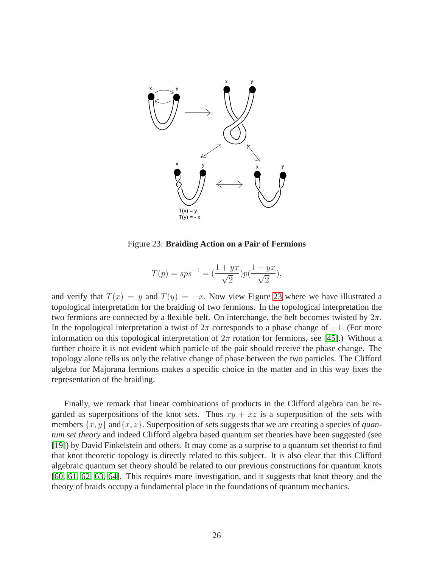

Figure 23: **Braiding Action on a Pair of Fermions**

<span id="page-25-0"></span>
$$
T(p) = sp s^{-1} = \left(\frac{1+yx}{\sqrt{2}}\right) p \left(\frac{1-yx}{\sqrt{2}}\right),
$$

and verify that  $T(x) = y$  and  $T(y) = -x$ . Now view Figure [23](#page-25-0) where we have illustrated a topological interpretation for the braiding of two fermions. In the topological interpretation the two fermions are connected by a flexible belt. On interchange, the belt becomes twisted by  $2\pi$ . In the topological interpretation a twist of  $2\pi$  corresponds to a phase change of  $-1$ . (For more information on this topological interpretation of  $2\pi$  rotation for fermions, see [\[45\]](#page-119-0).) Without a further choice it is not evident which particle of the pair should receive the phase change. The topology alone tells us only the relative change of phase between the two particles. The Clifford algebra for Majorana fermions makes a specific choice in the matter and in this way fixes the representation of the braiding.

Finally, we remark that linear combinations of products in the Clifford algebra can be regarded as superpositions of the knot sets. Thus  $xy + xz$  is a superposition of the sets with members  $\{x, y\}$  and  $\{x, z\}$ . Superposition of sets suggests that we are creating a species of *quantum set theory* and indeed Clifford algebra based quantum set theories have been suggested (see [\[19\]](#page-117-3)) by David Finkelstein and others. It may come as a surprise to a quantum set theorist to find that knot theoretic topology is directly related to this subject. It is also clear that this Clifford algebraic quantum set theory should be related to our previous constructions for quantum knots [\[60,](#page-120-3) [61,](#page-120-4) [62,](#page-120-5) [63,](#page-120-6) [64\]](#page-120-7). This requires more investigation, and it suggests that knot theory and the theory of braids occupy a fundamental place in the foundations of quantum mechanics.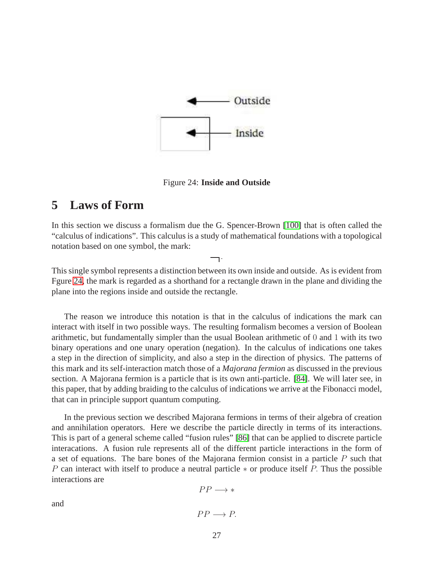

<span id="page-26-0"></span>Figure 24: **Inside and Outside**

# **5 Laws of Form**

In this section we discuss a formalism due the G. Spencer-Brown [\[100\]](#page-122-0) that is often called the "calculus of indications". This calculus is a study of mathematical foundations with a topological notation based on one symbol, the mark:

.

This single symbol represents a distinction between its own inside and outside. As is evident from Fgure [24,](#page-26-0) the mark is regarded as a shorthand for a rectangle drawn in the plane and dividing the plane into the regions inside and outside the rectangle.

The reason we introduce this notation is that in the calculus of indications the mark can interact with itself in two possible ways. The resulting formalism becomes a version of Boolean arithmetic, but fundamentally simpler than the usual Boolean arithmetic of 0 and 1 with its two binary operations and one unary operation (negation). In the calculus of indications one takes a step in the direction of simplicity, and also a step in the direction of physics. The patterns of this mark and its self-interaction match those of a *Majorana fermion* as discussed in the previous section. A Majorana fermion is a particle that is its own anti-particle. [\[84\]](#page-121-7). We will later see, in this paper, that by adding braiding to the calculus of indications we arrive at the Fibonacci model, that can in principle support quantum computing.

In the previous section we described Majorana fermions in terms of their algebra of creation and annihilation operators. Here we describe the particle directly in terms of its interactions. This is part of a general scheme called "fusion rules" [\[86\]](#page-122-3) that can be applied to discrete particle interacations. A fusion rule represents all of the different particle interactions in the form of a set of equations. The bare bones of the Majorana fermion consist in a particle P such that P can interact with itself to produce a neutral particle ∗ or produce itself P. Thus the possible interactions are

 $PP \longrightarrow *$ 

and

$$
PP \longrightarrow P.
$$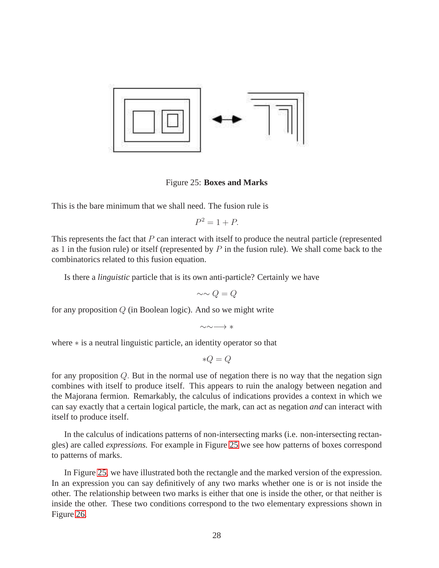

Figure 25: **Boxes and Marks**

This is the bare minimum that we shall need. The fusion rule is

<span id="page-27-0"></span>
$$
P^2 = 1 + P.
$$

This represents the fact that  $P$  can interact with itself to produce the neutral particle (represented as 1 in the fusion rule) or itself (represented by  $P$  in the fusion rule). We shall come back to the combinatorics related to this fusion equation.

Is there a *linguistic* particle that is its own anti-particle? Certainly we have

 $\sim \sim Q = Q$ 

for any proposition Q (in Boolean logic). And so we might write

 $\sim \sim \longrightarrow *$ 

where ∗ is a neutral linguistic particle, an identity operator so that

$$
*Q = Q
$$

for any proposition  $Q$ . But in the normal use of negation there is no way that the negation sign combines with itself to produce itself. This appears to ruin the analogy between negation and the Majorana fermion. Remarkably, the calculus of indications provides a context in which we can say exactly that a certain logical particle, the mark, can act as negation *and* can interact with itself to produce itself.

In the calculus of indications patterns of non-intersecting marks (i.e. non-intersecting rectangles) are called *expressions.* For example in Figure [25](#page-27-0) we see how patterns of boxes correspond to patterns of marks.

In Figure [25,](#page-27-0) we have illustrated both the rectangle and the marked version of the expression. In an expression you can say definitively of any two marks whether one is or is not inside the other. The relationship between two marks is either that one is inside the other, or that neither is inside the other. These two conditions correspond to the two elementary expressions shown in Figure [26.](#page-28-0)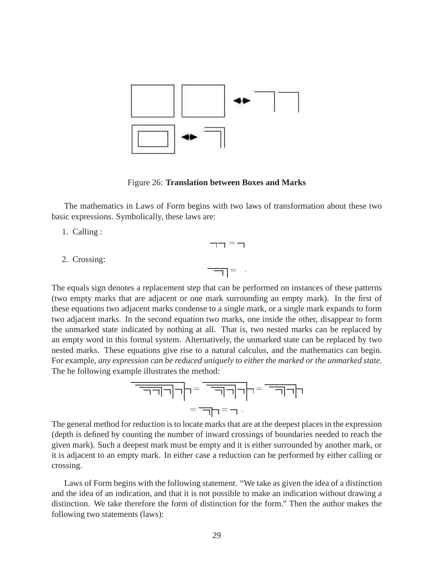

<span id="page-28-0"></span>Figure 26: **Translation between Boxes and Marks**

The mathematics in Laws of Form begins with two laws of transformation about these two basic expressions. Symbolically, these laws are:

 $\neg \neg = \neg$ 

 $=$   $=$   $\cdot$ 

- 1. Calling :
- 2. Crossing:

The equals sign denotes a replacement step that can be performed on instances of these patterns (two empty marks that are adjacent or one mark surrounding an empty mark). In the first of these equations two adjacent marks condense to a single mark, or a single mark expands to form two adjacent marks. In the second equation two marks, one inside the other, disappear to form the unmarked state indicated by nothing at all. That is, two nested marks can be replaced by an empty word in this formal system. Alternatively, the unmarked state can be replaced by two nested marks. These equations give rise to a natural calculus, and the mathematics can begin. For example, *any expression can be reduced uniquely to either the marked or the unmarked state.* The he following example illustrates the method:



The general method for reduction is to locate marks that are at the deepest places in the expression (depth is defined by counting the number of inward crossings of boundaries needed to reach the given mark). Such a deepest mark must be empty and it is either surrounded by another mark, or it is adjacent to an empty mark. In either case a reduction can be performed by either calling or crossing.

Laws of Form begins with the following statement. "We take as given the idea of a distinction and the idea of an indication, and that it is not possible to make an indication without drawing a distinction. We take therefore the form of distinction for the form." Then the author makes the following two statements (laws):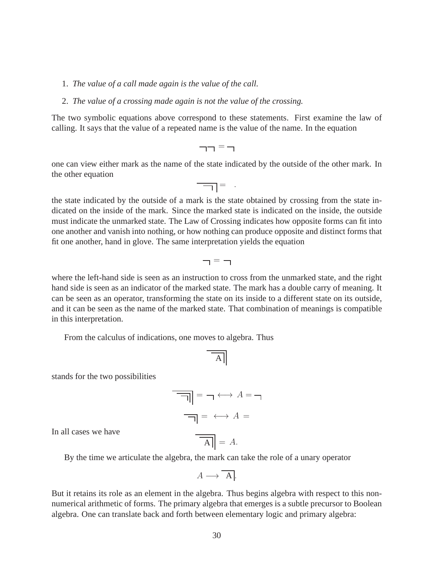### 1. *The value of a call made again is the value of the call.*

### 2. *The value of a crossing made again is not the value of the crossing.*

The two symbolic equations above correspond to these statements. First examine the law of calling. It says that the value of a repeated name is the value of the name. In the equation

## $\neg \neg = \neg$

one can view either mark as the name of the state indicated by the outside of the other mark. In the other equation

$$
\overline{\text{max}} = \frac{1}{2}
$$

the state indicated by the outside of a mark is the state obtained by crossing from the state indicated on the inside of the mark. Since the marked state is indicated on the inside, the outside must indicate the unmarked state. The Law of Crossing indicates how opposite forms can fit into one another and vanish into nothing, or how nothing can produce opposite and distinct forms that fit one another, hand in glove. The same interpretation yields the equation

## $\neg = \neg$

where the left-hand side is seen as an instruction to cross from the unmarked state, and the right hand side is seen as an indicator of the marked state. The mark has a double carry of meaning. It can be seen as an operator, transforming the state on its inside to a different state on its outside, and it can be seen as the name of the marked state. That combination of meanings is compatible in this interpretation.

From the calculus of indications, one moves to algebra. Thus

stands for the two possibilities

$$
\begin{aligned}\n \overrightarrow{\neg\bigcap} &= \neg \longleftrightarrow A = \neg \\
\overrightarrow{\neg\bigcap} &= \longleftrightarrow A = \neg \\
\overrightarrow{A} &= A.\n \end{aligned}
$$

A

In all cases we have

By the time we articulate the algebra, the mark can take the role of a unary operator

$$
A \longrightarrow \overline{A}.
$$

But it retains its role as an element in the algebra. Thus begins algebra with respect to this nonnumerical arithmetic of forms. The primary algebra that emerges is a subtle precursor to Boolean algebra. One can translate back and forth between elementary logic and primary algebra: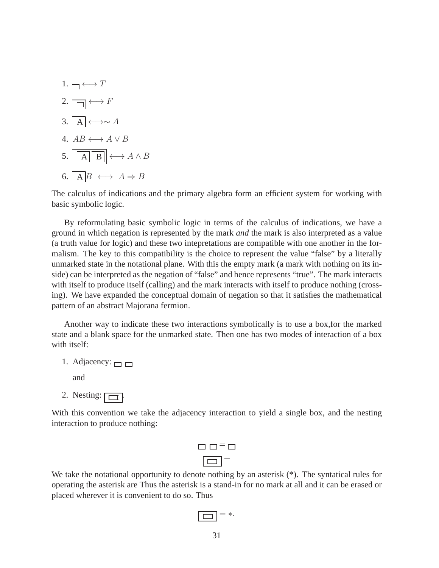1. 
$$
\neg \leftrightarrow T
$$
  
\n2.  $\neg \neg \leftrightarrow F$   
\n3.  $\overline{A} \leftrightarrow A$   
\n4.  $AB \leftrightarrow A \lor B$   
\n5.  $\overline{A} \overline{B} \leftrightarrow A \land B$   
\n6.  $\overline{A} \beta \leftrightarrow A \Rightarrow B$ 

The calculus of indications and the primary algebra form an efficient system for working with basic symbolic logic.

By reformulating basic symbolic logic in terms of the calculus of indications, we have a ground in which negation is represented by the mark *and* the mark is also interpreted as a value (a truth value for logic) and these two intepretations are compatible with one another in the formalism. The key to this compatibility is the choice to represent the value "false" by a literally unmarked state in the notational plane. With this the empty mark (a mark with nothing on its inside) can be interpreted as the negation of "false" and hence represents "true". The mark interacts with itself to produce itself (calling) and the mark interacts with itself to produce nothing (crossing). We have expanded the conceptual domain of negation so that it satisfies the mathematical pattern of an abstract Majorana fermion.

Another way to indicate these two interactions symbolically is to use a box,for the marked state and a blank space for the unmarked state. Then one has two modes of interaction of a box with itself:

1. Adjacency:  $\Box$ 

and

2. Nesting:  $\boxed{\Box}$ .

With this convention we take the adjacency interaction to yield a single box, and the nesting interaction to produce nothing:

$$
\square \square^= \square
$$

We take the notational opportunity to denote nothing by an asterisk  $(*)$ . The syntatical rules for operating the asterisk are Thus the asterisk is a stand-in for no mark at all and it can be erased or placed wherever it is convenient to do so. Thus

$$
\boxed{\square} = *.
$$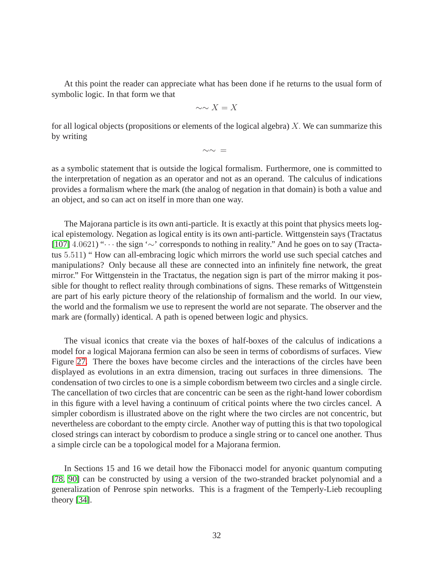At this point the reader can appreciate what has been done if he returns to the usual form of symbolic logic. In that form we that

$$
\sim \sim X = X
$$

for all logical objects (propositions or elements of the logical algebra)  $X$ . We can summarize this by writing

 $\sim \sim$  =

as a symbolic statement that is outside the logical formalism. Furthermore, one is committed to the interpretation of negation as an operator and not as an operand. The calculus of indications provides a formalism where the mark (the analog of negation in that domain) is both a value and an object, and so can act on itself in more than one way.

The Majorana particle is its own anti-particle. It is exactly at this point that physics meets logical epistemology. Negation as logical entity is its own anti-particle. Wittgenstein says (Tractatus [\[107\]](#page-123-2) 4.0621) "· · · the sign '∼' corresponds to nothing in reality." And he goes on to say (Tractatus 5.511) " How can all-embracing logic which mirrors the world use such special catches and manipulations? Only because all these are connected into an infinitely fine network, the great mirror." For Wittgenstein in the Tractatus, the negation sign is part of the mirror making it possible for thought to reflect reality through combinations of signs. These remarks of Wittgenstein are part of his early picture theory of the relationship of formalism and the world. In our view, the world and the formalism we use to represent the world are not separate. The observer and the mark are (formally) identical. A path is opened between logic and physics.

The visual iconics that create via the boxes of half-boxes of the calculus of indications a model for a logical Majorana fermion can also be seen in terms of cobordisms of surfaces. View Figure [27.](#page-32-0) There the boxes have become circles and the interactions of the circles have been displayed as evolutions in an extra dimension, tracing out surfaces in three dimensions. The condensation of two circles to one is a simple cobordism betweem two circles and a single circle. The cancellation of two circles that are concentric can be seen as the right-hand lower cobordism in this figure with a level having a continuum of critical points where the two circles cancel. A simpler cobordism is illustrated above on the right where the two circles are not concentric, but nevertheless are cobordant to the empty circle. Another way of putting this is that two topological closed strings can interact by cobordism to produce a single string or to cancel one another. Thus a simple circle can be a topological model for a Majorana fermion.

In Sections 15 and 16 we detail how the Fibonacci model for anyonic quantum computing [\[78,](#page-121-9) [90\]](#page-122-7) can be constructed by using a version of the two-stranded bracket polynomial and a generalization of Penrose spin networks. This is a fragment of the Temperly-Lieb recoupling theory [\[34\]](#page-118-7).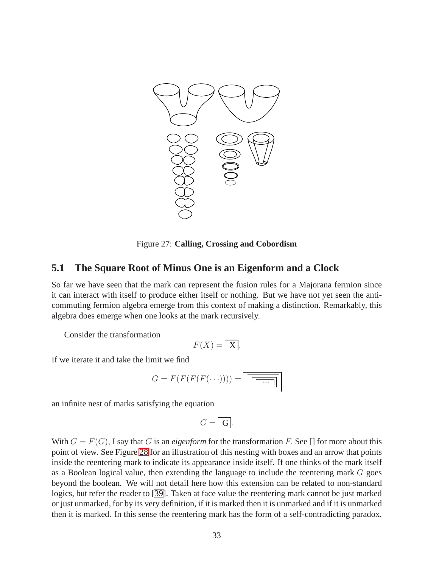

Figure 27: **Calling, Crossing and Cobordism**

## **5.1 The Square Root of Minus One is an Eigenform and a Clock**

So far we have seen that the mark can represent the fusion rules for a Majorana fermion since it can interact with itself to produce either itself or nothing. But we have not yet seen the anticommuting fermion algebra emerge from this context of making a distinction. Remarkably, this algebra does emerge when one looks at the mark recursively.

Consider the transformation

<span id="page-32-0"></span>
$$
F(X) = \overline{\mathbf{X}}.
$$

If we iterate it and take the limit we find

$$
G = F(F(F(F(\cdots)))) = \boxed{\overbrace{\qquad \qquad \qquad \qquad }
$$

an infinite nest of marks satisfying the equation

$$
G=\overline{\mathbf{G}}.
$$

With  $G = F(G)$ , I say that G is an *eigenform* for the transformation F. See  $\Box$  for more about this point of view. See Figure [28](#page-33-0) for an illustration of this nesting with boxes and an arrow that points inside the reentering mark to indicate its appearance inside itself. If one thinks of the mark itself as a Boolean logical value, then extending the language to include the reentering mark G goes beyond the boolean. We will not detail here how this extension can be related to non-standard logics, but refer the reader to [\[39\]](#page-118-5). Taken at face value the reentering mark cannot be just marked or just unmarked, for by its very definition, if it is marked then it is unmarked and if it is unmarked then it is marked. In this sense the reentering mark has the form of a self-contradicting paradox.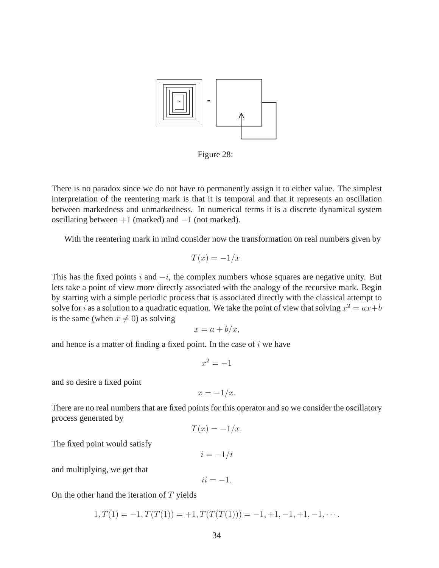

<span id="page-33-0"></span>Figure 28:

There is no paradox since we do not have to permanently assign it to either value. The simplest interpretation of the reentering mark is that it is temporal and that it represents an oscillation between markedness and unmarkedness. In numerical terms it is a discrete dynamical system oscillating between  $+1$  (marked) and  $-1$  (not marked).

With the reentering mark in mind consider now the transformation on real numbers given by

$$
T(x) = -1/x.
$$

This has the fixed points i and  $-i$ , the complex numbers whose squares are negative unity. But lets take a point of view more directly associated with the analogy of the recursive mark. Begin by starting with a simple periodic process that is associated directly with the classical attempt to solve for i as a solution to a quadratic equation. We take the point of view that solving  $x^2 = ax + b$ is the same (when  $x \neq 0$ ) as solving

$$
x = a + b/x,
$$

and hence is a matter of finding a fixed point. In the case of  $i$  we have

$$
x^2 = -1
$$

and so desire a fixed point

$$
x = -1/x.
$$

There are no real numbers that are fixed points for this operator and so we consider the oscillatory process generated by

$$
T(x) = -1/x.
$$

The fixed point would satisfy

$$
i = -1/i
$$

and multiplying, we get that

$$
ii = -1.
$$

On the other hand the iteration of  $T$  yields

$$
1, T(1) = -1, T(T(1)) = +1, T(T(T(1))) = -1, +1, -1, +1, -1, \cdots.
$$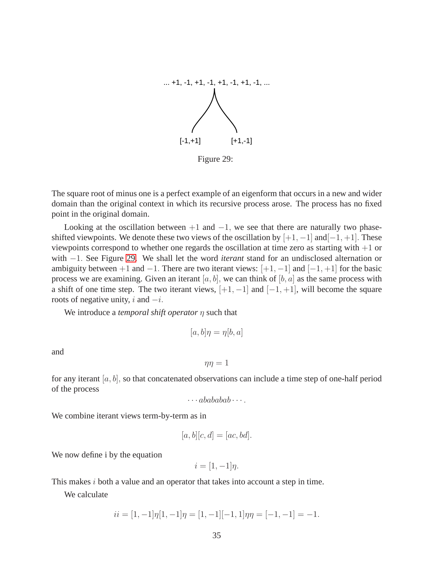

<span id="page-34-0"></span>Figure 29:

The square root of minus one is a perfect example of an eigenform that occurs in a new and wider domain than the original context in which its recursive process arose. The process has no fixed point in the original domain.

Looking at the oscillation between  $+1$  and  $-1$ , we see that there are naturally two phaseshifted viewpoints. We denote these two views of the oscillation by  $[+1, -1]$  and $[-1, +1]$ . These viewpoints correspond to whether one regards the oscillation at time zero as starting with  $+1$  or with −1. See Figure [29.](#page-34-0) We shall let the word *iterant* stand for an undisclosed alternation or ambiguity between  $+1$  and  $-1$ . There are two iterant views:  $[+1, -1]$  and  $[-1, +1]$  for the basic process we are examining. Given an iterant [a, b], we can think of [b, a] as the same process with a shift of one time step. The two iterant views,  $[+1, -1]$  and  $[-1, +1]$ , will become the square roots of negative unity, i and  $-i$ .

We introduce a *temporal shift operator* η such that

$$
[a, b]\eta = \eta[b, a]
$$

and

$$
\eta\eta=1
$$

for any iterant  $[a, b]$ , so that concatenated observations can include a time step of one-half period of the process

$$
\cdots abababab \cdots.
$$

We combine iterant views term-by-term as in

$$
[a, b][c, d] = [ac, bd].
$$

We now define i by the equation

$$
i = [1, -1]\eta.
$$

This makes i both a value and an operator that takes into account a step in time.

We calculate

$$
ii = [1, -1]\eta[1, -1]\eta = [1, -1][-1, 1]\eta\eta = [-1, -1] = -1.
$$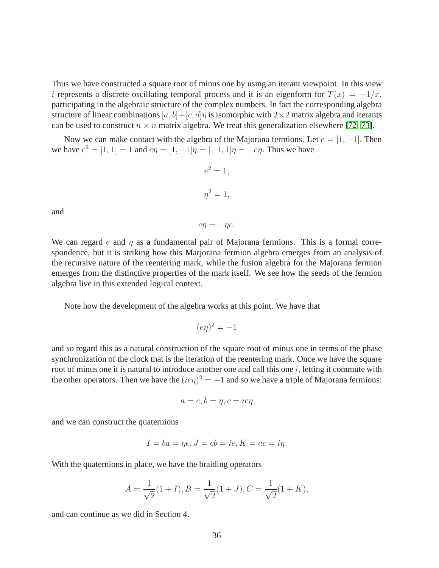Thus we have constructed a square root of minus one by using an iterant viewpoint. In this view i represents a discrete oscillating temporal process and it is an eigenform for  $T(x) = -1/x$ , participating in the algebraic structure of the complex numbers. In fact the corresponding algebra structure of linear combinations  $[a, b] + [c, d]$ η is isomorphic with  $2 \times 2$  matrix algebra and iterants can be used to construct  $n \times n$  matrix algebra. We treat this generalization elsewhere [\[72,](#page-121-3) [73\]](#page-121-4).

Now we can make contact with the algebra of the Majorana fermions. Let  $e = [1, -1]$ . Then we have  $e^2 = [1, 1] = 1$  and  $e\eta = [1, -1]\eta = [-1, 1]\eta = -e\eta$ . Thus we have

$$
e^2 = 1,
$$
  

$$
\eta^2 = 1,
$$

and

$$
e\eta=-\eta e.
$$

We can regard e and  $\eta$  as a fundamental pair of Majorana fermions. This is a formal correspondence, but it is striking how this Marjorana fermion algebra emerges from an analysis of the recursive nature of the reentering mark, while the fusion algebra for the Majorana fermion emerges from the distinctive properties of the mark itself. We see how the seeds of the fermion algebra live in this extended logical context.

Note how the development of the algebra works at this point. We have that

$$
(e\eta)^2 = -1
$$

and so regard this as a natural construction of the square root of minus one in terms of the phase synchronization of the clock that is the iteration of the reentering mark. Once we have the square root of minus one it is natural to introduce another one and call this one  $i$ , letting it commute with the other operators. Then we have the  $(ie\eta)^2 = +1$  and so we have a triple of Majorana fermions:

$$
a = e, b = \eta, c = ie\eta
$$

and we can construct the quaternions

$$
I = ba = \eta e, J = cb = ie, K = ac = i\eta.
$$

With the quaternions in place, we have the braiding operators

$$
A = \frac{1}{\sqrt{2}}(1+I), B = \frac{1}{\sqrt{2}}(1+J), C = \frac{1}{\sqrt{2}}(1+K),
$$

and can continue as we did in Section 4.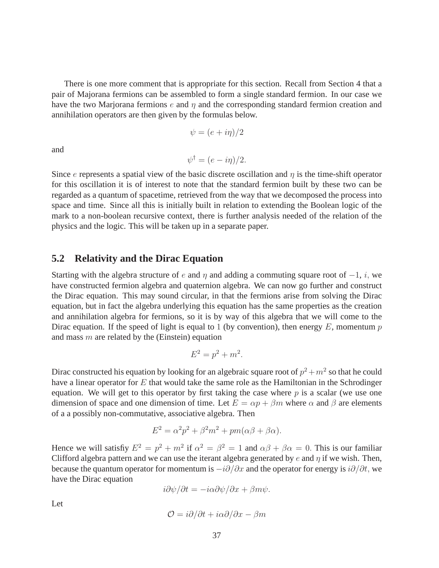There is one more comment that is appropriate for this section. Recall from Section 4 that a pair of Majorana fermions can be assembled to form a single standard fermion. In our case we have the two Marjorana fermions  $e$  and  $\eta$  and the corresponding standard fermion creation and annihilation operators are then given by the formulas below.

$$
\psi=(e+i\eta)/2
$$

and

$$
\psi^{\dagger} = (e - i\eta)/2.
$$

Since e represents a spatial view of the basic discrete oscillation and  $\eta$  is the time-shift operator for this oscillation it is of interest to note that the standard fermion built by these two can be regarded as a quantum of spacetime, retrieved from the way that we decomposed the process into space and time. Since all this is initially built in relation to extending the Boolean logic of the mark to a non-boolean recursive context, there is further analysis needed of the relation of the physics and the logic. This will be taken up in a separate paper.

### **5.2 Relativity and the Dirac Equation**

Starting with the algebra structure of e and  $\eta$  and adding a commuting square root of  $-1$ , i, we have constructed fermion algebra and quaternion algebra. We can now go further and construct the Dirac equation. This may sound circular, in that the fermions arise from solving the Dirac equation, but in fact the algebra underlying this equation has the same properties as the creation and annihilation algebra for fermions, so it is by way of this algebra that we will come to the Dirac equation. If the speed of light is equal to 1 (by convention), then energy  $E$ , momentum  $p$ and mass  $m$  are related by the (Einstein) equation

$$
E^2 = p^2 + m^2.
$$

Dirac constructed his equation by looking for an algebraic square root of  $p^2 + m^2$  so that he could have a linear operator for  $E$  that would take the same role as the Hamiltonian in the Schrodinger equation. We will get to this operator by first taking the case where  $p$  is a scalar (we use one dimension of space and one dimension of time. Let  $E = \alpha p + \beta m$  where  $\alpha$  and  $\beta$  are elements of a a possibly non-commutative, associative algebra. Then

$$
E^2 = \alpha^2 p^2 + \beta^2 m^2 + pm(\alpha \beta + \beta \alpha).
$$

Hence we will satisfiy  $E^2 = p^2 + m^2$  if  $\alpha^2 = \beta^2 = 1$  and  $\alpha\beta + \beta\alpha = 0$ . This is our familiar Clifford algebra pattern and we can use the iterant algebra generated by e and  $\eta$  if we wish. Then, because the quantum operator for momentum is  $-i\partial/\partial x$  and the operator for energy is  $i\partial/\partial t$ , we have the Dirac equation

$$
i\partial\psi/\partial t = -i\alpha\partial\psi/\partial x + \beta m\psi.
$$

Let

$$
\mathcal{O} = i\partial/\partial t + i\alpha \partial/\partial x - \beta m
$$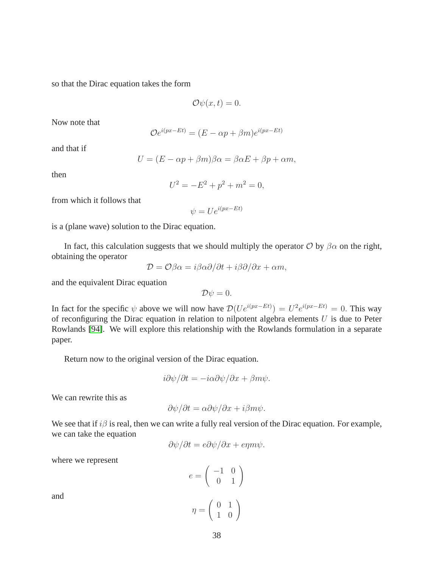so that the Dirac equation takes the form

$$
\mathcal{O}\psi(x,t)=0.
$$

Now note that

$$
Ce^{i(px-Et)} = (E - \alpha p + \beta m)e^{i(px-Et)}
$$

and that if

$$
U = (E - \alpha p + \beta m)\beta \alpha = \beta \alpha E + \beta p + \alpha m,
$$

then

$$
U^2 = -E^2 + p^2 + m^2 = 0,
$$

from which it follows that

$$
\psi = U e^{i(px - Et)}
$$

is a (plane wave) solution to the Dirac equation.

In fact, this calculation suggests that we should multiply the operator  $\mathcal O$  by  $\beta\alpha$  on the right, obtaining the operator

$$
\mathcal{D} = \mathcal{O}\beta\alpha = i\beta\alpha\partial/\partial t + i\beta\partial/\partial x + \alpha m,
$$

and the equivalent Dirac equation

$$
\mathcal{D}\psi=0.
$$

In fact for the specific  $\psi$  above we will now have  $\mathcal{D}(Ue^{i(px - Et)}) = U^2 e^{i(px - Et)} = 0$ . This way of reconfiguring the Dirac equation in relation to nilpotent algebra elements  $U$  is due to Peter Rowlands [\[94\]](#page-122-0). We will explore this relationship with the Rowlands formulation in a separate paper.

Return now to the original version of the Dirac equation.

$$
i\partial\psi/\partial t = -i\alpha\partial\psi/\partial x + \beta m\psi.
$$

We can rewrite this as

$$
\frac{\partial \psi}{\partial t} = \alpha \frac{\partial \psi}{\partial x} + i \beta m \psi.
$$

We see that if  $i\beta$  is real, then we can write a fully real version of the Dirac equation. For example, we can take the equation

$$
\frac{\partial \psi}{\partial t} = e \frac{\partial \psi}{\partial x} + e \eta m \psi.
$$

where we represent

$$
e = \begin{pmatrix} -1 & 0 \\ 0 & 1 \end{pmatrix}
$$

$$
\eta = \begin{pmatrix} 0 & 1 \\ 1 & 0 \end{pmatrix}
$$

and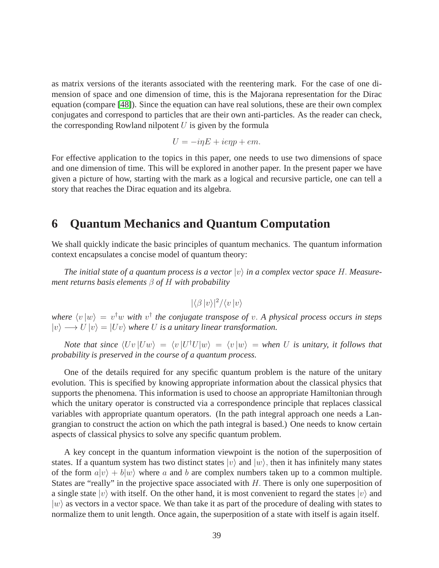as matrix versions of the iterants associated with the reentering mark. For the case of one dimension of space and one dimension of time, this is the Majorana representation for the Dirac equation (compare [\[48\]](#page-119-0)). Since the equation can have real solutions, these are their own complex conjugates and correspond to particles that are their own anti-particles. As the reader can check, the corresponding Rowland nilpotent  $U$  is given by the formula

 $U = -inE + iemp + em.$ 

For effective application to the topics in this paper, one needs to use two dimensions of space and one dimension of time. This will be explored in another paper. In the present paper we have given a picture of how, starting with the mark as a logical and recursive particle, one can tell a story that reaches the Dirac equation and its algebra.

## **6 Quantum Mechanics and Quantum Computation**

We shall quickly indicate the basic principles of quantum mechanics. The quantum information context encapsulates a concise model of quantum theory:

*The initial state of a quantum process is a vector*  $|v\rangle$  *in a complex vector space H. Measurement returns basis elements* β *of* H *with probability*

$$
|\langle \beta | v \rangle|^2 / \langle v | v \rangle
$$

where  $\langle v | w \rangle = v^{\dagger} w$  with  $v^{\dagger}$  the conjugate transpose of v. A physical process occurs in steps  $|v\rangle \longrightarrow U |v\rangle = |Uv\rangle$  *where* U is a unitary linear transformation.

*Note that since*  $\langle Uv | Uw \rangle = \langle v | U^{\dagger}U | w \rangle = \langle v | w \rangle$  = when U is unitary, it follows that *probability is preserved in the course of a quantum process.*

One of the details required for any specific quantum problem is the nature of the unitary evolution. This is specified by knowing appropriate information about the classical physics that supports the phenomena. This information is used to choose an appropriate Hamiltonian through which the unitary operator is constructed via a correspondence principle that replaces classical variables with appropriate quantum operators. (In the path integral approach one needs a Langrangian to construct the action on which the path integral is based.) One needs to know certain aspects of classical physics to solve any specific quantum problem.

A key concept in the quantum information viewpoint is the notion of the superposition of states. If a quantum system has two distinct states  $|v\rangle$  and  $|w\rangle$ , then it has infinitely many states of the form  $a|v\rangle + b|w\rangle$  where a and b are complex numbers taken up to a common multiple. States are "really" in the projective space associated with  $H$ . There is only one superposition of a single state  $|v\rangle$  with itself. On the other hand, it is most convenient to regard the states  $|v\rangle$  and  $|w\rangle$  as vectors in a vector space. We than take it as part of the procedure of dealing with states to normalize them to unit length. Once again, the superposition of a state with itself is again itself.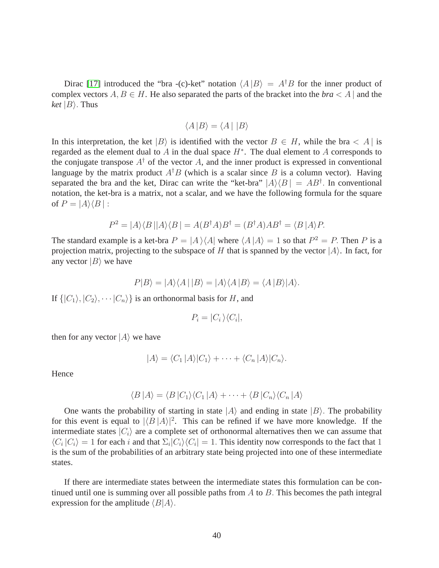Dirac [\[17\]](#page-117-0) introduced the "bra -(c)-ket" notation  $\langle A | B \rangle = A^{\dagger}B$  for the inner product of complex vectors  $A, B \in H$ . He also separated the parts of the bracket into the *bra*  $\lt A$  | and the *ket*  $|B\rangle$ . Thus

$$
\langle A|B\rangle = \langle A| |B\rangle
$$

In this interpretation, the ket  $|B\rangle$  is identified with the vector  $B \in H$ , while the bra  $\langle A |$  is regarded as the element dual to A in the dual space  $H^*$ . The dual element to A corresponds to the conjugate transpose  $A^{\dagger}$  of the vector A, and the inner product is expressed in conventional language by the matrix product  $A^{\dagger}B$  (which is a scalar since B is a column vector). Having separated the bra and the ket, Dirac can write the "ket-bra"  $|A\rangle\langle B| = AB^{\dagger}$ . In conventional notation, the ket-bra is a matrix, not a scalar, and we have the following formula for the square of  $P = |A\rangle\langle B|$  :

$$
P^2 = |A\rangle\langle B||A\rangle\langle B| = A(B^{\dagger}A)B^{\dagger} = (B^{\dagger}A)AB^{\dagger} = \langle B|A\rangle P.
$$

The standard example is a ket-bra  $P = |A\rangle\langle A|$  where  $\langle A | A \rangle = 1$  so that  $P^2 = P$ . Then P is a projection matrix, projecting to the subspace of H that is spanned by the vector  $|A\rangle$ . In fact, for any vector  $|B\rangle$  we have

$$
P|B\rangle = |A\rangle\langle A| |B\rangle = |A\rangle\langle A|B\rangle = \langle A|B\rangle|A\rangle.
$$

If  $\{|C_1\rangle, |C_2\rangle, \cdots, |C_n\rangle\}$  is an orthonormal basis for H, and

$$
P_i = |C_i\rangle\langle C_i|,
$$

then for any vector  $|A\rangle$  we have

$$
|A\rangle = \langle C_1 | A \rangle | C_1 \rangle + \cdots + \langle C_n | A \rangle | C_n \rangle.
$$

Hence

$$
\langle B | A \rangle = \langle B | C_1 \rangle \langle C_1 | A \rangle + \cdots + \langle B | C_n \rangle \langle C_n | A \rangle
$$

One wants the probability of starting in state  $|A\rangle$  and ending in state  $|B\rangle$ . The probability for this event is equal to  $|\langle B | A \rangle|^2$ . This can be refined if we have more knowledge. If the intermediate states  $|C_i\rangle$  are a complete set of orthonormal alternatives then we can assume that  $\langle C_i | C_i \rangle = 1$  for each i and that  $\Sigma_i | C_i \rangle \langle C_i | = 1$ . This identity now corresponds to the fact that 1 is the sum of the probabilities of an arbitrary state being projected into one of these intermediate states.

If there are intermediate states between the intermediate states this formulation can be continued until one is summing over all possible paths from  $A$  to  $B$ . This becomes the path integral expression for the amplitude  $\langle B|A \rangle$ .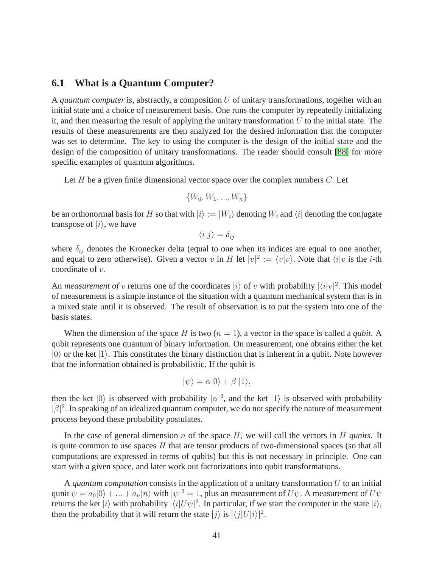#### **6.1 What is a Quantum Computer?**

A *quantum computer* is, abstractly, a composition U of unitary transformations, together with an initial state and a choice of measurement basis. One runs the computer by repeatedly initializing it, and then measuring the result of applying the unitary transformation  $U$  to the initial state. The results of these measurements are then analyzed for the desired information that the computer was set to determine. The key to using the computer is the design of the initial state and the design of the composition of unitary transformations. The reader should consult [\[88\]](#page-122-1) for more specific examples of quantum algorithms.

Let  $H$  be a given finite dimensional vector space over the complex numbers  $C$ . Let

$$
\{W_0, W_1, ..., W_n\}
$$

be an orthonormal basis for H so that with  $|i\rangle := |W_i\rangle$  denoting  $W_i$  and  $\langle i|$  denoting the conjugate transpose of  $|i\rangle$ , we have

 $\langle i | j \rangle = \delta_{ij}$ 

where  $\delta_{ij}$  denotes the Kronecker delta (equal to one when its indices are equal to one another, and equal to zero otherwise). Given a vector v in H let  $|v|^2 := \langle v|v \rangle$ . Note that  $\langle i|v$  is the *i*-th coordinate of  $v$ .

An *measurement of* v returns one of the coordinates  $|i\rangle$  of v with probability  $|\langle i|v|^2$ . This model of measurement is a simple instance of the situation with a quantum mechanical system that is in a mixed state until it is observed. The result of observation is to put the system into one of the basis states.

When the dimension of the space H is two  $(n = 1)$ , a vector in the space is called a *qubit*. A qubit represents one quantum of binary information. On measurement, one obtains either the ket  $|0\rangle$  or the ket  $|1\rangle$ . This constitutes the binary distinction that is inherent in a qubit. Note however that the information obtained is probabilistic. If the qubit is

$$
|\psi\rangle = \alpha|0\rangle + \beta|1\rangle,
$$

then the ket  $|0\rangle$  is observed with probability  $|\alpha|^2$ , and the ket  $|1\rangle$  is observed with probability  $|\beta|^2$ . In speaking of an idealized quantum computer, we do not specify the nature of measurement process beyond these probability postulates.

In the case of general dimension n of the space  $H$ , we will call the vectors in  $H$  *qunits*. It is quite common to use spaces  $H$  that are tensor products of two-dimensional spaces (so that all computations are expressed in terms of qubits) but this is not necessary in principle. One can start with a given space, and later work out factorizations into qubit transformations.

A *quantum computation* consists in the application of a unitary transformation U to an initial qunit  $\psi = a_0 |0\rangle + ... + a_n |n\rangle$  with  $|\psi|^2 = 1$ , plus an measurement of  $U\psi$ . A measurement of  $U\psi$ returns the ket  $|i\rangle$  with probability  $|\langle i|U\psi|^2$ . In particular, if we start the computer in the state  $|i\rangle$ , then the probability that it will return the state  $|j\rangle$  is  $|\langle j|U|i\rangle|^2$ .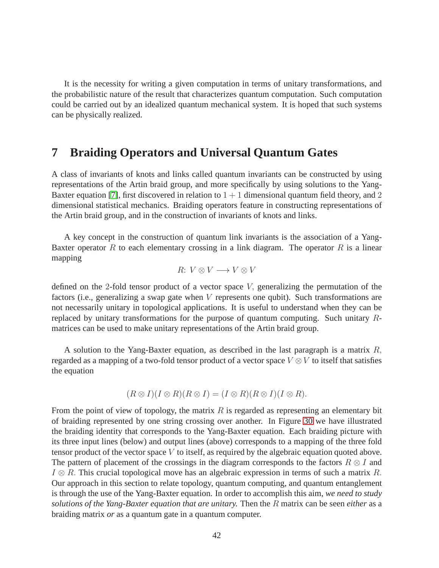It is the necessity for writing a given computation in terms of unitary transformations, and the probabilistic nature of the result that characterizes quantum computation. Such computation could be carried out by an idealized quantum mechanical system. It is hoped that such systems can be physically realized.

## **7 Braiding Operators and Universal Quantum Gates**

A class of invariants of knots and links called quantum invariants can be constructed by using representations of the Artin braid group, and more specifically by using solutions to the Yang-Baxter equation [\[7\]](#page-116-0), first discovered in relation to  $1 + 1$  dimensional quantum field theory, and 2 dimensional statistical mechanics. Braiding operators feature in constructing representations of the Artin braid group, and in the construction of invariants of knots and links.

A key concept in the construction of quantum link invariants is the association of a Yang-Baxter operator R to each elementary crossing in a link diagram. The operator R is a linear mapping

$$
R: V \otimes V \longrightarrow V \otimes V
$$

defined on the 2-fold tensor product of a vector space  $V$ , generalizing the permutation of the factors (i.e., generalizing a swap gate when V represents one qubit). Such transformations are not necessarily unitary in topological applications. It is useful to understand when they can be replaced by unitary transformations for the purpose of quantum computing. Such unitary  $R$ matrices can be used to make unitary representations of the Artin braid group.

A solution to the Yang-Baxter equation, as described in the last paragraph is a matrix  $R$ , regarded as a mapping of a two-fold tensor product of a vector space  $V \otimes V$  to itself that satisfies the equation

$$
(R \otimes I)(I \otimes R)(R \otimes I) = (I \otimes R)(R \otimes I)(I \otimes R).
$$

From the point of view of topology, the matrix  $R$  is regarded as representing an elementary bit of braiding represented by one string crossing over another. In Figure [30](#page-42-0) we have illustrated the braiding identity that corresponds to the Yang-Baxter equation. Each braiding picture with its three input lines (below) and output lines (above) corresponds to a mapping of the three fold tensor product of the vector space  $V$  to itself, as required by the algebraic equation quoted above. The pattern of placement of the crossings in the diagram corresponds to the factors  $R \otimes I$  and  $I \otimes R$ . This crucial topological move has an algebraic expression in terms of such a matrix R. Our approach in this section to relate topology, quantum computing, and quantum entanglement is through the use of the Yang-Baxter equation. In order to accomplish this aim, *we need to study solutions of the Yang-Baxter equation that are unitary.* Then the R matrix can be seen *either* as a braiding matrix *or* as a quantum gate in a quantum computer.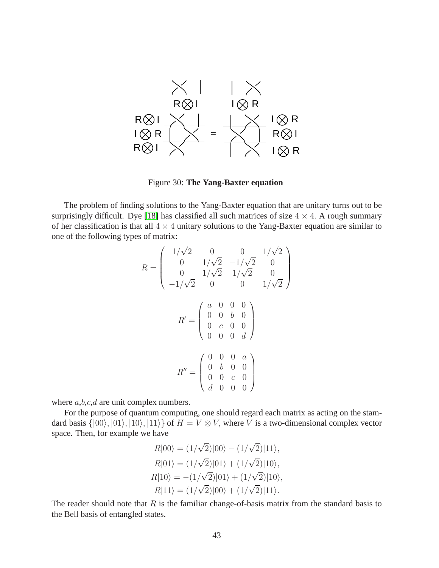

<span id="page-42-0"></span>Figure 30: **The Yang-Baxter equation**

The problem of finding solutions to the Yang-Baxter equation that are unitary turns out to be surprisingly difficult. Dye [\[18\]](#page-117-1) has classified all such matrices of size  $4 \times 4$ . A rough summary of her classification is that all  $4 \times 4$  unitary solutions to the Yang-Baxter equation are similar to one of the following types of matrix:

$$
R = \begin{pmatrix} 1/\sqrt{2} & 0 & 0 & 1/\sqrt{2} \\ 0 & 1/\sqrt{2} & -1/\sqrt{2} & 0 \\ 0 & 1/\sqrt{2} & 1/\sqrt{2} & 0 \\ -1/\sqrt{2} & 0 & 0 & 1/\sqrt{2} \end{pmatrix}
$$

$$
R' = \begin{pmatrix} a & 0 & 0 & 0 \\ 0 & 0 & b & 0 \\ 0 & c & 0 & 0 \\ 0 & 0 & 0 & d \end{pmatrix}
$$

$$
R'' = \begin{pmatrix} 0 & 0 & 0 & a \\ 0 & b & 0 & 0 \\ 0 & 0 & c & 0 \\ d & 0 & 0 & 0 \end{pmatrix}
$$

where  $a,b,c,d$  are unit complex numbers.

For the purpose of quantum computing, one should regard each matrix as acting on the stamdard basis  $\{|00\rangle, |01\rangle, |10\rangle, |11\rangle\}$  of  $H = V \otimes V$ , where V is a two-dimensional complex vector space. Then, for example we have

$$
R|00\rangle = (1/\sqrt{2})|00\rangle - (1/\sqrt{2})|11\rangle,
$$
  
\n
$$
R|01\rangle = (1/\sqrt{2})|01\rangle + (1/\sqrt{2})|10\rangle,
$$
  
\n
$$
R|10\rangle = -(1/\sqrt{2})|01\rangle + (1/\sqrt{2})|10\rangle,
$$
  
\n
$$
R|11\rangle = (1/\sqrt{2})|00\rangle + (1/\sqrt{2})|11\rangle.
$$

The reader should note that  $R$  is the familiar change-of-basis matrix from the standard basis to the Bell basis of entangled states.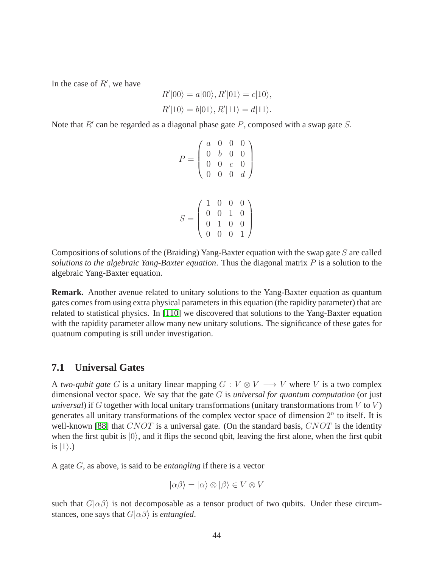In the case of  $R'$ , we have

$$
R'|00\rangle = a|00\rangle, R'|01\rangle = c|10\rangle,
$$
  

$$
R'|10\rangle = b|01\rangle, R'|11\rangle = d|11\rangle.
$$

Note that  $R'$  can be regarded as a diagonal phase gate  $P$ , composed with a swap gate  $S$ .

$$
P = \begin{pmatrix} a & 0 & 0 & 0 \\ 0 & b & 0 & 0 \\ 0 & 0 & c & 0 \\ 0 & 0 & 0 & d \end{pmatrix}
$$

$$
S = \begin{pmatrix} 1 & 0 & 0 & 0 \\ 0 & 0 & 1 & 0 \\ 0 & 1 & 0 & 0 \\ 0 & 0 & 0 & 1 \end{pmatrix}
$$

Compositions of solutions of the (Braiding) Yang-Baxter equation with the swap gate  $S$  are called *solutions to the algebraic Yang-Baxter equation*. Thus the diagonal matrix P is a solution to the algebraic Yang-Baxter equation.

**Remark.** Another avenue related to unitary solutions to the Yang-Baxter equation as quantum gates comes from using extra physical parameters in this equation (the rapidity parameter) that are related to statistical physics. In [\[110\]](#page-123-0) we discovered that solutions to the Yang-Baxter equation with the rapidity parameter allow many new unitary solutions. The significance of these gates for quatnum computing is still under investigation.

### **7.1 Universal Gates**

A *two-qubit gate* G is a unitary linear mapping  $G: V \otimes V \longrightarrow V$  where V is a two complex dimensional vector space. We say that the gate G is *universal for quantum computation* (or just *universal*) if G together with local unitary transformations (unitary transformations from  $V$  to  $V$ ) generates all unitary transformations of the complex vector space of dimension  $2<sup>n</sup>$  to itself. It is well-known [\[88\]](#page-122-1) that  $CNOT$  is a universal gate. (On the standard basis,  $CNOT$  is the identity when the first qubit is  $|0\rangle$ , and it flips the second qbit, leaving the first alone, when the first qubit is  $|1\rangle$ .)

A gate G, as above, is said to be *entangling* if there is a vector

$$
|\alpha\beta\rangle = |\alpha\rangle \otimes |\beta\rangle \in V \otimes V
$$

such that  $G|\alpha\beta\rangle$  is not decomposable as a tensor product of two qubits. Under these circumstances, one says that  $G|\alpha\beta\rangle$  is *entangled*.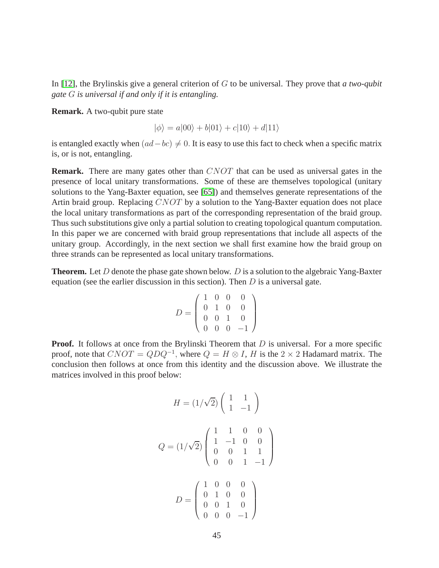In [\[12\]](#page-117-2), the Brylinskis give a general criterion of G to be universal. They prove that *a two-qubit gate* G *is universal if and only if it is entangling.*

**Remark.** A two-qubit pure state

$$
|\phi\rangle = a|00\rangle + b|01\rangle + c|10\rangle + d|11\rangle
$$

is entangled exactly when  $(ad-bc) \neq 0$ . It is easy to use this fact to check when a specific matrix is, or is not, entangling.

**Remark.** There are many gates other than CNOT that can be used as universal gates in the presence of local unitary transformations. Some of these are themselves topological (unitary solutions to the Yang-Baxter equation, see [\[65\]](#page-120-0)) and themselves generate representations of the Artin braid group. Replacing CNOT by a solution to the Yang-Baxter equation does not place the local unitary transformations as part of the corresponding representation of the braid group. Thus such substitutions give only a partial solution to creating topological quantum computation. In this paper we are concerned with braid group representations that include all aspects of the unitary group. Accordingly, in the next section we shall first examine how the braid group on three strands can be represented as local unitary transformations.

**Theorem.** Let D denote the phase gate shown below. D is a solution to the algebraic Yang-Baxter equation (see the earlier discussion in this section). Then  $D$  is a universal gate.

$$
D = \left(\begin{array}{cccc} 1 & 0 & 0 & 0 \\ 0 & 1 & 0 & 0 \\ 0 & 0 & 1 & 0 \\ 0 & 0 & 0 & -1 \end{array}\right)
$$

**Proof.** It follows at once from the Brylinski Theorem that D is universal. For a more specific proof, note that  $CNOT = QDQ^{-1}$ , where  $Q = H \otimes I$ , H is the 2 × 2 Hadamard matrix. The conclusion then follows at once from this identity and the discussion above. We illustrate the matrices involved in this proof below:

$$
H = (1/\sqrt{2}) \begin{pmatrix} 1 & 1 \\ 1 & -1 \end{pmatrix}
$$
  

$$
Q = (1/\sqrt{2}) \begin{pmatrix} 1 & 1 & 0 & 0 \\ 1 & -1 & 0 & 0 \\ 0 & 0 & 1 & 1 \\ 0 & 0 & 1 & -1 \end{pmatrix}
$$
  

$$
D = \begin{pmatrix} 1 & 0 & 0 & 0 \\ 0 & 1 & 0 & 0 \\ 0 & 0 & 1 & 0 \\ 0 & 0 & 0 & -1 \end{pmatrix}
$$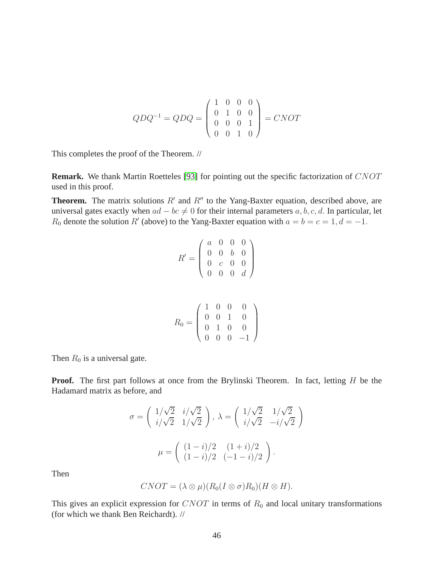$$
QDQ^{-1} = QDQ = \begin{pmatrix} 1 & 0 & 0 & 0 \\ 0 & 1 & 0 & 0 \\ 0 & 0 & 0 & 1 \\ 0 & 0 & 1 & 0 \end{pmatrix} = CNOT
$$

This completes the proof of the Theorem. //

**Remark.** We thank Martin Roetteles [\[93\]](#page-122-2) for pointing out the specific factorization of CNOT used in this proof.

**Theorem.** The matrix solutions  $R'$  and  $R''$  to the Yang-Baxter equation, described above, are universal gates exactly when  $ad - bc \neq 0$  for their internal parameters a, b, c, d. In particular, let  $R_0$  denote the solution  $R'$  (above) to the Yang-Baxter equation with  $a = b = c = 1, d = -1$ .

$$
R' = \left(\begin{array}{cccc} a & 0 & 0 & 0 \\ 0 & 0 & b & 0 \\ 0 & c & 0 & 0 \\ 0 & 0 & 0 & d \end{array}\right)
$$

$$
R_0 = \left(\begin{array}{rrrr} 1 & 0 & 0 & 0 \\ 0 & 0 & 1 & 0 \\ 0 & 1 & 0 & 0 \\ 0 & 0 & 0 & -1 \end{array}\right)
$$

Then  $R_0$  is a universal gate.

**Proof.** The first part follows at once from the Brylinski Theorem. In fact, letting H be the Hadamard matrix as before, and

$$
\sigma = \begin{pmatrix} 1/\sqrt{2} & i/\sqrt{2} \\ i/\sqrt{2} & 1/\sqrt{2} \end{pmatrix}, \lambda = \begin{pmatrix} 1/\sqrt{2} & 1/\sqrt{2} \\ i/\sqrt{2} & -i/\sqrt{2} \end{pmatrix}
$$

$$
\mu = \begin{pmatrix} (1-i)/2 & (1+i)/2 \\ (1-i)/2 & (-1-i)/2 \end{pmatrix}.
$$

Then

$$
CNOT = (\lambda \otimes \mu)(R_0(I \otimes \sigma)R_0)(H \otimes H).
$$

This gives an explicit expression for  $CNOT$  in terms of  $R_0$  and local unitary transformations (for which we thank Ben Reichardt). //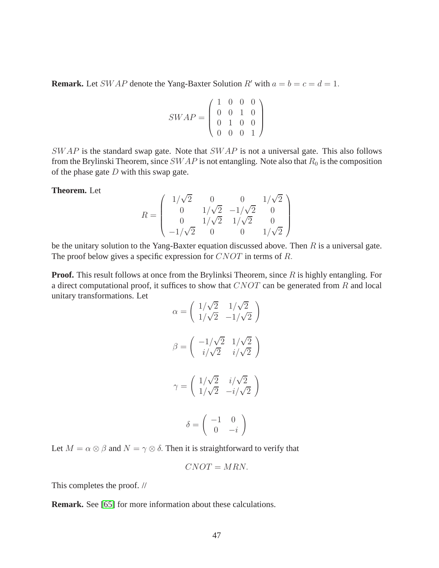**Remark.** Let SWAP denote the Yang-Baxter Solution R' with  $a = b = c = d = 1$ .

$$
SWAP = \left(\begin{array}{cccc} 1 & 0 & 0 & 0 \\ 0 & 0 & 1 & 0 \\ 0 & 1 & 0 & 0 \\ 0 & 0 & 0 & 1 \end{array}\right)
$$

 $SWAP$  is the standard swap gate. Note that  $SWAP$  is not a universal gate. This also follows from the Brylinski Theorem, since  $SWAP$  is not entangling. Note also that  $R_0$  is the composition of the phase gate  $D$  with this swap gate.

**Theorem.** Let

$$
R = \begin{pmatrix} 1/\sqrt{2} & 0 & 0 & 1/\sqrt{2} \\ 0 & 1/\sqrt{2} & -1/\sqrt{2} & 0 \\ 0 & 1/\sqrt{2} & 1/\sqrt{2} & 0 \\ -1/\sqrt{2} & 0 & 0 & 1/\sqrt{2} \end{pmatrix}
$$

be the unitary solution to the Yang-Baxter equation discussed above. Then  $R$  is a universal gate. The proof below gives a specific expression for CNOT in terms of R.

**Proof.** This result follows at once from the Brylinksi Theorem, since R is highly entangling. For a direct computational proof, it suffices to show that  $CNOT$  can be generated from  $R$  and local unitary transformations. Let  $\equiv$ 

$$
\alpha = \begin{pmatrix} 1/\sqrt{2} & 1/\sqrt{2} \\ 1/\sqrt{2} & -1/\sqrt{2} \end{pmatrix}
$$

$$
\beta = \begin{pmatrix} -1/\sqrt{2} & 1/\sqrt{2} \\ i/\sqrt{2} & i/\sqrt{2} \end{pmatrix}
$$

$$
\gamma = \begin{pmatrix} 1/\sqrt{2} & i/\sqrt{2} \\ 1/\sqrt{2} & -i/\sqrt{2} \end{pmatrix}
$$

$$
\delta = \begin{pmatrix} -1 & 0 \\ 0 & -i \end{pmatrix}
$$

Let  $M = \alpha \otimes \beta$  and  $N = \gamma \otimes \delta$ . Then it is straightforward to verify that

$$
CNOT = MRN.
$$

This completes the proof. //

**Remark.** See [\[65\]](#page-120-0) for more information about these calculations.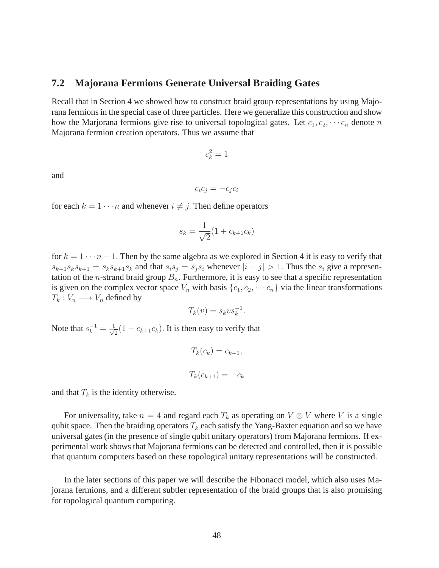### **7.2 Majorana Fermions Generate Universal Braiding Gates**

Recall that in Section 4 we showed how to construct braid group representations by using Majorana fermions in the special case of three particles. Here we generalize this construction and show how the Marjorana fermions give rise to universal topological gates. Let  $c_1, c_2, \cdots c_n$  denote n Majorana fermion creation operators. Thus we assume that

$$
c_k^2 = 1
$$

and

 $c_i c_j = -c_j c_i$ 

for each  $k = 1 \cdots n$  and whenever  $i \neq j$ . Then define operators

$$
s_k = \frac{1}{\sqrt{2}} (1 + c_{k+1} c_k)
$$

for  $k = 1 \cdots n - 1$ . Then by the same algebra as we explored in Section 4 it is easy to verify that  $s_{k+1}s_{k}s_{k+1} = s_{k}s_{k+1}s_{k}$  and that  $s_{i}s_{j} = s_{j}s_{i}$  whenever  $|i - j| > 1$ . Thus the  $s_{i}$  give a representation of the *n*-strand braid group  $B_n$ . Furthermore, it is easy to see that a specific representation is given on the complex vector space  $V_n$  with basis  $\{c_1, c_2, \dots, c_n\}$  via the linear transformations  $T_k : V_n \longrightarrow V_n$  defined by

$$
T_k(v) = s_k v s_k^{-1}.
$$

Note that  $s_k^{-1} = \frac{1}{\sqrt{s}}$  $\frac{1}{2}(1 - c_{k+1}c_k)$ . It is then easy to verify that

$$
T_k(c_k) = c_{k+1},
$$
  

$$
T_k(c_{k+1}) = -c_k
$$

and that  $T_k$  is the identity otherwise.

For universality, take  $n = 4$  and regard each  $T_k$  as operating on  $V \otimes V$  where V is a single qubit space. Then the braiding operators  $T_k$  each satisfy the Yang-Baxter equation and so we have universal gates (in the presence of single qubit unitary operators) from Majorana fermions. If experimental work shows that Majorana fermions can be detected and controlled, then it is possible that quantum computers based on these topological unitary representations will be constructed.

In the later sections of this paper we will describe the Fibonacci model, which also uses Majorana fermions, and a different subtler representation of the braid groups that is also promising for topological quantum computing.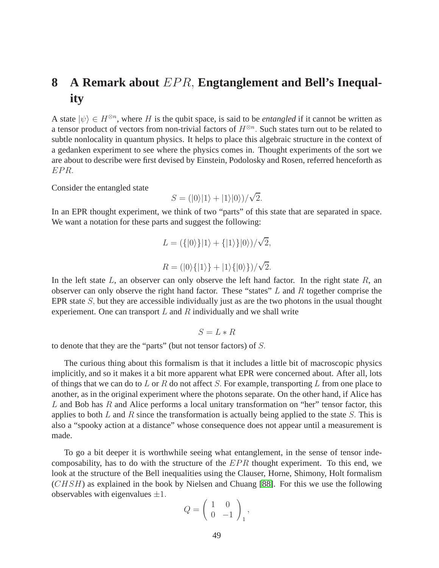# **8 A Remark about** EP R, **Engtanglement and Bell's Inequality**

A state  $|\psi\rangle \in H^{\otimes n}$ , where H is the qubit space, is said to be *entangled* if it cannot be written as a tensor product of vectors from non-trivial factors of  $H^{\otimes n}$ . Such states turn out to be related to subtle nonlocality in quantum physics. It helps to place this algebraic structure in the context of a gedanken experiment to see where the physics comes in. Thought experiments of the sort we are about to describe were first devised by Einstein, Podolosky and Rosen, referred henceforth as EP R.

Consider the entangled state

$$
S = (|0\rangle|1\rangle + |1\rangle|0\rangle)/\sqrt{2}.
$$

In an EPR thought experiment, we think of two "parts" of this state that are separated in space. We want a notation for these parts and suggest the following:

$$
L = (\{|0\rangle\}|1\rangle + \{|1\rangle\}|0\rangle)/\sqrt{2},
$$
  

$$
R = (|0\rangle\{|1\rangle\} + |1\rangle\{|0\rangle\})/\sqrt{2}.
$$

In the left state  $L$ , an observer can only observe the left hand factor. In the right state  $R$ , an observer can only observe the right hand factor. These "states"  $L$  and  $R$  together comprise the EPR state S, but they are accessible individually just as are the two photons in the usual thought experiement. One can transport  $L$  and  $R$  individually and we shall write

$$
S = L * R
$$

to denote that they are the "parts" (but not tensor factors) of S.

The curious thing about this formalism is that it includes a little bit of macroscopic physics implicitly, and so it makes it a bit more apparent what EPR were concerned about. After all, lots of things that we can do to  $L$  or  $R$  do not affect  $S$ . For example, transporting  $L$  from one place to another, as in the original experiment where the photons separate. On the other hand, if Alice has  $L$  and Bob has  $R$  and Alice performs a local unitary transformation on "her" tensor factor, this applies to both L and R since the transformation is actually being applied to the state S. This is also a "spooky action at a distance" whose consequence does not appear until a measurement is made.

To go a bit deeper it is worthwhile seeing what entanglement, in the sense of tensor indecomposability, has to do with the structure of the  $EPR$  thought experiment. To this end, we look at the structure of the Bell inequalities using the Clauser, Horne, Shimony, Holt formalism (CHSH) as explained in the book by Nielsen and Chuang [\[88\]](#page-122-1). For this we use the following observables with eigenvalues  $\pm 1$ .

$$
Q = \left(\begin{array}{cc} 1 & 0 \\ 0 & -1 \end{array}\right)_1,
$$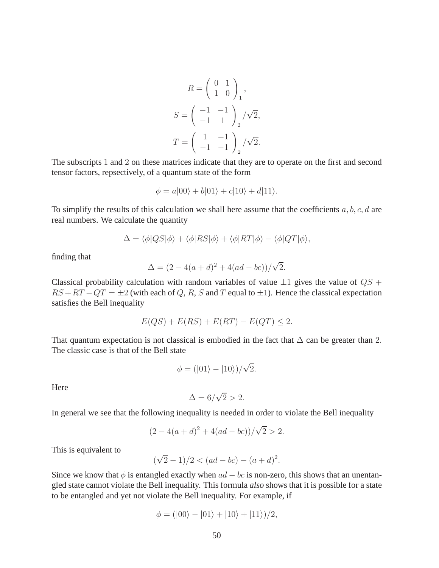$$
R = \begin{pmatrix} 0 & 1 \\ 1 & 0 \end{pmatrix},
$$

$$
S = \begin{pmatrix} -1 & -1 \\ -1 & 1 \end{pmatrix}, / \sqrt{2},
$$

$$
T = \begin{pmatrix} 1 & -1 \\ -1 & -1 \end{pmatrix}, / \sqrt{2}.
$$

The subscripts 1 and 2 on these matrices indicate that they are to operate on the first and second tensor factors, repsectively, of a quantum state of the form

$$
\phi = a|00\rangle + b|01\rangle + c|10\rangle + d|11\rangle.
$$

To simplify the results of this calculation we shall here assume that the coefficients  $a, b, c, d$  are real numbers. We calculate the quantity

$$
\Delta = \langle \phi | QS | \phi \rangle + \langle \phi | RS | \phi \rangle + \langle \phi | RT | \phi \rangle - \langle \phi | QT | \phi \rangle,
$$

finding that

$$
\Delta = (2 - 4(a + d)^2 + 4(ad - bc)) / \sqrt{2}.
$$

Classical probability calculation with random variables of value  $\pm 1$  gives the value of  $QS +$  $RS + RT - QT = \pm 2$  (with each of Q, R, S and T equal to  $\pm 1$ ). Hence the classical expectation satisfies the Bell inequality

$$
E(QS) + E(RS) + E(RT) - E(QT) \le 2.
$$

That quantum expectation is not classical is embodied in the fact that  $\Delta$  can be greater than 2. The classic case is that of the Bell state

$$
\phi = (|01\rangle - |10\rangle)/\sqrt{2}.
$$

Here

$$
\Delta = 6/\sqrt{2} > 2.
$$

In general we see that the following inequality is needed in order to violate the Bell inequality

$$
(2 - 4(a + d)^{2} + 4(ad - bc)) / \sqrt{2} > 2.
$$

This is equivalent to

$$
(\sqrt{2} - 1)/2 < (ad - bc) - (a + d)^2.
$$

Since we know that  $\phi$  is entangled exactly when  $ad - bc$  is non-zero, this shows that an unentangled state cannot violate the Bell inequality. This formula *also* shows that it is possible for a state to be entangled and yet not violate the Bell inequality. For example, if

$$
\phi = (|00\rangle - |01\rangle + |10\rangle + |11\rangle)/2,
$$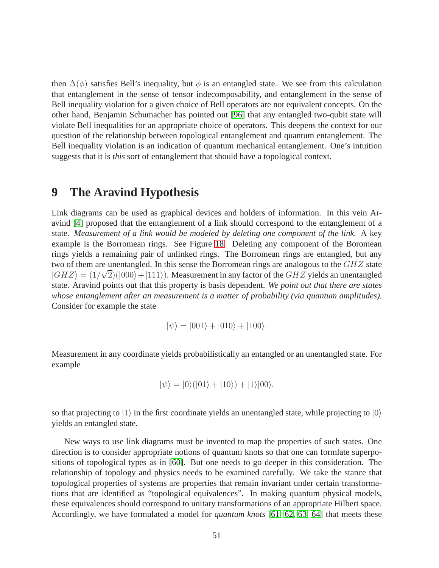then  $\Delta(\phi)$  satisfies Bell's inequality, but  $\phi$  is an entangled state. We see from this calculation that entanglement in the sense of tensor indecomposability, and entanglement in the sense of Bell inequality violation for a given choice of Bell operators are not equivalent concepts. On the other hand, Benjamin Schumacher has pointed out [\[96\]](#page-122-3) that any entangled two-qubit state will violate Bell inequalities for an appropriate choice of operators. This deepens the context for our question of the relationship between topological entanglement and quantum entanglement. The Bell inequality violation is an indication of quantum mechanical entanglement. One's intuition suggests that it is *this* sort of entanglement that should have a topological context.

## **9 The Aravind Hypothesis**

Link diagrams can be used as graphical devices and holders of information. In this vein Aravind [\[4\]](#page-116-1) proposed that the entanglement of a link should correspond to the entanglement of a state. *Measurement of a link would be modeled by deleting one component of the link.* A key example is the Borromean rings. See Figure [18.](#page-17-0) Deleting any component of the Boromean rings yields a remaining pair of unlinked rings. The Borromean rings are entangled, but any two of them are unentangled. In this sense the Borromean rings are analogous to the GHZ state  $|GHZ\rangle = (1/\sqrt{2})(|000\rangle + |111\rangle)$ . Measurement in any factor of the *GHZ* yields an unentangled state. Aravind points out that this property is basis dependent. *We point out that there are states whose entanglement after an measurement is a matter of probability (via quantum amplitudes).* Consider for example the state

$$
|\psi\rangle = |001\rangle + |010\rangle + |100\rangle.
$$

Measurement in any coordinate yields probabilistically an entangled or an unentangled state. For example

$$
|\psi\rangle = |0\rangle (|01\rangle + |10\rangle) + |1\rangle |00\rangle.
$$

so that projecting to  $|1\rangle$  in the first coordinate yields an unentangled state, while projecting to  $|0\rangle$ yields an entangled state.

New ways to use link diagrams must be invented to map the properties of such states. One direction is to consider appropriate notions of quantum knots so that one can formlate superpositions of topological types as in [\[60\]](#page-120-1). But one needs to go deeper in this consideration. The relationship of topology and physics needs to be examined carefully. We take the stance that topological properties of systems are properties that remain invariant under certain transformations that are identified as "topological equivalences". In making quantum physical models, these equivalences should correspond to unitary transformations of an appropriate Hilbert space. Accordingly, we have formulated a model for *quantum knots* [\[61,](#page-120-2) [62,](#page-120-3) [63,](#page-120-4) [64\]](#page-120-5) that meets these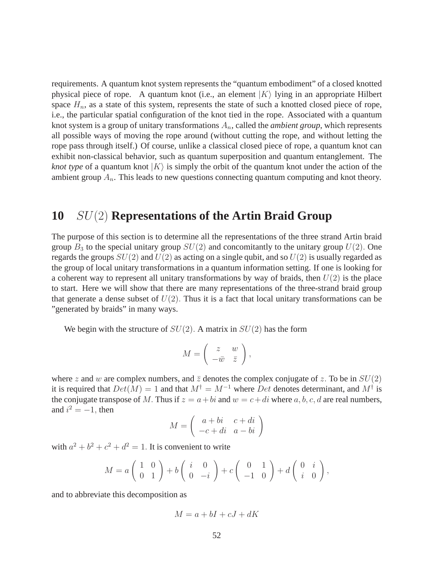requirements. A quantum knot system represents the "quantum embodiment" of a closed knotted physical piece of rope. A quantum knot (i.e., an element  $|K\rangle$  lying in an appropriate Hilbert space  $H_n$ , as a state of this system, represents the state of such a knotted closed piece of rope, i.e., the particular spatial configuration of the knot tied in the rope. Associated with a quantum knot system is a group of unitary transformations An, called the *ambient group*, which represents all possible ways of moving the rope around (without cutting the rope, and without letting the rope pass through itself.) Of course, unlike a classical closed piece of rope, a quantum knot can exhibit non-classical behavior, such as quantum superposition and quantum entanglement. The *knot type* of a quantum knot  $|K\rangle$  is simply the orbit of the quantum knot under the action of the ambient group  $A_n$ . This leads to new questions connecting quantum computing and knot theory.

## **10** SU(2) **Representations of the Artin Braid Group**

The purpose of this section is to determine all the representations of the three strand Artin braid group  $B_3$  to the special unitary group  $SU(2)$  and concomitantly to the unitary group  $U(2)$ . One regards the groups  $SU(2)$  and  $U(2)$  as acting on a single qubit, and so  $U(2)$  is usually regarded as the group of local unitary transformations in a quantum information setting. If one is looking for a coherent way to represent all unitary transformations by way of braids, then  $U(2)$  is the place to start. Here we will show that there are many representations of the three-strand braid group that generate a dense subset of  $U(2)$ . Thus it is a fact that local unitary transformations can be "generated by braids" in many ways.

We begin with the structure of  $SU(2)$ . A matrix in  $SU(2)$  has the form

$$
M = \left( \begin{array}{cc} z & w \\ -\bar{w} & \bar{z} \end{array} \right),
$$

where z and w are complex numbers, and  $\bar{z}$  denotes the complex conjugate of z. To be in  $SU(2)$ it is required that  $Det(M) = 1$  and that  $M^{\dagger} = M^{-1}$  where  $Det$  denotes determinant, and  $M^{\dagger}$  is the conjugate transpose of M. Thus if  $z = a + bi$  and  $w = c + di$  where a, b, c, d are real numbers, and  $i^2 = -1$ , then

$$
M = \left( \begin{array}{cc} a+bi & c+di \\ -c+di & a-bi \end{array} \right)
$$

with  $a^2 + b^2 + c^2 + d^2 = 1$ . It is convenient to write

$$
M = a \begin{pmatrix} 1 & 0 \\ 0 & 1 \end{pmatrix} + b \begin{pmatrix} i & 0 \\ 0 & -i \end{pmatrix} + c \begin{pmatrix} 0 & 1 \\ -1 & 0 \end{pmatrix} + d \begin{pmatrix} 0 & i \\ i & 0 \end{pmatrix},
$$

and to abbreviate this decomposition as

$$
M = a + bI + cJ + dK
$$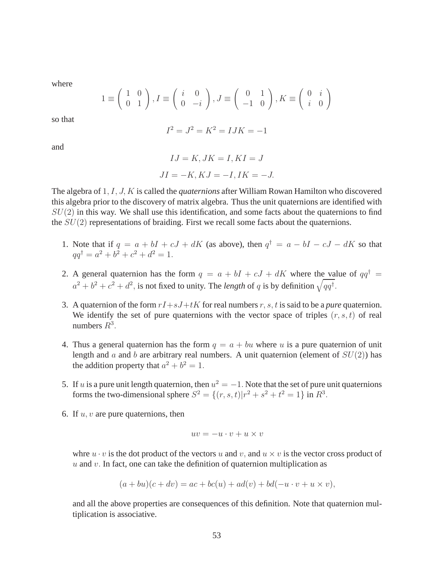where

$$
1 \equiv \begin{pmatrix} 1 & 0 \\ 0 & 1 \end{pmatrix}, I \equiv \begin{pmatrix} i & 0 \\ 0 & -i \end{pmatrix}, J \equiv \begin{pmatrix} 0 & 1 \\ -1 & 0 \end{pmatrix}, K \equiv \begin{pmatrix} 0 & i \\ i & 0 \end{pmatrix}
$$

so that

$$
I^2 = J^2 = K^2 = IJK = -1
$$

and

$$
IJ = K, JK = I, KI = J
$$

$$
JI = -K, KJ = -I, IK = -J.
$$

The algebra of 1, I, J, K is called the *quaternions* after William Rowan Hamilton who discovered this algebra prior to the discovery of matrix algebra. Thus the unit quaternions are identified with  $SU(2)$  in this way. We shall use this identification, and some facts about the quaternions to find the  $SU(2)$  representations of braiding. First we recall some facts about the quaternions.

- 1. Note that if  $q = a + bI + cJ + dK$  (as above), then  $q^{\dagger} = a bI cJ dK$  so that  $qq^{\dagger} = a^2 + b^2 + c^2 + d^2 = 1.$
- 2. A general quaternion has the form  $q = a + bI + cJ + dK$  where the value of  $qq^{\dagger} =$  $a^2 + b^2 + c^2 + d^2$ , is not fixed to unity. The *length* of q is by definition  $\sqrt{qq^{\dagger}}$ .
- 3. A quaternion of the form  $rI+sJ+tK$  for real numbers r, s, t is said to be a *pure* quaternion. We identify the set of pure quaternions with the vector space of triples  $(r, s, t)$  of real numbers  $R^3$ .
- 4. Thus a general quaternion has the form  $q = a + bu$  where u is a pure quaternion of unit length and a and b are arbitrary real numbers. A unit quaternion (element of  $SU(2)$ ) has the addition property that  $a^2 + b^2 = 1$ .
- 5. If u is a pure unit length quaternion, then  $u^2 = -1$ . Note that the set of pure unit quaternions forms the two-dimensional sphere  $S^2 = \{(r, s, t)|r^2 + s^2 + t^2 = 1\}$  in  $R^3$ .
- 6. If  $u, v$  are pure quaternions, then

$$
uv = -u \cdot v + u \times v
$$

whre  $u \cdot v$  is the dot product of the vectors u and v, and  $u \times v$  is the vector cross product of  $u$  and  $v$ . In fact, one can take the definition of quaternion multiplication as

$$
(a+bu)(c+dv) = ac + bc(u) + ad(v) + bd(-u \cdot v + u \times v),
$$

and all the above properties are consequences of this definition. Note that quaternion multiplication is associative.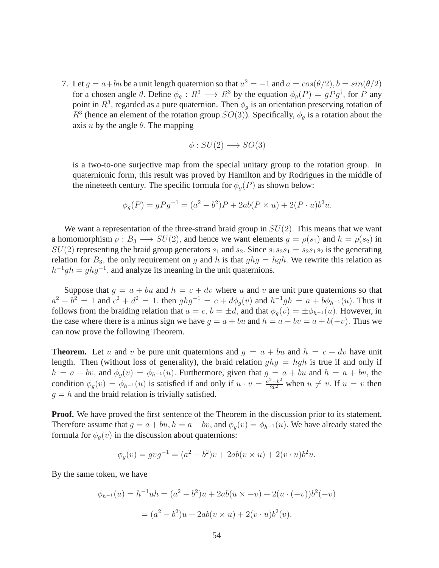7. Let  $g = a + bu$  be a unit length quaternion so that  $u^2 = -1$  and  $a = cos(\theta/2), b = sin(\theta/2)$ for a chosen angle  $\theta$ . Define  $\phi_g : R^3 \longrightarrow R^3$  by the equation  $\phi_g(P) = gPg^{\dagger}$ , for P any point in  $R^3$ , regarded as a pure quaternion. Then  $\phi_g$  is an orientation preserving rotation of  $R^3$  (hence an element of the rotation group  $SO(3)$ ). Specifically,  $\phi_g$  is a rotation about the axis  $u$  by the angle  $\theta$ . The mapping

$$
\phi: SU(2) \longrightarrow SO(3)
$$

is a two-to-one surjective map from the special unitary group to the rotation group. In quaternionic form, this result was proved by Hamilton and by Rodrigues in the middle of the nineteeth century. The specific formula for  $\phi_q(P)$  as shown below:

$$
\phi_g(P) = gPg^{-1} = (a^2 - b^2)P + 2ab(P \times u) + 2(P \cdot u)b^2u.
$$

We want a representation of the three-strand braid group in  $SU(2)$ . This means that we want a homomorphism  $\rho : B_3 \longrightarrow SU(2)$ , and hence we want elements  $g = \rho(s_1)$  and  $h = \rho(s_2)$  in  $SU(2)$  representing the braid group generators  $s_1$  and  $s_2$ . Since  $s_1s_2s_1 = s_2s_1s_2$  is the generating relation for  $B_3$ , the only requirement on g and h is that  $ghg = hgh$ . We rewrite this relation as  $h^{-1}gh = ghg^{-1}$ , and analyze its meaning in the unit quaternions.

Suppose that  $g = a + bu$  and  $h = c + dv$  where u and v are unit pure quaternions so that  $a^2 + b^2 = 1$  and  $c^2 + d^2 = 1$ . then  $ghg^{-1} = c + d\phi_g(v)$  and  $h^{-1}gh = a + b\phi_{h^{-1}}(u)$ . Thus it follows from the braiding relation that  $a = c$ ,  $b = \pm d$ , and that  $\phi_a(v) = \pm \phi_{h^{-1}}(u)$ . However, in the case where there is a minus sign we have  $g = a + bu$  and  $h = a - bv = a + b(-v)$ . Thus we can now prove the following Theorem.

**Theorem.** Let u and v be pure unit quaternions and  $g = a + bu$  and  $h = c + dv$  have unit length. Then (without loss of generality), the braid relation  $ghq = hqh$  is true if and only if  $h = a + bv$ , and  $\phi_q(v) = \phi_{h^{-1}}(u)$ . Furthermore, given that  $g = a + bu$  and  $h = a + bv$ , the condition  $\phi_g(v) = \phi_{h^{-1}}(u)$  is satisfied if and only if  $u \cdot v = \frac{a^2 - b^2}{2b^2}$  $\frac{2-b^2}{2b^2}$  when  $u \neq v$ . If  $u = v$  then  $g = h$  and the braid relation is trivially satisfied.

**Proof.** We have proved the first sentence of the Theorem in the discussion prior to its statement. Therefore assume that  $g = a + bu$ ,  $h = a + bv$ , and  $\phi_q(v) = \phi_{h^{-1}}(u)$ . We have already stated the formula for  $\phi_q(v)$  in the discussion about quaternions:

$$
\phi_g(v) = gyg^{-1} = (a^2 - b^2)v + 2ab(v \times u) + 2(v \cdot u)b^2u.
$$

By the same token, we have

$$
\phi_{h^{-1}}(u) = h^{-1}uh = (a^2 - b^2)u + 2ab(u \times -v) + 2(u \cdot (-v))b^2(-v)
$$

$$
= (a^2 - b^2)u + 2ab(v \times u) + 2(v \cdot u)b^2(v).
$$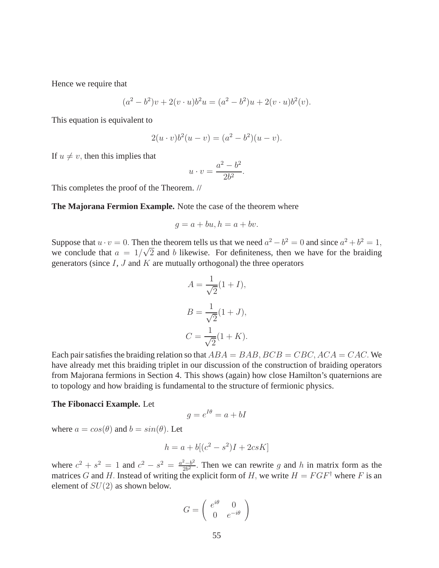Hence we require that

$$
(a2 – b2)v + 2(v · u)b2u = (a2 – b2)u + 2(v · u)b2(v).
$$

This equation is equivalent to

$$
2(u \cdot v)b^{2}(u - v) = (a^{2} - b^{2})(u - v).
$$

If  $u \neq v$ , then this implies that

$$
u \cdot v = \frac{a^2 - b^2}{2b^2}.
$$

This completes the proof of the Theorem. //

#### **The Majorana Fermion Example.** Note the case of the theorem where

$$
g = a + bu, h = a + bv.
$$

Suppose that  $u \cdot v = 0$ . Then the theorem tells us that we need  $a^2 - b^2 = 0$  and since  $a^2 + b^2 = 1$ , we conclude that  $a = 1/\sqrt{2}$  and b likewise. For definiteness, then we have for the braiding generators (since  $I, J$  and  $K$  are mutually orthogonal) the three operators

$$
A = \frac{1}{\sqrt{2}}(1+I),
$$
  
\n
$$
B = \frac{1}{\sqrt{2}}(1+J),
$$
  
\n
$$
C = \frac{1}{\sqrt{2}}(1+K).
$$

Each pair satisfies the braiding relation so that  $ABA = BAB, BCB = CBC, ACA = CAC$ . We have already met this braiding triplet in our discussion of the construction of braiding operators from Majorana fermions in Section 4. This shows (again) how close Hamilton's quaternions are to topology and how braiding is fundamental to the structure of fermionic physics.

#### **The Fibonacci Example.** Let

$$
g = e^{I\theta} = a + bI
$$

where  $a = cos(\theta)$  and  $b = sin(\theta)$ . Let

$$
h = a + b[(c2 - s2)I + 2csK]
$$

where  $c^2 + s^2 = 1$  and  $c^2 - s^2 = \frac{a^2 - b^2}{2b^2}$  $\frac{2b^2-b^2}{2b^2}$ . Then we can rewrite g and h in matrix form as the matrices G and H. Instead of writing the explicit form of H, we write  $H = FGF^{\dagger}$  where F is an element of  $SU(2)$  as shown below.

$$
G = \left(\begin{array}{cc} e^{i\theta} & 0\\ 0 & e^{-i\theta} \end{array}\right)
$$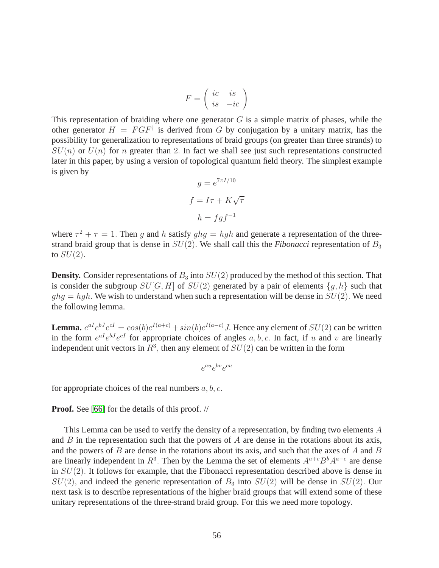$$
F = \left(\begin{array}{cc} ic & is \\ is & -ic \end{array}\right)
$$

This representation of braiding where one generator  $G$  is a simple matrix of phases, while the other generator  $H = F G F^{\dagger}$  is derived from G by conjugation by a unitary matrix, has the possibility for generalization to representations of braid groups (on greater than three strands) to  $SU(n)$  or  $U(n)$  for n greater than 2. In fact we shall see just such representations constructed later in this paper, by using a version of topological quantum field theory. The simplest example is given by

$$
g = e^{7\pi I/10}
$$

$$
f = I\tau + K\sqrt{\tau}
$$

$$
h = f g f^{-1}
$$

where  $\tau^2 + \tau = 1$ . Then g and h satisfy  $ghg = hgh$  and generate a representation of the threestrand braid group that is dense in  $SU(2)$ . We shall call this the *Fibonacci* representation of  $B_3$ to  $SU(2)$ .

**Density.** Consider representations of  $B_3$  into  $SU(2)$  produced by the method of this section. That is consider the subgroup  $SU(G, H]$  of  $SU(2)$  generated by a pair of elements  $\{g, h\}$  such that  $ghg = hgh$ . We wish to understand when such a representation will be dense in  $SU(2)$ . We need the following lemma.

**Lemma.**  $e^{aI}e^{bJ}e^{cI} = cos(b)e^{I(a+c)} + sin(b)e^{I(a-c)}J$ . Hence any element of  $SU(2)$  can be written in the form  $e^{aI}e^{bJ}e^{cI}$  for appropriate choices of angles  $a, b, c$ . In fact, if u and v are linearly independent unit vectors in  $R^3$ , then any element of  $SU(2)$  can be written in the form

 $e^{au}e^{bv}e^{cu}$ 

for appropriate choices of the real numbers  $a, b, c$ .

**Proof.** See [\[66\]](#page-120-6) for the details of this proof. //

This Lemma can be used to verify the density of a representation, by finding two elements A and  $B$  in the representation such that the powers of  $A$  are dense in the rotations about its axis, and the powers of  $B$  are dense in the rotations about its axis, and such that the axes of  $A$  and  $B$ are linearly independent in  $R^3$ . Then by the Lemma the set of elements  $A^{a+c}B^bA^{a-c}$  are dense in  $SU(2)$ . It follows for example, that the Fibonacci representation described above is dense in  $SU(2)$ , and indeed the generic representation of  $B_3$  into  $SU(2)$  will be dense in  $SU(2)$ . Our next task is to describe representations of the higher braid groups that will extend some of these unitary representations of the three-strand braid group. For this we need more topology.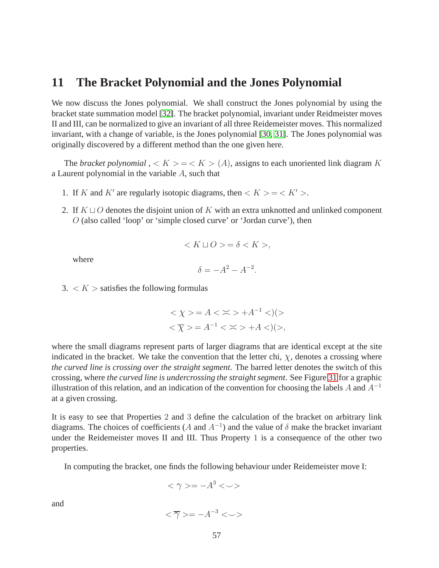## **11 The Bracket Polynomial and the Jones Polynomial**

We now discuss the Jones polynomial. We shall construct the Jones polynomial by using the bracket state summation model [\[32\]](#page-118-0). The bracket polynomial, invariant under Reidmeister moves II and III, can be normalized to give an invariant of all three Reidemeister moves. This normalized invariant, with a change of variable, is the Jones polynomial [\[30,](#page-118-1) [31\]](#page-118-2). The Jones polynomial was originally discovered by a different method than the one given here.

The *bracket polynomial*  $, \langle K \rangle = \langle K \rangle$  (A), assigns to each unoriented link diagram K a Laurent polynomial in the variable A, such that

- 1. If K and K' are regularly isotopic diagrams, then  $\lt K \gt \lt \lt K' \gt$ .
- 2. If  $K \sqcup O$  denotes the disjoint union of K with an extra unknotted and unlinked component O (also called 'loop' or 'simple closed curve' or 'Jordan curve'), then

$$
\langle K \sqcup O \rangle = \delta \langle K \rangle,
$$

where

 $\delta = -A^2 - A^{-2}.$ 

 $3. < K$  > satisfies the following formulas

$$
\langle \chi \rangle = A \langle \chi \rangle + A^{-1} \langle \chi \rangle
$$
  

$$
\langle \overline{\chi} \rangle = A^{-1} \langle \chi \rangle + A \langle \chi \rangle
$$

where the small diagrams represent parts of larger diagrams that are identical except at the site indicated in the bracket. We take the convention that the letter chi,  $\chi$ , denotes a crossing where *the curved line is crossing over the straight segment*. The barred letter denotes the switch of this crossing, where *the curved line is undercrossing the straight segment*. See Figure [31](#page-57-0) for a graphic illustration of this relation, and an indication of the convention for choosing the labels A and  $A^{-1}$ at a given crossing.

It is easy to see that Properties 2 and 3 define the calculation of the bracket on arbitrary link diagrams. The choices of coefficients (A and  $A^{-1}$ ) and the value of  $\delta$  make the bracket invariant under the Reidemeister moves II and III. Thus Property 1 is a consequence of the other two properties.

In computing the bracket, one finds the following behaviour under Reidemeister move I:

$$
<\gamma>=-A^3<\cdots>
$$

and

$$
\langle \overline{\gamma} \rangle = -A^{-3} \langle \cup \rangle
$$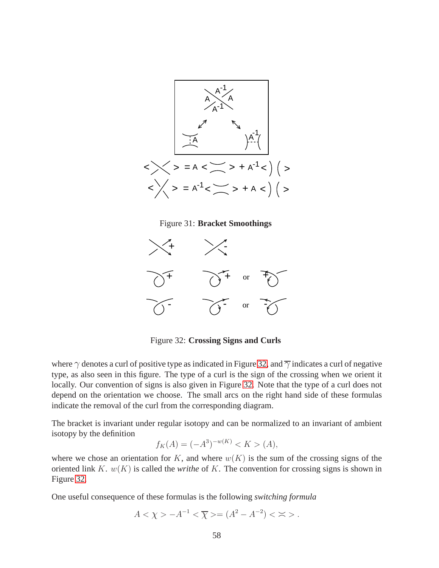

<span id="page-57-0"></span>Figure 31: **Bracket Smoothings**



<span id="page-57-1"></span>Figure 32: **Crossing Signs and Curls**

where  $\gamma$  denotes a curl of positive type as indicated in Figure [32,](#page-57-1) and  $\overline{\gamma}$  indicates a curl of negative type, as also seen in this figure. The type of a curl is the sign of the crossing when we orient it locally. Our convention of signs is also given in Figure [32.](#page-57-1) Note that the type of a curl does not depend on the orientation we choose. The small arcs on the right hand side of these formulas indicate the removal of the curl from the corresponding diagram.

The bracket is invariant under regular isotopy and can be normalized to an invariant of ambient isotopy by the definition

$$
f_K(A) = (-A^3)^{-w(K)} < K > (A),
$$

where we chose an orientation for K, and where  $w(K)$  is the sum of the crossing signs of the oriented link K. w(K) is called the *writhe* of K. The convention for crossing signs is shown in Figure [32.](#page-57-1)

One useful consequence of these formulas is the following *switching formula*

 $A < \chi > -A^{-1} < \overline{\chi} > = (A^2 - A^{-2}) < \frac{\chi}{\chi} > .$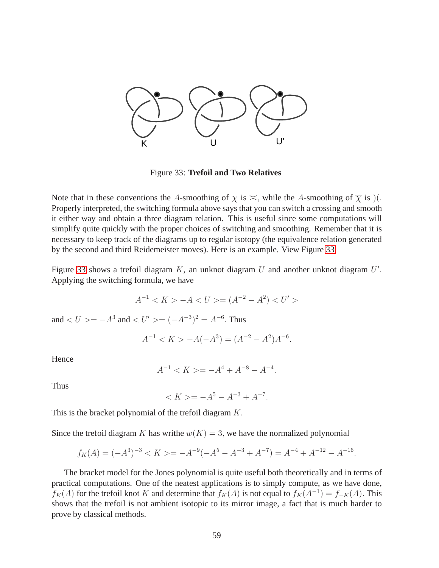

<span id="page-58-0"></span>Figure 33: **Trefoil and Two Relatives**

Note that in these conventions the A-smoothing of  $\chi$  is  $\asymp$ , while the A-smoothing of  $\overline{\chi}$  is  $\chi$ . Properly interpreted, the switching formula above says that you can switch a crossing and smooth it either way and obtain a three diagram relation. This is useful since some computations will simplify quite quickly with the proper choices of switching and smoothing. Remember that it is necessary to keep track of the diagrams up to regular isotopy (the equivalence relation generated by the second and third Reidemeister moves). Here is an example. View Figure [33.](#page-58-0)

Figure [33](#page-58-0) shows a trefoil diagram  $K$ , an unknot diagram  $U$  and another unknot diagram  $U'$ . Applying the switching formula, we have

$$
A^{-1} < K > -A < U > = (A^{-2} - A^2) < U' > 0
$$

and  $\langle U \rangle = -A^3$  and  $\langle U' \rangle = (-A^{-3})^2 = A^{-6}$ . Thus

$$
A^{-1} < K > -A(-A^3) = (A^{-2} - A^2)A^{-6}.
$$

Hence

$$
A^{-1} < K > = -A^4 + A^{-8} - A^{-4}.
$$

Thus

$$
\langle K \rangle = -A^5 - A^{-3} + A^{-7}.
$$

This is the bracket polynomial of the trefoil diagram K.

Since the trefoil diagram K has writhe  $w(K) = 3$ , we have the normalized polynomial

$$
f_K(A) = (-A^3)^{-3} < K > = -A^{-9}(-A^5 - A^{-3} + A^{-7}) = A^{-4} + A^{-12} - A^{-16}
$$

.

The bracket model for the Jones polynomial is quite useful both theoretically and in terms of practical computations. One of the neatest applications is to simply compute, as we have done,  $f_K(A)$  for the trefoil knot K and determine that  $f_K(A)$  is not equal to  $f_K(A^{-1}) = f_{-K}(A)$ . This shows that the trefoil is not ambient isotopic to its mirror image, a fact that is much harder to prove by classical methods.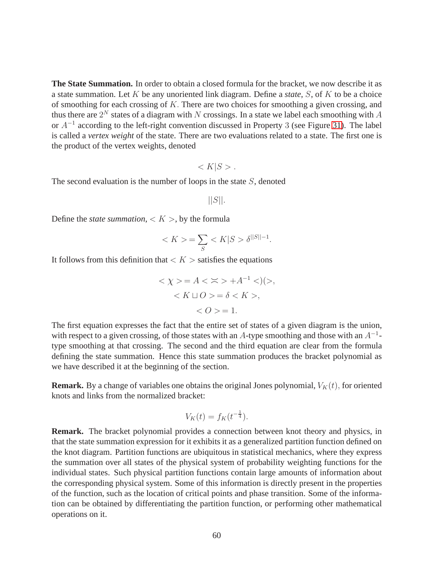**The State Summation.** In order to obtain a closed formula for the bracket, we now describe it as a state summation. Let K be any unoriented link diagram. Define a *state*, S, of K to be a choice of smoothing for each crossing of K. There are two choices for smoothing a given crossing, and thus there are  $2^N$  states of a diagram with  $N$  crossings. In a state we label each smoothing with  $A$ or  $A^{-1}$  according to the left-right convention discussed in Property 3 (see Figure [31\)](#page-57-0). The label is called a *vertex weight* of the state. There are two evaluations related to a state. The first one is the product of the vertex weights, denoted

$$
\langle K|S\rangle.
$$

The second evaluation is the number of loops in the state  $S$ , denoted

 $||S||.$ 

Define the *state summation*,  $K >$ , by the formula

$$
\langle K \rangle = \sum_{S} \langle K|S \rangle \delta^{||S||-1}.
$$

It follows from this definition that  $\langle K \rangle$  satisfies the equations

$$
\langle \chi \rangle = A \langle \chi \rangle + A^{-1} \langle \chi \rangle, \langle K \sqcup O \rangle = \delta \langle K \rangle, \langle O \rangle = 1.
$$

The first equation expresses the fact that the entire set of states of a given diagram is the union, with respect to a given crossing, of those states with an A-type smoothing and those with an  $A^{-1}$ type smoothing at that crossing. The second and the third equation are clear from the formula defining the state summation. Hence this state summation produces the bracket polynomial as we have described it at the beginning of the section.

**Remark.** By a change of variables one obtains the original Jones polynomial,  $V_K(t)$ , for oriented knots and links from the normalized bracket:

$$
V_K(t) = f_K(t^{-\frac{1}{4}}).
$$

**Remark.** The bracket polynomial provides a connection between knot theory and physics, in that the state summation expression for it exhibits it as a generalized partition function defined on the knot diagram. Partition functions are ubiquitous in statistical mechanics, where they express the summation over all states of the physical system of probability weighting functions for the individual states. Such physical partition functions contain large amounts of information about the corresponding physical system. Some of this information is directly present in the properties of the function, such as the location of critical points and phase transition. Some of the information can be obtained by differentiating the partition function, or performing other mathematical operations on it.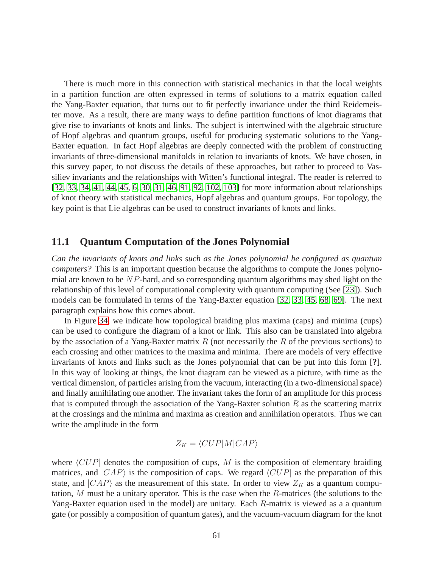There is much more in this connection with statistical mechanics in that the local weights in a partition function are often expressed in terms of solutions to a matrix equation called the Yang-Baxter equation, that turns out to fit perfectly invariance under the third Reidemeister move. As a result, there are many ways to define partition functions of knot diagrams that give rise to invariants of knots and links. The subject is intertwined with the algebraic structure of Hopf algebras and quantum groups, useful for producing systematic solutions to the Yang-Baxter equation. In fact Hopf algebras are deeply connected with the problem of constructing invariants of three-dimensional manifolds in relation to invariants of knots. We have chosen, in this survey paper, to not discuss the details of these approaches, but rather to proceed to Vassiliev invariants and the relationships with Witten's functional integral. The reader is referred to [\[32,](#page-118-0) [33,](#page-118-3) [34,](#page-118-4) [41,](#page-118-5) [44,](#page-119-1) [45,](#page-119-2) [6,](#page-116-2) [30,](#page-118-1) [31,](#page-118-2) [46,](#page-119-3) [91,](#page-122-4) [92,](#page-122-5) [102,](#page-123-1) [103\]](#page-123-2) for more information about relationships of knot theory with statistical mechanics, Hopf algebras and quantum groups. For topology, the key point is that Lie algebras can be used to construct invariants of knots and links.

### **11.1 Quantum Computation of the Jones Polynomial**

*Can the invariants of knots and links such as the Jones polynomial be configured as quantum computers?* This is an important question because the algorithms to compute the Jones polynomial are known to be NP-hard, and so corresponding quantum algorithms may shed light on the relationship of this level of computational complexity with quantum computing (See [\[23\]](#page-117-3)). Such models can be formulated in terms of the Yang-Baxter equation [\[32,](#page-118-0) [33,](#page-118-3) [45,](#page-119-2) [68,](#page-120-7) [69\]](#page-120-8). The next paragraph explains how this comes about.

In Figure [34,](#page-61-0) we indicate how topological braiding plus maxima (caps) and minima (cups) can be used to configure the diagram of a knot or link. This also can be translated into algebra by the association of a Yang-Baxter matrix  $R$  (not necessarily the  $R$  of the previous sections) to each crossing and other matrices to the maxima and minima. There are models of very effective invariants of knots and links such as the Jones polynomial that can be put into this form [**?**]. In this way of looking at things, the knot diagram can be viewed as a picture, with time as the vertical dimension, of particles arising from the vacuum, interacting (in a two-dimensional space) and finally annihilating one another. The invariant takes the form of an amplitude for this process that is computed through the association of the Yang-Baxter solution  $R$  as the scattering matrix at the crossings and the minima and maxima as creation and annihilation operators. Thus we can write the amplitude in the form

$$
Z_K = \langle CUP|M|CAP\rangle
$$

where  $\langle CUP|$  denotes the composition of cups, M is the composition of elementary braiding matrices, and  $|CAP\rangle$  is the composition of caps. We regard  $\langle CUP|$  as the preparation of this state, and  $|CAP\rangle$  as the measurement of this state. In order to view  $Z_K$  as a quantum computation,  $M$  must be a unitary operator. This is the case when the  $R$ -matrices (the solutions to the Yang-Baxter equation used in the model) are unitary. Each R-matrix is viewed as a a quantum gate (or possibly a composition of quantum gates), and the vacuum-vacuum diagram for the knot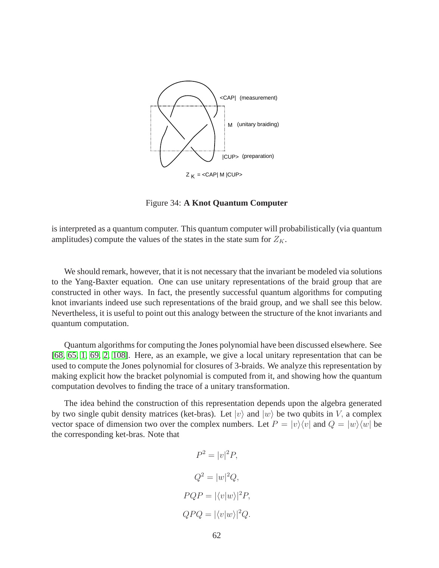

<span id="page-61-0"></span>Figure 34: **A Knot Quantum Computer**

is interpreted as a quantum computer. This quantum computer will probabilistically (via quantum amplitudes) compute the values of the states in the state sum for  $Z_K$ .

We should remark, however, that it is not necessary that the invariant be modeled via solutions to the Yang-Baxter equation. One can use unitary representations of the braid group that are constructed in other ways. In fact, the presently successful quantum algorithms for computing knot invariants indeed use such representations of the braid group, and we shall see this below. Nevertheless, it is useful to point out this analogy between the structure of the knot invariants and quantum computation.

Quantum algorithms for computing the Jones polynomial have been discussed elsewhere. See [\[68,](#page-120-7) [65,](#page-120-0) [1,](#page-116-3) [69,](#page-120-8) [2,](#page-116-4) [108\]](#page-123-3). Here, as an example, we give a local unitary representation that can be used to compute the Jones polynomial for closures of 3-braids. We analyze this representation by making explicit how the bracket polynomial is computed from it, and showing how the quantum computation devolves to finding the trace of a unitary transformation.

The idea behind the construction of this representation depends upon the algebra generated by two single qubit density matrices (ket-bras). Let  $|v\rangle$  and  $|w\rangle$  be two qubits in V, a complex vector space of dimension two over the complex numbers. Let  $P = |v\rangle\langle v|$  and  $Q = |w\rangle\langle w|$  be the corresponding ket-bras. Note that

$$
P^{2} = |v|^{2} P,
$$
  
\n
$$
Q^{2} = |w|^{2} Q,
$$
  
\n
$$
PQP = |\langle v|w\rangle|^{2} P,
$$
  
\n
$$
QPQ = |\langle v|w\rangle|^{2} Q.
$$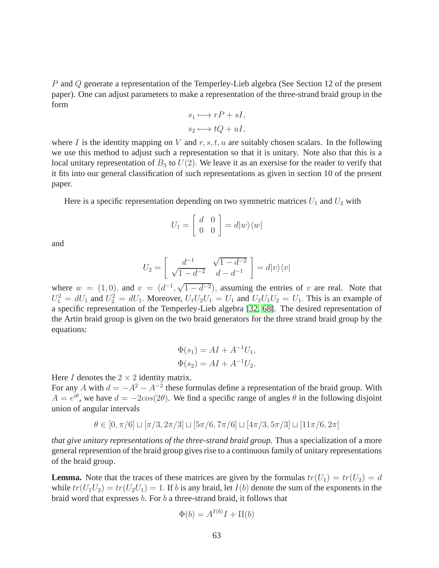P and Q generate a representation of the Temperley-Lieb algebra (See Section 12 of the present paper). One can adjust parameters to make a representation of the three-strand braid group in the form

$$
s_1 \longmapsto rP + sI,
$$
  

$$
s_2 \longmapsto tQ + uI,
$$

where I is the identity mapping on V and r, s, t, u are suitably chosen scalars. In the following we use this method to adjust such a representation so that it is unitary. Note also that this is a local unitary representation of  $B_3$  to  $U(2)$ . We leave it as an exersise for the reader to verify that it fits into our general classification of such representations as given in section 10 of the present paper.

Here is a specific representation depending on two symmetric matrices  $U_1$  and  $U_2$  with

$$
U_1 = \left[ \begin{array}{cc} d & 0 \\ 0 & 0 \end{array} \right] = d|w\rangle\langle w|
$$

and

$$
U_2 = \begin{bmatrix} d^{-1} & \sqrt{1 - d^{-2}} \\ \sqrt{1 - d^{-2}} & d - d^{-1} \end{bmatrix} = d|v\rangle\langle v|
$$

where  $w = (1,0)$ , and  $v = (d^{-1}, \sqrt{1-d^{-2}})$ , assuming the entries of v are real. Note that  $U_1^2 = dU_1$  and  $U_2^2 = dU_1$ . Moreover,  $U_1U_2U_1 = U_1$  and  $U_2U_1U_2 = U_1$ . This is an example of a specific representation of the Temperley-Lieb algebra [\[32,](#page-118-0) [68\]](#page-120-7). The desired representation of the Artin braid group is given on the two braid generators for the three strand braid group by the equations:

$$
\Phi(s_1) = AI + A^{-1}U_1,
$$
  

$$
\Phi(s_2) = AI + A^{-1}U_2.
$$

Here *I* denotes the  $2 \times 2$  identity matrix.

For any A with  $d = -A^2 - A^{-2}$  these formulas define a representation of the braid group. With  $A = e^{i\theta}$ , we have  $d = -2\cos(2\theta)$ . We find a specific range of angles  $\theta$  in the following disjoint union of angular intervals

$$
\theta \in [0, \pi/6] \sqcup [\pi/3, 2\pi/3] \sqcup [5\pi/6, 7\pi/6] \sqcup [4\pi/3, 5\pi/3] \sqcup [11\pi/6, 2\pi]
$$

*that give unitary representations of the three-strand braid group.* Thus a specialization of a more general represention of the braid group gives rise to a continuous family of unitary representations of the braid group.

**Lemma.** Note that the traces of these matrices are given by the formulas  $tr(U_1) = tr(U_2) = d$ while  $tr(U_1U_2) = tr(U_2U_1) = 1$ . If b is any braid, let  $I(b)$  denote the sum of the exponents in the braid word that expresses b. For b a three-strand braid, it follows that

$$
\Phi(b) = A^{I(b)}I + \Pi(b)
$$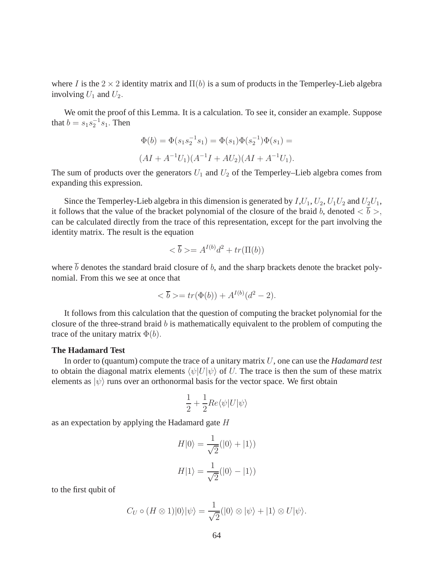where I is the  $2 \times 2$  identity matrix and  $\Pi(b)$  is a sum of products in the Temperley-Lieb algebra involving  $U_1$  and  $U_2$ .

We omit the proof of this Lemma. It is a calculation. To see it, consider an example. Suppose that  $b = s_1 s_2^{-1} s_1$ . Then

$$
\Phi(b) = \Phi(s_1 s_2^{-1} s_1) = \Phi(s_1) \Phi(s_2^{-1}) \Phi(s_1) =
$$
  

$$
(AI + A^{-1}U_1)(A^{-1}I + AU_2)(AI + A^{-1}U_1).
$$

The sum of products over the generators  $U_1$  and  $U_2$  of the Temperley–Lieb algebra comes from expanding this expression.

Since the Temperley-Lieb algebra in this dimension is generated by  $I, U_1, U_2, U_1U_2$  and  $U_2U_1$ , it follows that the value of the bracket polynomial of the closure of the braid b, denoted  $\langle \bar{b} \rangle$ , can be calculated directly from the trace of this representation, except for the part involving the identity matrix. The result is the equation

$$
\langle \overline{b} \rangle = A^{I(b)} d^2 + tr(\Pi(b))
$$

where  $\overline{b}$  denotes the standard braid closure of b, and the sharp brackets denote the bracket polynomial. From this we see at once that

$$
<\overline{b}
$$
 > = tr( $\Phi(b)$ ) + A<sup>I(b)</sup>(d<sup>2</sup> – 2).

It follows from this calculation that the question of computing the bracket polynomial for the closure of the three-strand braid  $b$  is mathematically equivalent to the problem of computing the trace of the unitary matrix  $\Phi(b)$ .

#### **The Hadamard Test**

In order to (quantum) compute the trace of a unitary matrix U, one can use the *Hadamard test* to obtain the diagonal matrix elements  $\langle \psi | U | \psi \rangle$  of U. The trace is then the sum of these matrix elements as  $|\psi\rangle$  runs over an orthonormal basis for the vector space. We first obtain

$$
\frac{1}{2}+\frac{1}{2}Re\langle\psi|U|\psi\rangle
$$

as an expectation by applying the Hadamard gate H

$$
H|0\rangle = \frac{1}{\sqrt{2}}(|0\rangle + |1\rangle)
$$

$$
H|1\rangle = \frac{1}{\sqrt{2}}(|0\rangle - |1\rangle)
$$

to the first qubit of

$$
C_U \circ (H \otimes 1)|0\rangle |\psi\rangle = \frac{1}{\sqrt{2}} (|0\rangle \otimes |\psi\rangle + |1\rangle \otimes U|\psi\rangle.
$$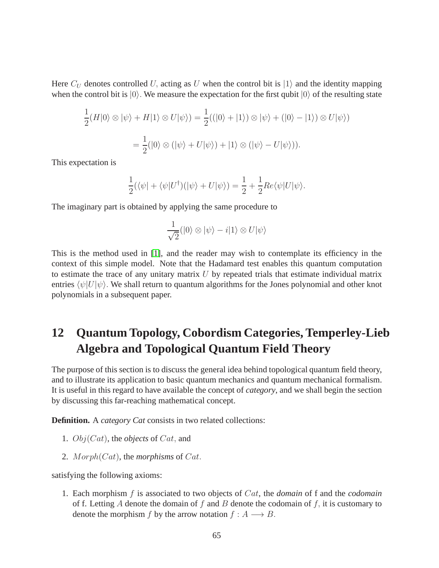Here  $C_U$  denotes controlled U, acting as U when the control bit is  $|1\rangle$  and the identity mapping when the control bit is  $|0\rangle$ . We measure the expectation for the first qubit  $|0\rangle$  of the resulting state

$$
\frac{1}{2}(H|0\rangle \otimes |\psi\rangle + H|1\rangle \otimes U|\psi\rangle) = \frac{1}{2}((|0\rangle + |1\rangle) \otimes |\psi\rangle + (|0\rangle - |1\rangle) \otimes U|\psi\rangle)
$$

$$
= \frac{1}{2}(|0\rangle \otimes (|\psi\rangle + U|\psi\rangle) + |1\rangle \otimes (|\psi\rangle - U|\psi\rangle)).
$$

This expectation is

$$
\frac{1}{2}(\langle \psi | + \langle \psi | U^{\dagger})(|\psi \rangle + U|\psi \rangle) = \frac{1}{2} + \frac{1}{2}Re \langle \psi | U | \psi \rangle.
$$

The imaginary part is obtained by applying the same procedure to

$$
\frac{1}{\sqrt{2}}(|0\rangle \otimes |\psi\rangle - i|1\rangle \otimes U|\psi\rangle
$$

This is the method used in [\[1\]](#page-116-3), and the reader may wish to contemplate its efficiency in the context of this simple model. Note that the Hadamard test enables this quantum computation to estimate the trace of any unitary matrix  $U$  by repeated trials that estimate individual matrix entries  $\langle \psi | U | \psi \rangle$ . We shall return to quantum algorithms for the Jones polynomial and other knot polynomials in a subsequent paper.

# **12 Quantum Topology, Cobordism Categories, Temperley-Lieb Algebra and Topological Quantum Field Theory**

The purpose of this section is to discuss the general idea behind topological quantum field theory, and to illustrate its application to basic quantum mechanics and quantum mechanical formalism. It is useful in this regard to have available the concept of *category*, and we shall begin the section by discussing this far-reaching mathematical concept.

**Definition.** A *category Cat* consists in two related collections:

- 1. Obj(Cat), the *objects* of Cat, and
- 2. Morph(Cat), the *morphisms* of Cat.

satisfying the following axioms:

1. Each morphism f is associated to two objects of Cat, the *domain* of f and the *codomain* of f. Letting A denote the domain of f and B denote the codomain of f, it is customary to denote the morphism f by the arrow notation  $f : A \longrightarrow B$ .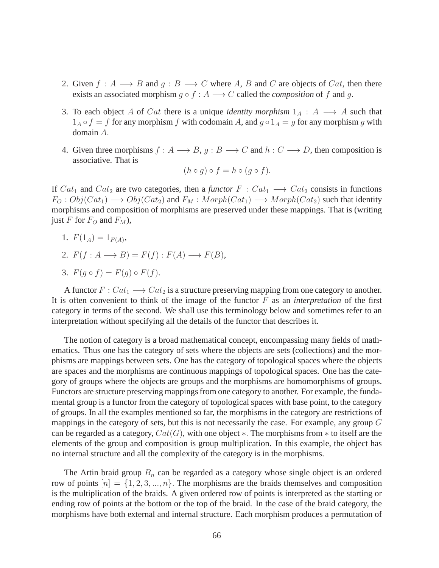- 2. Given  $f : A \longrightarrow B$  and  $g : B \longrightarrow C$  where A, B and C are objects of Cat, then there exists an associated morphism  $g \circ f : A \longrightarrow C$  called the *composition* of f and q.
- 3. To each object A of Cat there is a unique *identity morphism*  $1_A : A \longrightarrow A$  such that  $1_A \circ f = f$  for any morphism f with codomain A, and  $g \circ 1_A = g$  for any morphism g with domain A.
- 4. Given three morphisms  $f : A \longrightarrow B$ ,  $g : B \longrightarrow C$  and  $h : C \longrightarrow D$ , then composition is associative. That is

$$
(h \circ g) \circ f = h \circ (g \circ f).
$$

If  $Cat_1$  and  $Cat_2$  are two categories, then a *functor*  $F : Cat_1 \longrightarrow Cat_2$  consists in functions  $F_O:Obj(Cat_1) \longrightarrow Obj(Cat_2)$  and  $F_M: Morph(Cat_1) \longrightarrow Morph(Cat_2)$  such that identity morphisms and composition of morphisms are preserved under these mappings. That is (writing just F for  $F_O$  and  $F_M$ ),

- 1.  $F(1_A) = 1_{F(A)}$ ,
- 2.  $F(f: A \longrightarrow B) = F(f): F(A) \longrightarrow F(B)$ ,
- 3.  $F(q \circ f) = F(q) \circ F(f)$ .

A functor  $F: Cat_1 \longrightarrow Cat_2$  is a structure preserving mapping from one category to another. It is often convenient to think of the image of the functor F as an *interpretation* of the first category in terms of the second. We shall use this terminology below and sometimes refer to an interpretation without specifying all the details of the functor that describes it.

The notion of category is a broad mathematical concept, encompassing many fields of mathematics. Thus one has the category of sets where the objects are sets (collections) and the morphisms are mappings between sets. One has the category of topological spaces where the objects are spaces and the morphisms are continuous mappings of topological spaces. One has the category of groups where the objects are groups and the morphisms are homomorphisms of groups. Functors are structure preserving mappings from one category to another. For example, the fundamental group is a functor from the category of topological spaces with base point, to the category of groups. In all the examples mentioned so far, the morphisms in the category are restrictions of mappings in the category of sets, but this is not necessarily the case. For example, any group  $G$ can be regarded as a category,  $Cat(G)$ , with one object  $*$ . The morphisms from  $*$  to itself are the elements of the group and composition is group multiplication. In this example, the object has no internal structure and all the complexity of the category is in the morphisms.

The Artin braid group  $B_n$  can be regarded as a category whose single object is an ordered row of points  $[n] = \{1, 2, 3, ..., n\}$ . The morphisms are the braids themselves and composition is the multiplication of the braids. A given ordered row of points is interpreted as the starting or ending row of points at the bottom or the top of the braid. In the case of the braid category, the morphisms have both external and internal structure. Each morphism produces a permutation of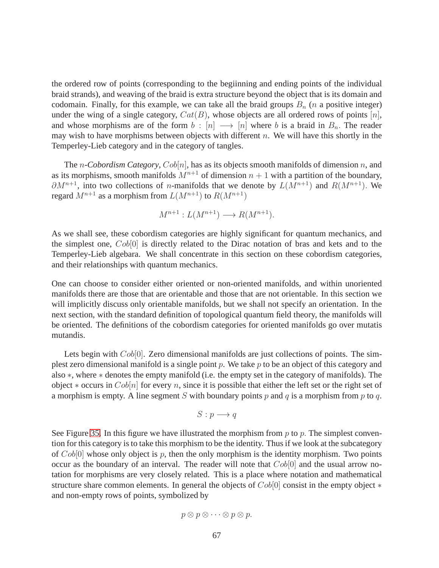the ordered row of points (corresponding to the begiinning and ending points of the individual braid strands), and weaving of the braid is extra structure beyond the object that is its domain and codomain. Finally, for this example, we can take all the braid groups  $B_n$  (*n* a positive integer) under the wing of a single category,  $Cat(B)$ , whose objects are all ordered rows of points [n], and whose morphisms are of the form  $b : [n] \longrightarrow [n]$  where b is a braid in  $B_n$ . The reader may wish to have morphisms between objects with different  $n$ . We will have this shortly in the Temperley-Lieb category and in the category of tangles.

The *n*-Cobordism Category,  $Cob[n]$ , has as its objects smooth manifolds of dimension *n*, and as its morphisms, smooth manifolds  $M^{n+1}$  of dimension  $n+1$  with a partition of the boundary,  $\partial M^{n+1}$ , into two collections of *n*-manifolds that we denote by  $L(M^{n+1})$  and  $R(M^{n+1})$ . We regard  $M^{n+1}$  as a morphism from  $L(M^{n+1})$  to  $R(M^{n+1})$ 

$$
M^{n+1}: L(M^{n+1}) \longrightarrow R(M^{n+1}).
$$

As we shall see, these cobordism categories are highly significant for quantum mechanics, and the simplest one,  $Cob[0]$  is directly related to the Dirac notation of bras and kets and to the Temperley-Lieb algebara. We shall concentrate in this section on these cobordism categories, and their relationships with quantum mechanics.

One can choose to consider either oriented or non-oriented manifolds, and within unoriented manifolds there are those that are orientable and those that are not orientable. In this section we will implicitly discuss only orientable manifolds, but we shall not specify an orientation. In the next section, with the standard definition of topological quantum field theory, the manifolds will be oriented. The definitions of the cobordism categories for oriented manifolds go over mutatis mutandis.

Lets begin with  $Cob[0]$ . Zero dimensional manifolds are just collections of points. The simplest zero dimensional manifold is a single point  $p$ . We take  $p$  to be an object of this category and also ∗, where ∗ denotes the empty manifold (i.e. the empty set in the category of manifolds). The object  $*$  occurs in  $Cob[n]$  for every n, since it is possible that either the left set or the right set of a morphism is empty. A line segment S with boundary points p and q is a morphism from p to q.

$$
S: p \longrightarrow q
$$

See Figure [35.](#page-67-0) In this figure we have illustrated the morphism from  $p$  to  $p$ . The simplest convention for this category is to take this morphism to be the identity. Thus if we look at the subcategory of  $Cob[0]$  whose only object is p, then the only morphism is the identity morphism. Two points occur as the boundary of an interval. The reader will note that  $Cob[0]$  and the usual arrow notation for morphisms are very closely related. This is a place where notation and mathematical structure share common elements. In general the objects of  $Cob[0]$  consist in the empty object  $*$ and non-empty rows of points, symbolized by

$$
p \otimes p \otimes \cdots \otimes p \otimes p.
$$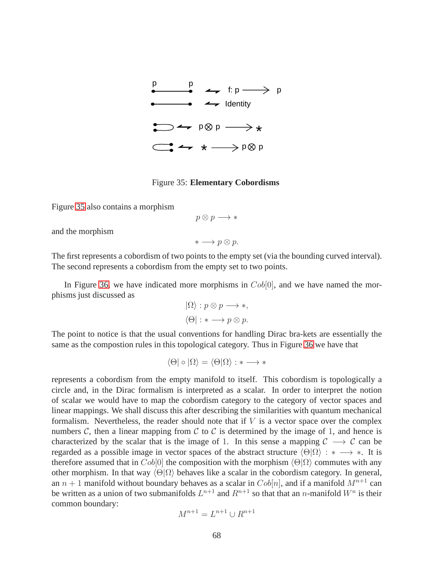

Figure 35: **Elementary Cobordisms**

Figure [35](#page-67-0) also contains a morphism

<span id="page-67-0"></span> $p \otimes p \longrightarrow *$ 

and the morphism

$$
\ast \longrightarrow p \otimes p.
$$

The first represents a cobordism of two points to the empty set (via the bounding curved interval). The second represents a cobordism from the empty set to two points.

In Figure [36,](#page-68-0) we have indicated more morphisms in  $Cob[0]$ , and we have named the morphisms just discussed as

$$
|\Omega\rangle : p \otimes p \longrightarrow *,
$$
  

$$
\langle \Theta | : * \longrightarrow p \otimes p.
$$

The point to notice is that the usual conventions for handling Dirac bra-kets are essentially the same as the compostion rules in this topological category. Thus in Figure [36](#page-68-0) we have that

$$
\langle \Theta | \circ | \Omega \rangle = \langle \Theta | \Omega \rangle : * \longrightarrow *
$$

represents a cobordism from the empty manifold to itself. This cobordism is topologically a circle and, in the Dirac formalism is interpreted as a scalar. In order to interpret the notion of scalar we would have to map the cobordism category to the category of vector spaces and linear mappings. We shall discuss this after describing the similarities with quantum mechanical formalism. Nevertheless, the reader should note that if  $V$  is a vector space over the complex numbers C, then a linear mapping from C to C is determined by the image of 1, and hence is characterized by the scalar that is the image of 1. In this sense a mapping  $C \rightarrow C$  can be regarded as a possible image in vector spaces of the abstract structure  $\langle \Theta | \Omega \rangle : * \longrightarrow *$ . It is therefore assumed that in  $Cob[0]$  the composition with the morphism  $\langle \Theta | \Omega \rangle$  commutes with any other morphism. In that way  $\langle \Theta | \Omega \rangle$  behaves like a scalar in the cobordism category. In general, an  $n + 1$  manifold without boundary behaves as a scalar in  $Cob[n]$ , and if a manifold  $M^{n+1}$  can be written as a union of two submanifolds  $L^{n+1}$  and  $R^{n+1}$  so that that an n-manifold  $W^n$  is their common boundary:

$$
M^{n+1} = L^{n+1} \cup R^{n+1}
$$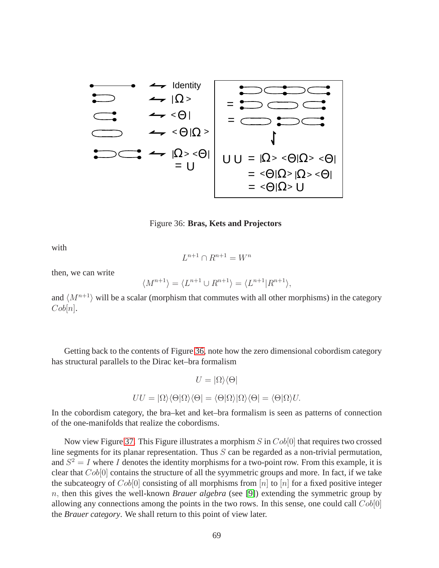$$
\begin{array}{c|c}\n\hline\n\end{array}\n\rightarrow\n\begin{array}{c}\n\text{Identity} \\
\hline\n\end{array}\n\begin{array}{c}\n\hline\n\end{array}\n\rightarrow\n\begin{array}{c}\n\text{Identity} \\
\hline\n\end{array}\n\end{array}\n\begin{array}{c}\n\hline\n\end{array}\n\begin{array}{c}\n\hline\n\end{array}\n\rightarrow\n\begin{array}{c}\n\text{Identity} \\
\hline\n\end{array}\n\end{array}\n\begin{array}{c}\n\hline\n\end{array}\n\rightarrow\n\begin{array}{c}\n\text{Matrix} \\
\hline\n\end{array}\n\end{array}\n\begin{array}{c}\n\hline\n\end{array}\n\begin{array}{c}\n\hline\n\end{array}\n\rightarrow\n\begin{array}{c}\n\text{Matrix} \\
\hline\n\end{array}\n\end{array}\n\begin{array}{c}\n\hline\n\end{array}\n\rightarrow\n\begin{array}{c}\n\text{Matrix} \\
\hline\n\end{array}\n\end{array}\n\begin{array}{c}\n\hline\n\end{array}\n\rightarrow\n\begin{array}{c}\n\text{Matrix} \\
\hline\n\end{array}\n\end{array}\n\begin{array}{c}\n\hline\n\end{array}\n\rightarrow\n\begin{array}{c}\n\text{Matrix} \\
\hline\n\end{array}\n\end{array}
$$



with

<span id="page-68-0"></span>
$$
L^{n+1} \cap R^{n+1} = W^n
$$

then, we can write

$$
\langle M^{n+1} \rangle = \langle L^{n+1} \cup R^{n+1} \rangle = \langle L^{n+1} | R^{n+1} \rangle,
$$

and  $\langle M^{n+1} \rangle$  will be a scalar (morphism that commutes with all other morphisms) in the category  $Cob[n]$ .

Getting back to the contents of Figure [36,](#page-68-0) note how the zero dimensional cobordism category has structural parallels to the Dirac ket–bra formalism

$$
U = |\Omega\rangle\langle\Theta|
$$

$$
UU = |\Omega\rangle\langle\Theta|\Omega\rangle\langle\Theta| = \langle\Theta|\Omega\rangle|\Omega\rangle\langle\Theta| = \langle\Theta|\Omega\rangle U.
$$

In the cobordism category, the bra–ket and ket–bra formalism is seen as patterns of connection of the one-manifolds that realize the cobordisms.

Now view Figure [37.](#page-69-0) This Figure illustrates a morphism  $S$  in  $Cob[0]$  that requires two crossed line segments for its planar representation. Thus  $S$  can be regarded as a non-trivial permutation, and  $S^2 = I$  where I denotes the identity morphisms for a two-point row. From this example, it is clear that  $Cob[0]$  contains the structure of all the syymmetric groups and more. In fact, if we take the subcateogry of  $Cob[0]$  consisting of all morphisms from [n] to [n] for a fixed positive integer n, then this gives the well-known *Brauer algebra* (see [\[9\]](#page-116-5)) extending the symmetric group by allowing any connections among the points in the two rows. In this sense, one could call  $Cob[0]$ the *Brauer category*. We shall return to this point of view later.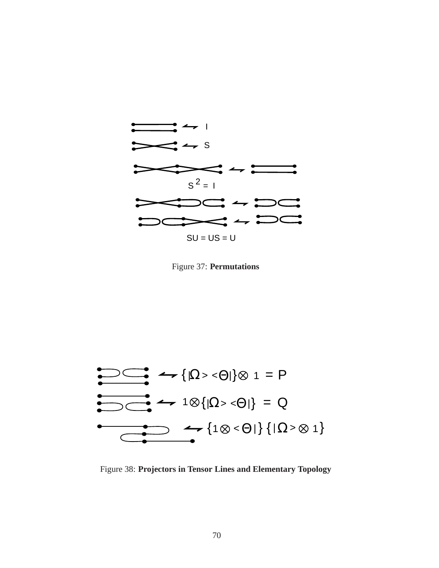

<span id="page-69-0"></span>Figure 37: **Permutations**



<span id="page-69-1"></span>Figure 38: **Projectors in Tensor Lines and Elementary Topology**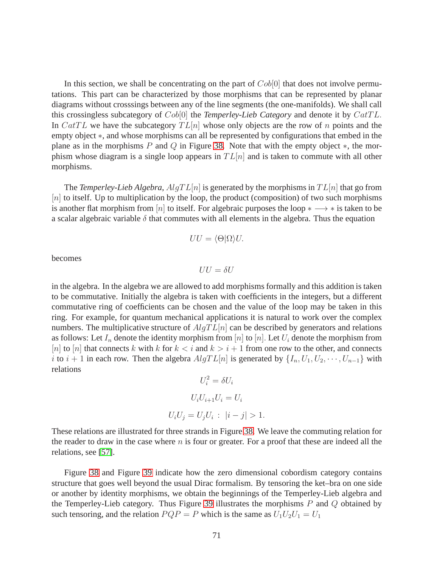In this section, we shall be concentrating on the part of  $Cob[0]$  that does not involve permutations. This part can be characterized by those morphisms that can be represented by planar diagrams without crosssings between any of the line segments (the one-manifolds). We shall call this crossingless subcategory of  $Cob[0]$  the *Temperley-Lieb Category* and denote it by  $CatTL$ . In CatTL we have the subcategory  $TL[n]$  whose only objects are the row of n points and the empty object  $\ast$ , and whose morphisms can all be represented by configurations that embed in the plane as in the morphisms P and Q in Figure [38.](#page-69-1) Note that with the empty object  $\ast$ , the morphism whose diagram is a single loop appears in  $TL[n]$  and is taken to commute with all other morphisms.

The *Temperley-Lieb Algebra*,  $AlgTL[n]$  is generated by the morphisms in  $TL[n]$  that go from  $[n]$  to itself. Up to multiplication by the loop, the product (composition) of two such morphisms is another flat morphism from [n] to itself. For algebraic purposes the loop  $* \longrightarrow *$  is taken to be a scalar algebraic variable  $\delta$  that commutes with all elements in the algebra. Thus the equation

$$
UU = \langle \Theta | \Omega \rangle U.
$$

becomes

$$
UU=\delta U
$$

in the algebra. In the algebra we are allowed to add morphisms formally and this addition is taken to be commutative. Initially the algebra is taken with coefficients in the integers, but a different commutative ring of coefficients can be chosen and the value of the loop may be taken in this ring. For example, for quantum mechanical applications it is natural to work over the complex numbers. The multiplicative structure of  $AlgTL[n]$  can be described by generators and relations as follows: Let  $I_n$  denote the identity morphism from [n] to [n]. Let  $U_i$  denote the morphism from [n] to [n] that connects k with k for  $k < i$  and  $k > i + 1$  from one row to the other, and connects i to  $i + 1$  in each row. Then the algebra  $AlgTL[n]$  is generated by  $\{I_n, U_1, U_2, \cdots, U_{n-1}\}$  with relations

$$
U_i^2 = \delta U_i
$$

$$
U_i U_{i+1} U_i = U_i
$$

$$
U_i U_j = U_j U_i : |i - j| > 1.
$$

These relations are illustrated for three strands in Figure [38.](#page-69-1) We leave the commuting relation for the reader to draw in the case where  $n$  is four or greater. For a proof that these are indeed all the relations, see [\[57\]](#page-119-4).

Figure [38](#page-69-1) and Figure [39](#page-72-0) indicate how the zero dimensional cobordism category contains structure that goes well beyond the usual Dirac formalism. By tensoring the ket–bra on one side or another by identity morphisms, we obtain the beginnings of the Temperley-Lieb algebra and the Temperley-Lieb category. Thus Figure [39](#page-72-0) illustrates the morphisms  $P$  and  $Q$  obtained by such tensoring, and the relation  $PQP = P$  which is the same as  $U_1U_2U_1 = U_1$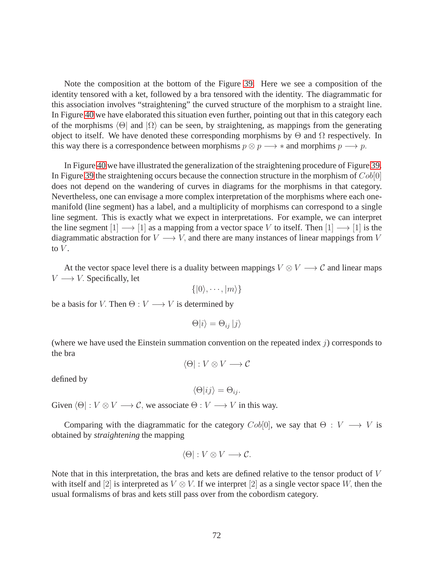Note the composition at the bottom of the Figure [39.](#page-72-0) Here we see a composition of the identity tensored with a ket, followed by a bra tensored with the identity. The diagrammatic for this association involves "straightening" the curved structure of the morphism to a straight line. In Figure [40](#page-72-1) we have elaborated this situation even further, pointing out that in this category each of the morphisms  $\langle \Theta |$  and  $| \Omega \rangle$  can be seen, by straightening, as mappings from the generating object to itself. We have denoted these corresponding morphisms by  $\Theta$  and  $\Omega$  respectively. In this way there is a correspondence between morphisms  $p \otimes p \longrightarrow *$  and morphims  $p \longrightarrow p$ .

In Figure [40](#page-72-1) we have illustrated the generalization of the straightening procedure of Figure [39.](#page-72-0) In Figure [39](#page-72-0) the straightening occurs because the connection structure in the morphism of  $Cob[0]$ does not depend on the wandering of curves in diagrams for the morphisms in that category. Nevertheless, one can envisage a more complex interpretation of the morphisms where each onemanifold (line segment) has a label, and a multiplicity of morphisms can correspond to a single line segment. This is exactly what we expect in interpretations. For example, we can interpret the line segment  $[1] \rightarrow [1]$  as a mapping from a vector space V to itself. Then  $[1] \rightarrow [1]$  is the diagrammatic abstraction for  $V \longrightarrow V$ , and there are many instances of linear mappings from V to  $V$ .

At the vector space level there is a duality between mappings  $V \otimes V \longrightarrow C$  and linear maps  $V \longrightarrow V$ . Specifically, let

$$
\{|0\rangle, \cdots, |m\rangle\}
$$

be a basis for V. Then  $\Theta: V \longrightarrow V$  is determined by

$$
\Theta|i\rangle = \Theta_{ij} |j\rangle
$$

(where we have used the Einstein summation convention on the repeated index  $\hat{j}$ ) corresponds to the bra

$$
\langle \Theta | : V \otimes V \longrightarrow \mathcal{C}
$$

defined by

$$
\langle \Theta | ij \rangle = \Theta_{ij}.
$$

Given  $\Theta : V \otimes V \longrightarrow C$ , we associate  $\Theta : V \longrightarrow V$  in this way.

Comparing with the diagrammatic for the category  $Cob[0]$ , we say that  $\Theta : V \longrightarrow V$  is obtained by *straightening* the mapping

$$
\langle \Theta|: V \otimes V \longrightarrow \mathcal{C}.
$$

Note that in this interpretation, the bras and kets are defined relative to the tensor product of V with itself and [2] is interpreted as  $V \otimes V$ . If we interpret [2] as a single vector space W, then the usual formalisms of bras and kets still pass over from the cobordism category.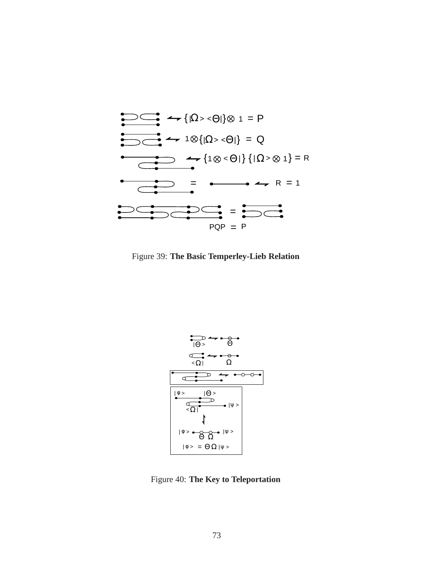

Figure 39: **The Basic Temperley-Lieb Relation**

$$
\frac{\frac{\partial}{\partial \theta} \times \frac{\partial}{\partial \theta}}{\frac{\partial \theta}{\partial \theta}} = \frac{\frac{\partial}{\partial \theta} \times \frac{\partial}{\partial \theta}}{\frac{\partial \theta}{\partial \theta}} = \frac{\frac{\partial}{\partial \theta} \times \frac{\partial}{\partial \theta}}{\frac{\partial \theta}{\partial \theta}} = \frac{\frac{\partial}{\partial \theta} \times \frac{\partial}{\partial \theta}}{\frac{\partial \theta}{\partial \theta}} = \frac{\frac{\partial}{\partial \theta} \times \frac{\partial}{\partial \theta}}{\frac{\partial \theta}{\partial \theta}} = \frac{\frac{\partial}{\partial \theta} \times \frac{\partial}{\partial \theta}}{\frac{\partial \theta}{\partial \theta}} = \frac{\frac{\partial}{\partial \theta} \times \frac{\partial}{\partial \theta}}{\frac{\partial \theta}{\partial \theta}} = \frac{\frac{\partial}{\partial \theta} \times \frac{\partial}{\partial \theta}}{\frac{\partial \theta}{\partial \theta}} = \frac{\frac{\partial}{\partial \theta} \times \frac{\partial}{\partial \theta}}{\frac{\partial \theta}{\partial \theta}} = \frac{\frac{\partial}{\partial \theta} \times \frac{\partial}{\partial \theta}}{\frac{\partial \theta}{\partial \theta}} = \frac{\frac{\partial}{\partial \theta} \times \frac{\partial}{\partial \theta}}{\frac{\partial \theta}{\partial \theta}} = \frac{\frac{\partial}{\partial \theta} \times \frac{\partial}{\partial \theta}}{\frac{\partial \theta}{\partial \theta}} = \frac{\frac{\partial}{\partial \theta} \times \frac{\partial}{\partial \theta}}{\frac{\partial \theta}{\partial \theta}} = \frac{\frac{\partial}{\partial \theta} \times \frac{\partial}{\partial \theta}}{\frac{\partial \theta}{\partial \theta}} = \frac{\frac{\partial}{\partial \theta} \times \frac{\partial}{\partial \theta}}{\frac{\partial \theta}{\partial \theta}} = \frac{\frac{\partial}{\partial \theta} \times \frac{\partial}{\partial \theta}}{\frac{\partial \theta}{\partial \theta}} = \frac{\frac{\partial}{\partial \theta} \times \frac{\partial}{\partial \theta}}{\frac{\partial \theta}{\partial \theta}} = \frac{\frac{\partial}{\partial \theta} \times \frac{\partial}{\partial \theta}}{\frac{\partial \theta}{\partial \theta}} = \frac{\frac{\partial}{\partial \theta} \times \frac{\partial}{\partial \theta}}{\frac{\partial \theta}{\partial \theta}} = \frac{\frac{\partial}{\partial \theta} \times \frac{\partial}{\partial \theta}}{\frac{\partial \theta}{\partial \theta}} = \frac{\frac{\partial}{\partial \theta} \times \frac{\partial}{\
$$

<span id="page-72-0"></span>Figure 40: **The Key to Teleportation**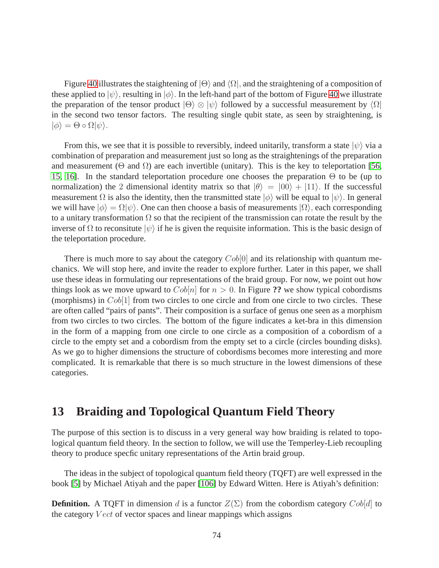Figure [40](#page-72-0) illustrates the staightening of  $|\Theta\rangle$  and  $\langle\Omega|$ , and the straightening of a composition of these applied to  $|\psi\rangle$ , resulting in  $|\phi\rangle$ . In the left-hand part of the bottom of Figure [40](#page-72-0) we illustrate the preparation of the tensor product  $|\Theta\rangle \otimes |\psi\rangle$  followed by a successful measurement by  $\langle \Omega |$ in the second two tensor factors. The resulting single qubit state, as seen by straightening, is  $|\phi\rangle = \Theta \circ \Omega |\psi\rangle.$ 

From this, we see that it is possible to reversibly, indeed unitarily, transform a state  $|\psi\rangle$  via a combination of preparation and measurement just so long as the straightenings of the preparation and measurement ( $\Theta$  and  $\Omega$ ) are each invertible (unitary). This is the key to teleportation [\[56,](#page-119-0) [15,](#page-117-0) [16\]](#page-117-1). In the standard teleportation procedure one chooses the preparation  $\Theta$  to be (up to normalization) the 2 dimensional identity matrix so that  $|\theta\rangle = |00\rangle + |11\rangle$ . If the successful measurement  $\Omega$  is also the identity, then the transmitted state  $|\phi\rangle$  will be equal to  $|\psi\rangle$ . In general we will have  $|\phi\rangle = \Omega |\psi\rangle$ . One can then choose a basis of measurements  $|\Omega\rangle$ , each corresponding to a unitary transformation  $\Omega$  so that the recipient of the transmission can rotate the result by the inverse of  $\Omega$  to reconsitute  $|\psi\rangle$  if he is given the requisite information. This is the basic design of the teleportation procedure.

There is much more to say about the category  $Cob[0]$  and its relationship with quantum mechanics. We will stop here, and invite the reader to explore further. Later in this paper, we shall use these ideas in formulating our representations of the braid group. For now, we point out how things look as we move upward to  $Cob[n]$  for  $n > 0$ . In Figure ?? we show typical cobordisms (morphisms) in  $Cob[1]$  from two circles to one circle and from one circle to two circles. These are often called "pairs of pants". Their composition is a surface of genus one seen as a morphism from two circles to two circles. The bottom of the figure indicates a ket-bra in this dimension in the form of a mapping from one circle to one circle as a composition of a cobordism of a circle to the empty set and a cobordism from the empty set to a circle (circles bounding disks). As we go to higher dimensions the structure of cobordisms becomes more interesting and more complicated. It is remarkable that there is so much structure in the lowest dimensions of these categories.

## **13 Braiding and Topological Quantum Field Theory**

The purpose of this section is to discuss in a very general way how braiding is related to topological quantum field theory. In the section to follow, we will use the Temperley-Lieb recoupling theory to produce specfic unitary representations of the Artin braid group.

The ideas in the subject of topological quantum field theory (TQFT) are well expressed in the book [\[5\]](#page-116-0) by Michael Atiyah and the paper [\[106\]](#page-123-0) by Edward Witten. Here is Atiyah's definition:

**Definition.** A TQFT in dimension d is a functor  $Z(\Sigma)$  from the cobordism category  $Cob[d]$  to the category  $Vect$  of vector spaces and linear mappings which assigns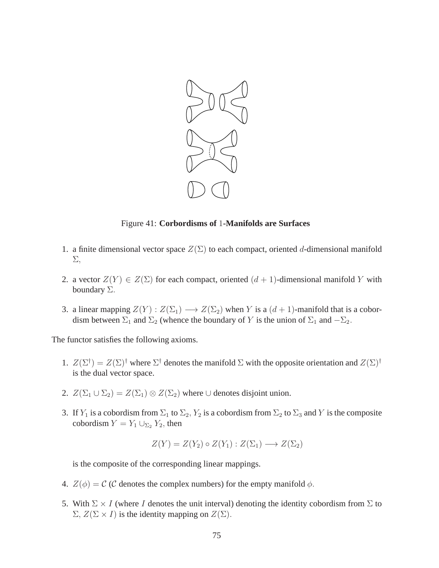

Figure 41: **Corbordisms of** 1**-Manifolds are Surfaces**

- 1. a finite dimensional vector space  $Z(\Sigma)$  to each compact, oriented d-dimensional manifold Σ,
- 2. a vector  $Z(Y) \in Z(\Sigma)$  for each compact, oriented  $(d+1)$ -dimensional manifold Y with boundary  $\Sigma$ .
- 3. a linear mapping  $Z(Y) : Z(\Sigma_1) \longrightarrow Z(\Sigma_2)$  when Y is a  $(d+1)$ -manifold that is a cobordism between  $\Sigma_1$  and  $\Sigma_2$  (whence the boundary of Y is the union of  $\Sigma_1$  and  $-\Sigma_2$ .

The functor satisfies the following axioms.

- 1.  $Z(\Sigma^{\dagger}) = Z(\Sigma)^{\dagger}$  where  $\Sigma^{\dagger}$  denotes the manifold  $\Sigma$  with the opposite orientation and  $Z(\Sigma)^{\dagger}$ is the dual vector space.
- 2.  $Z(\Sigma_1 \cup \Sigma_2) = Z(\Sigma_1) \otimes Z(\Sigma_2)$  where ∪ denotes disjoint union.
- 3. If  $Y_1$  is a cobordism from  $\Sigma_1$  to  $\Sigma_2$ ,  $Y_2$  is a cobordism from  $\Sigma_2$  to  $\Sigma_3$  and Y is the composite cobordism  $Y = Y_1 \cup_{\Sigma_2} Y_2$ , then

$$
Z(Y) = Z(Y_2) \circ Z(Y_1) : Z(\Sigma_1) \longrightarrow Z(\Sigma_2)
$$

is the composite of the corresponding linear mappings.

- 4.  $Z(\phi) = C$  (C denotes the complex numbers) for the empty manifold  $\phi$ .
- 5. With  $\Sigma \times I$  (where I denotes the unit interval) denoting the identity cobordism from  $\Sigma$  to  $\Sigma$ ,  $Z(\Sigma \times I)$  is the identity mapping on  $Z(\Sigma)$ .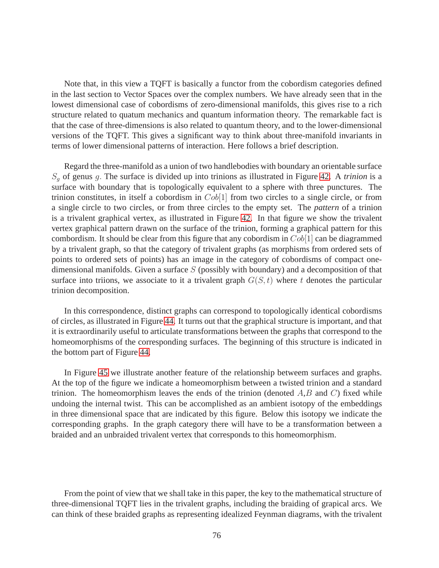Note that, in this view a TQFT is basically a functor from the cobordism categories defined in the last section to Vector Spaces over the complex numbers. We have already seen that in the lowest dimensional case of cobordisms of zero-dimensional manifolds, this gives rise to a rich structure related to quatum mechanics and quantum information theory. The remarkable fact is that the case of three-dimensions is also related to quantum theory, and to the lower-dimensional versions of the TQFT. This gives a significant way to think about three-manifold invariants in terms of lower dimensional patterns of interaction. Here follows a brief description.

Regard the three-manifold as a union of two handlebodies with boundary an orientable surface S<sup>g</sup> of genus g. The surface is divided up into trinions as illustrated in Figure [42.](#page-76-0) A *trinion* is a surface with boundary that is topologically equivalent to a sphere with three punctures. The trinion constitutes, in itself a cobordism in  $Cob[1]$  from two circles to a single circle, or from a single circle to two circles, or from three circles to the empty set. The *pattern* of a trinion is a trivalent graphical vertex, as illustrated in Figure [42.](#page-76-0) In that figure we show the trivalent vertex graphical pattern drawn on the surface of the trinion, forming a graphical pattern for this combordism. It should be clear from this figure that any cobordism in  $Cob[1]$  can be diagrammed by a trivalent graph, so that the category of trivalent graphs (as morphisms from ordered sets of points to ordered sets of points) has an image in the category of cobordisms of compact onedimensional manifolds. Given a surface  $S$  (possibly with boundary) and a decomposition of that surface into triions, we associate to it a trivalent graph  $G(S, t)$  where t denotes the particular trinion decomposition.

In this correspondence, distinct graphs can correspond to topologically identical cobordisms of circles, as illustrated in Figure [44.](#page-76-1) It turns out that the graphical structure is important, and that it is extraordinarily useful to articulate transformations between the graphs that correspond to the homeomorphisms of the corresponding surfaces. The beginning of this structure is indicated in the bottom part of Figure [44.](#page-76-1)

In Figure [45](#page-77-0) we illustrate another feature of the relationship betweem surfaces and graphs. At the top of the figure we indicate a homeomorphism between a twisted trinion and a standard trinion. The homeomorphism leaves the ends of the trinion (denoted  $A,B$  and  $C$ ) fixed while undoing the internal twist. This can be accomplished as an ambient isotopy of the embeddings in three dimensional space that are indicated by this figure. Below this isotopy we indicate the corresponding graphs. In the graph category there will have to be a transformation between a braided and an unbraided trivalent vertex that corresponds to this homeomorphism.

From the point of view that we shall take in this paper, the key to the mathematical structure of three-dimensional TQFT lies in the trivalent graphs, including the braiding of grapical arcs. We can think of these braided graphs as representing idealized Feynman diagrams, with the trivalent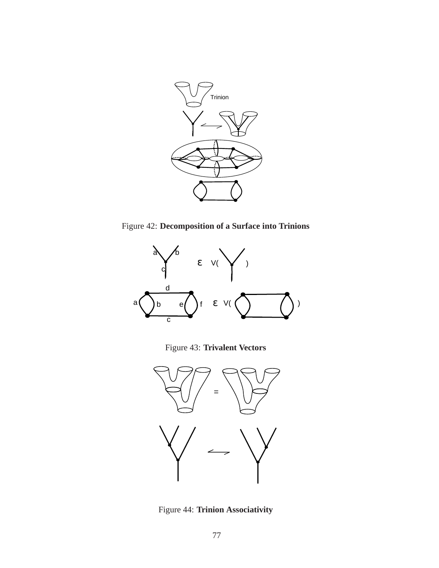

Figure 42: **Decomposition of a Surface into Trinions**

<span id="page-76-0"></span>

Figure 43: **Trivalent Vectors**



<span id="page-76-1"></span>Figure 44: **Trinion Associativity**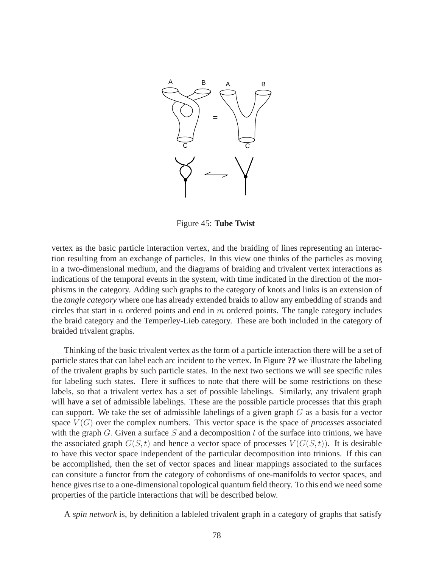

<span id="page-77-0"></span>Figure 45: **Tube Twist**

vertex as the basic particle interaction vertex, and the braiding of lines representing an interaction resulting from an exchange of particles. In this view one thinks of the particles as moving in a two-dimensional medium, and the diagrams of braiding and trivalent vertex interactions as indications of the temporal events in the system, with time indicated in the direction of the morphisms in the category. Adding such graphs to the category of knots and links is an extension of the *tangle category* where one has already extended braids to allow any embedding of strands and circles that start in  $n$  ordered points and end in  $m$  ordered points. The tangle category includes the braid category and the Temperley-Lieb category. These are both included in the category of braided trivalent graphs.

Thinking of the basic trivalent vertex as the form of a particle interaction there will be a set of particle states that can label each arc incident to the vertex. In Figure **??** we illustrate the labeling of the trivalent graphs by such particle states. In the next two sections we will see specific rules for labeling such states. Here it suffices to note that there will be some restrictions on these labels, so that a trivalent vertex has a set of possible labelings. Similarly, any trivalent graph will have a set of admissible labelings. These are the possible particle processes that this graph can support. We take the set of admissible labelings of a given graph  $G$  as a basis for a vector space  $V(G)$  over the complex numbers. This vector space is the space of *processes* associated with the graph  $G$ . Given a surface  $S$  and a decomposition t of the surface into trinions, we have the associated graph  $G(S, t)$  and hence a vector space of processes  $V(G(S, t))$ . It is desirable to have this vector space independent of the particular decomposition into trinions. If this can be accomplished, then the set of vector spaces and linear mappings associated to the surfaces can consitute a functor from the category of cobordisms of one-manifolds to vector spaces, and hence gives rise to a one-dimensional topological quantum field theory. To this end we need some properties of the particle interactions that will be described below.

A *spin network* is, by definition a lableled trivalent graph in a category of graphs that satisfy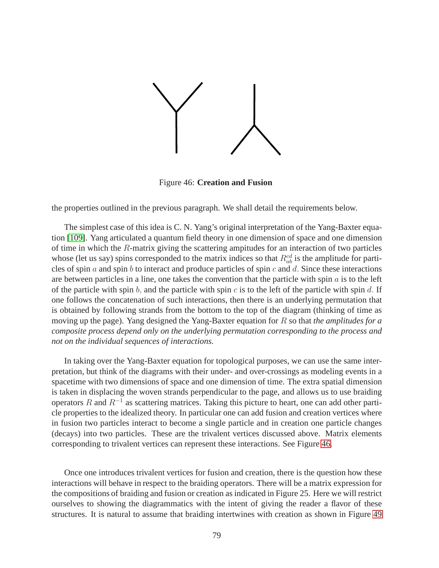

<span id="page-78-0"></span>Figure 46: **Creation and Fusion**

the properties outlined in the previous paragraph. We shall detail the requirements below.

The simplest case of this idea is C. N. Yang's original interpretation of the Yang-Baxter equation [\[109\]](#page-123-1). Yang articulated a quantum field theory in one dimension of space and one dimension of time in which the R-matrix giving the scattering ampitudes for an interaction of two particles whose (let us say) spins corresponded to the matrix indices so that  $R_{ab}^{cd}$  is the amplitude for particles of spin a and spin b to interact and produce particles of spin c and d. Since these interactions are between particles in a line, one takes the convention that the particle with spin  $\alpha$  is to the left of the particle with spin b, and the particle with spin c is to the left of the particle with spin d. If one follows the concatenation of such interactions, then there is an underlying permutation that is obtained by following strands from the bottom to the top of the diagram (thinking of time as moving up the page). Yang designed the Yang-Baxter equation for R so that *the amplitudes for a composite process depend only on the underlying permutation corresponding to the process and not on the individual sequences of interactions.*

In taking over the Yang-Baxter equation for topological purposes, we can use the same interpretation, but think of the diagrams with their under- and over-crossings as modeling events in a spacetime with two dimensions of space and one dimension of time. The extra spatial dimension is taken in displacing the woven strands perpendicular to the page, and allows us to use braiding operators R and  $R^{-1}$  as scattering matrices. Taking this picture to heart, one can add other particle properties to the idealized theory. In particular one can add fusion and creation vertices where in fusion two particles interact to become a single particle and in creation one particle changes (decays) into two particles. These are the trivalent vertices discussed above. Matrix elements corresponding to trivalent vertices can represent these interactions. See Figure [46.](#page-78-0)

Once one introduces trivalent vertices for fusion and creation, there is the question how these interactions will behave in respect to the braiding operators. There will be a matrix expression for the compositions of braiding and fusion or creation as indicated in Figure 25. Here we will restrict ourselves to showing the diagrammatics with the intent of giving the reader a flavor of these structures. It is natural to assume that braiding intertwines with creation as shown in Figure [49](#page-80-0)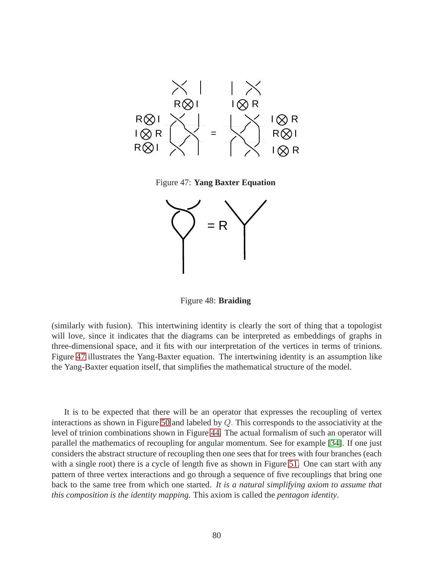

Figure 47: **Yang Baxter Equation**

<span id="page-79-0"></span>

Figure 48: **Braiding**

(similarly with fusion). This intertwining identity is clearly the sort of thing that a topologist will love, since it indicates that the diagrams can be interpreted as embeddings of graphs in three-dimensional space, and it fits with our interpretation of the vertices in terms of trinions. Figure [47](#page-79-0) illustrates the Yang-Baxter equation. The intertwining identity is an assumption like the Yang-Baxter equation itself, that simplifies the mathematical structure of the model.

It is to be expected that there will be an operator that expresses the recoupling of vertex interactions as shown in Figure [50](#page-80-1) and labeled by  $Q$ . This corresponds to the associativity at the level of trinion combinations shown in Figure [44.](#page-76-1) The actual formalism of such an operator will parallel the mathematics of recoupling for angular momentum. See for example [\[34\]](#page-118-0). If one just considers the abstract structure of recoupling then one sees that for trees with four branches (each with a single root) there is a cycle of length five as shown in Figure [51.](#page-80-2) One can start with any pattern of three vertex interactions and go through a sequence of five recouplings that bring one back to the same tree from which one started. *It is a natural simplifying axiom to assume that this composition is the identity mapping.* This axiom is called the *pentagon identity*.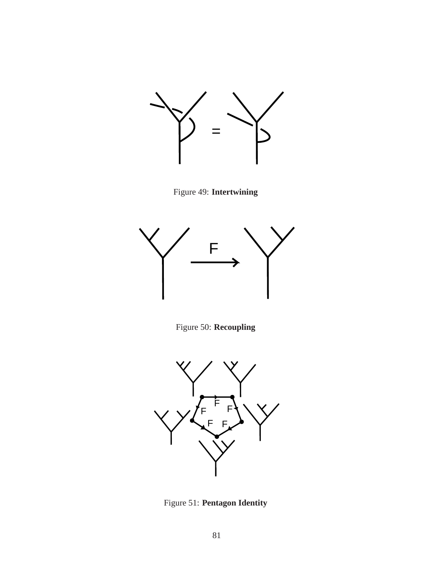

<span id="page-80-0"></span>



<span id="page-80-1"></span>Figure 50: **Recoupling**



<span id="page-80-2"></span>Figure 51: **Pentagon Identity**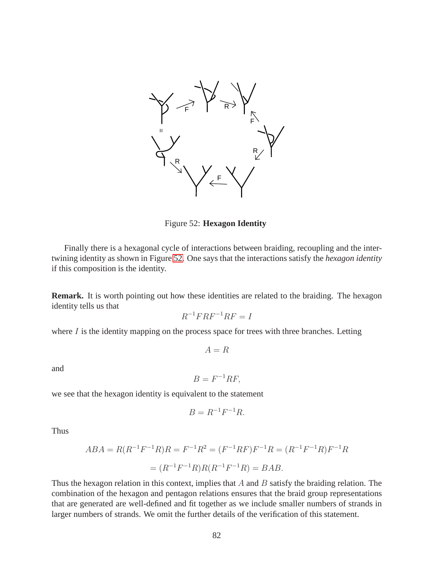

<span id="page-81-0"></span>Figure 52: **Hexagon Identity**

Finally there is a hexagonal cycle of interactions between braiding, recoupling and the intertwining identity as shown in Figure [52.](#page-81-0) One says that the interactions satisfy the *hexagon identity* if this composition is the identity.

**Remark.** It is worth pointing out how these identities are related to the braiding. The hexagon identity tells us that

$$
R^{-1}FRF^{-1}RF = I
$$

where  $I$  is the identity mapping on the process space for trees with three branches. Letting

$$
A = R
$$

and

$$
B = F^{-1}RF,
$$

we see that the hexagon identity is equivalent to the statement

$$
B = R^{-1}F^{-1}R.
$$

Thus

$$
ABA = R(R^{-1}F^{-1}R)R = F^{-1}R^2 = (F^{-1}RF)F^{-1}R = (R^{-1}F^{-1}R)F^{-1}R
$$

$$
= (R^{-1}F^{-1}R)R(R^{-1}F^{-1}R) = BAB.
$$

Thus the hexagon relation in this context, implies that  $A$  and  $B$  satisfy the braiding relation. The combination of the hexagon and pentagon relations ensures that the braid group representations that are generated are well-defined and fit together as we include smaller numbers of strands in larger numbers of strands. We omit the further details of the verification of this statement.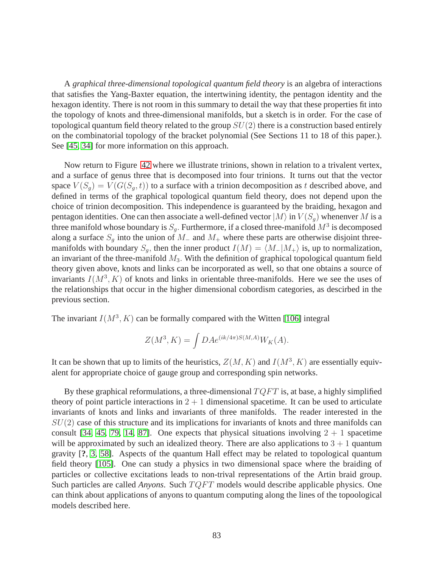A *graphical three-dimensional topological quantum field theory* is an algebra of interactions that satisfies the Yang-Baxter equation, the intertwining identity, the pentagon identity and the hexagon identity. There is not room in this summary to detail the way that these properties fit into the topology of knots and three-dimensional manifolds, but a sketch is in order. For the case of topological quantum field theory related to the group  $SU(2)$  there is a construction based entirely on the combinatorial topology of the bracket polynomial (See Sections 11 to 18 of this paper.). See [\[45,](#page-119-1) [34\]](#page-118-0) for more information on this approach.

Now return to Figure [42](#page-76-0) where we illustrate trinions, shown in relation to a trivalent vertex, and a surface of genus three that is decomposed into four trinions. It turns out that the vector space  $V(S_q) = V(G(S_q, t))$  to a surface with a trinion decomposition as t described above, and defined in terms of the graphical topological quantum field theory, does not depend upon the choice of trinion decomposition. This independence is guaranteed by the braiding, hexagon and pentagon identities. One can then associate a well-defined vector  $|M\rangle$  in  $V(S_q)$  whenenver M is a three manifold whose boundary is  $S_g$ . Furthermore, if a closed three-manifold  $M^3$  is decomposed along a surface  $S_q$  into the union of  $M_-\,$  and  $M_+\,$  where these parts are otherwise disjoint threemanifolds with boundary  $S_q$ , then the inner product  $I(M) = \langle M_-|M_+\rangle$  is, up to normalization, an invariant of the three-manifold  $M_3$ . With the definition of graphical topological quantum field theory given above, knots and links can be incorporated as well, so that one obtains a source of invariants  $I(M^3, K)$  of knots and links in orientable three-manifolds. Here we see the uses of the relationships that occur in the higher dimensional cobordism categories, as descirbed in the previous section.

The invariant  $I(M^3, K)$  can be formally compared with the Witten [\[106\]](#page-123-0) integral

$$
Z(M^3, K) = \int DA e^{(ik/4\pi)S(M, A)} W_K(A).
$$

It can be shown that up to limits of the heuristics,  $Z(M, K)$  and  $I(M^3, K)$  are essentially equivalent for appropriate choice of gauge group and corresponding spin networks.

By these graphical reformulations, a three-dimensional  $TQFT$  is, at base, a highly simplified theory of point particle interactions in  $2 + 1$  dimensional spacetime. It can be used to articulate invariants of knots and links and invariants of three manifolds. The reader interested in the  $SU(2)$  case of this structure and its implications for invariants of knots and three manifolds can consult [\[34,](#page-118-0) [45,](#page-119-1) [79,](#page-121-0) [14,](#page-117-2) [87\]](#page-122-0). One expects that physical situations involving  $2 + 1$  spacetime will be approximated by such an idealized theory. There are also applications to  $3 + 1$  quantum gravity [**?**, [3,](#page-116-1) [58\]](#page-120-0). Aspects of the quantum Hall effect may be related to topological quantum field theory [\[105\]](#page-123-2). One can study a physics in two dimensional space where the braiding of particles or collective excitations leads to non-trival representations of the Artin braid group. Such particles are called *Anyons*. Such  $TQFT$  models would describe applicable physics. One can think about applications of anyons to quantum computing along the lines of the topoological models described here.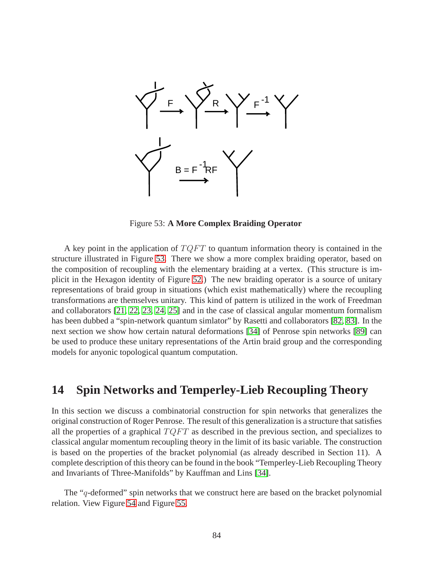

<span id="page-83-0"></span>Figure 53: **A More Complex Braiding Operator**

A key point in the application of  $TQFT$  to quantum information theory is contained in the structure illustrated in Figure [53.](#page-83-0) There we show a more complex braiding operator, based on the composition of recoupling with the elementary braiding at a vertex. (This structure is implicit in the Hexagon identity of Figure [52.](#page-81-0)) The new braiding operator is a source of unitary representations of braid group in situations (which exist mathematically) where the recoupling transformations are themselves unitary. This kind of pattern is utilized in the work of Freedman and collaborators [\[21,](#page-117-3) [22,](#page-117-4) [23,](#page-117-5) [24,](#page-117-6) [25\]](#page-117-7) and in the case of classical angular momentum formalism has been dubbed a "spin-network quantum simlator" by Rasetti and collaborators [\[82,](#page-121-1) [83\]](#page-121-2). In the next section we show how certain natural deformations [\[34\]](#page-118-0) of Penrose spin networks [\[89\]](#page-122-1) can be used to produce these unitary representations of the Artin braid group and the corresponding models for anyonic topological quantum computation.

## **14 Spin Networks and Temperley-Lieb Recoupling Theory**

In this section we discuss a combinatorial construction for spin networks that generalizes the original construction of Roger Penrose. The result of this generalization is a structure that satisfies all the properties of a graphical  $TQFT$  as described in the previous section, and specializes to classical angular momentum recoupling theory in the limit of its basic variable. The construction is based on the properties of the bracket polynomial (as already described in Section 11). A complete description of this theory can be found in the book "Temperley-Lieb Recoupling Theory and Invariants of Three-Manifolds" by Kauffman and Lins [\[34\]](#page-118-0).

The " $q$ -deformed" spin networks that we construct here are based on the bracket polynomial relation. View Figure [54](#page-84-0) and Figure [55.](#page-84-1)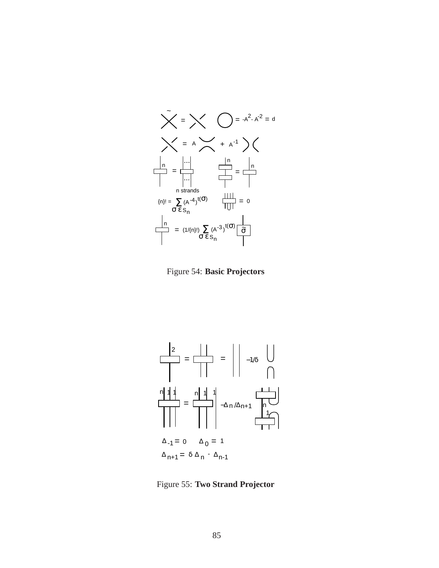

<span id="page-84-0"></span>Figure 54: **Basic Projectors**



<span id="page-84-1"></span>Figure 55: **Two Strand Projector**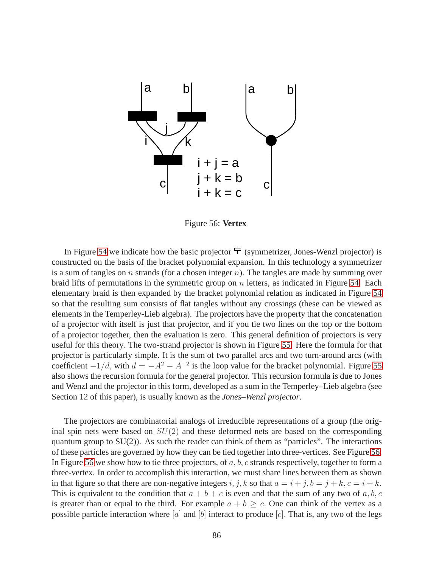

<span id="page-85-0"></span>Figure 56: **Vertex**

In Figure [54](#page-84-0) we indicate how the basic projector  $\stackrel{\perp}{\leftarrow}$  (symmetrizer, Jones-Wenzl projector) is constructed on the basis of the bracket polynomial expansion. In this technology a symmetrizer is a sum of tangles on n strands (for a chosen integer  $n$ ). The tangles are made by summing over braid lifts of permutations in the symmetric group on  $n$  letters, as indicated in Figure [54.](#page-84-0) Each elementary braid is then expanded by the bracket polynomial relation as indicated in Figure [54](#page-84-0) so that the resulting sum consists of flat tangles without any crossings (these can be viewed as elements in the Temperley-Lieb algebra). The projectors have the property that the concatenation of a projector with itself is just that projector, and if you tie two lines on the top or the bottom of a projector together, then the evaluation is zero. This general definition of projectors is very useful for this theory. The two-strand projector is shown in Figure [55.](#page-84-1) Here the formula for that projector is particularly simple. It is the sum of two parallel arcs and two turn-around arcs (with coefficient  $-1/d$ , with  $d = -A^2 - A^{-2}$  is the loop value for the bracket polynomial. Figure [55](#page-84-1) also shows the recursion formula for the general projector. This recursion formula is due to Jones and Wenzl and the projector in this form, developed as a sum in the Temperley–Lieb algebra (see Section 12 of this paper), is usually known as the *Jones–Wenzl projector*.

The projectors are combinatorial analogs of irreducible representations of a group (the original spin nets were based on  $SU(2)$  and these deformed nets are based on the corresponding quantum group to  $SU(2)$ ). As such the reader can think of them as "particles". The interactions of these particles are governed by how they can be tied together into three-vertices. See Figure [56.](#page-85-0) In Figure [56](#page-85-0) we show how to tie three projectors, of  $a, b, c$  strands respectively, together to form a three-vertex. In order to accomplish this interaction, we must share lines between them as shown in that figure so that there are non-negative integers i, j, k so that  $a = i + j$ ,  $b = j + k$ ,  $c = i + k$ . This is equivalent to the condition that  $a + b + c$  is even and that the sum of any two of a, b, c is greater than or equal to the third. For example  $a + b \geq c$ . One can think of the vertex as a possible particle interaction where  $[a]$  and  $[b]$  interact to produce  $[c]$ . That is, any two of the legs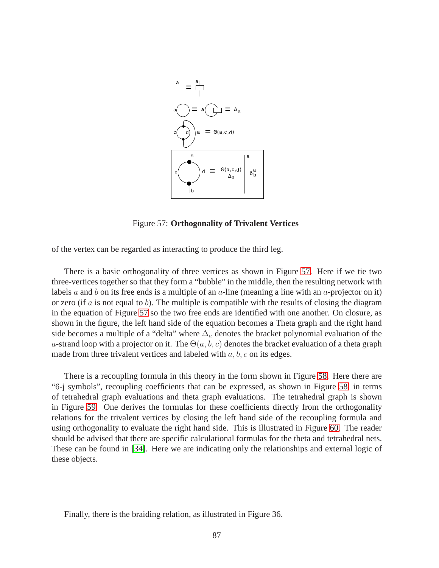a  
\na  
\n
$$
a = a \rightarrow a
$$
\n
$$
a = \theta(a, c, d)
$$
\n
$$
a = \theta(a, c, d)
$$
\n
$$
a = \theta(a, c, d)
$$
\n
$$
a = \theta(a, c, d)
$$
\n
$$
a = \theta(a, c, d)
$$
\n
$$
a = \theta(a, c, d)
$$
\n
$$
a = \theta(a, c, d)
$$
\n
$$
a = \theta(a, c, d)
$$
\n
$$
a = \theta(a, c, d)
$$
\n
$$
a = \theta(a, c, d)
$$
\n
$$
a = \theta(a, c, d)
$$
\n
$$
a = \theta(a, c, d)
$$
\n
$$
a = \theta(a, c, d)
$$
\n
$$
a = \theta(a, c, d)
$$
\n
$$
a = \theta(a, c, d)
$$
\n
$$
a = \theta(a, c, d)
$$
\n
$$
a = \theta(a, c, d)
$$
\n
$$
a = \theta(a, c, d)
$$
\n
$$
a = \theta(a, c, d)
$$
\n
$$
a = \theta(a, c, d)
$$
\n
$$
a = \theta(a, c, d)
$$
\n
$$
a = \theta(a, c, d)
$$
\n
$$
a = \theta(a, c, d)
$$
\n
$$
a = \theta(a, c, d)
$$
\n
$$
a = \theta(a, c, d)
$$
\n
$$
a = \theta(a, c, d)
$$
\n
$$
a = \theta(a, c, d)
$$
\n
$$
a = \theta(a, c, d)
$$
\n
$$
a = \theta(a, c, d)
$$
\n
$$
a = \theta(a, c, d)
$$
\n
$$
a = \theta(a, c, d)
$$
\n
$$
a = \theta(a, c, d)
$$
\n
$$
a = \theta(a, c, d)
$$
\n
$$
a = \theta(a, c, d)
$$
\n
$$
a = \theta(a, c, d)
$$
\n
$$
a = \theta(a, c, d)
$$
\n
$$
a = \theta(a, c, d)
$$
\n
$$
a = \theta(a, c, d)
$$
\n
$$
a = \theta(a, c, d)
$$
\n<

<span id="page-86-0"></span>Figure 57: **Orthogonality of Trivalent Vertices**

of the vertex can be regarded as interacting to produce the third leg.

There is a basic orthogonality of three vertices as shown in Figure [57.](#page-86-0) Here if we tie two three-vertices together so that they form a "bubble" in the middle, then the resulting network with labels a and b on its free ends is a multiple of an  $a$ -line (meaning a line with an  $a$ -projector on it) or zero (if  $a$  is not equal to  $b$ ). The multiple is compatible with the results of closing the diagram in the equation of Figure [57](#page-86-0) so the two free ends are identified with one another. On closure, as shown in the figure, the left hand side of the equation becomes a Theta graph and the right hand side becomes a multiple of a "delta" where  $\Delta_a$  denotes the bracket polynomial evaluation of the a-strand loop with a projector on it. The  $\Theta(a, b, c)$  denotes the bracket evaluation of a theta graph made from three trivalent vertices and labeled with  $a, b, c$  on its edges.

There is a recoupling formula in this theory in the form shown in Figure [58.](#page-87-0) Here there are "6-j symbols", recoupling coefficients that can be expressed, as shown in Figure [58,](#page-87-0) in terms of tetrahedral graph evaluations and theta graph evaluations. The tetrahedral graph is shown in Figure [59.](#page-87-1) One derives the formulas for these coefficients directly from the orthogonality relations for the trivalent vertices by closing the left hand side of the recoupling formula and using orthogonality to evaluate the right hand side. This is illustrated in Figure [60.](#page-87-2) The reader should be advised that there are specific calculational formulas for the theta and tetrahedral nets. These can be found in [\[34\]](#page-118-0). Here we are indicating only the relationships and external logic of these objects.

Finally, there is the braiding relation, as illustrated in Figure 36.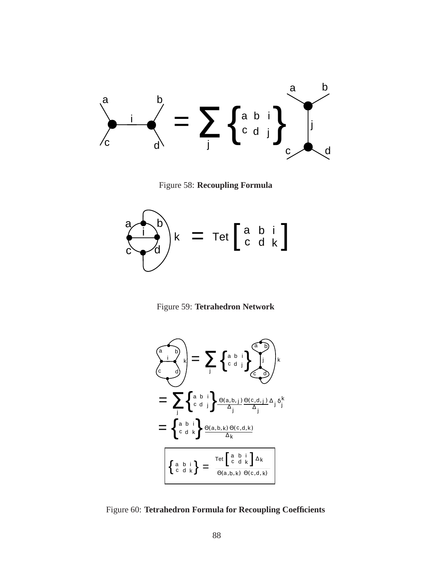

<span id="page-87-0"></span>Figure 58: **Recoupling Formula**



<span id="page-87-1"></span>Figure 59: **Tetrahedron Network**



<span id="page-87-2"></span>Figure 60: **Tetrahedron Formula for Recoupling Coefficients**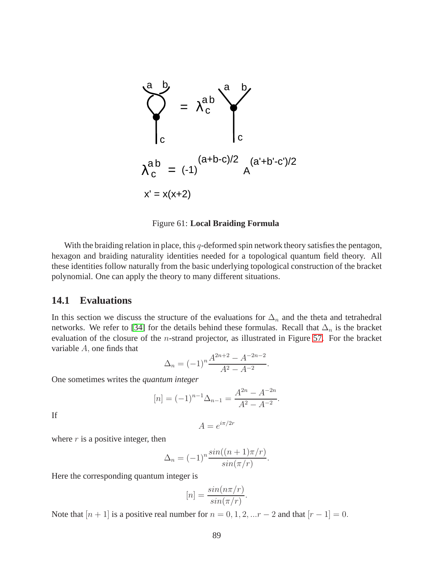

Figure 61: **Local Braiding Formula**

With the braiding relation in place, this  $q$ -deformed spin network theory satisfies the pentagon, hexagon and braiding naturality identities needed for a topological quantum field theory. All these identities follow naturally from the basic underlying topological construction of the bracket polynomial. One can apply the theory to many different situations.

#### **14.1 Evaluations**

In this section we discuss the structure of the evaluations for  $\Delta_n$  and the theta and tetrahedral networks. We refer to [\[34\]](#page-118-0) for the details behind these formulas. Recall that  $\Delta_n$  is the bracket evaluation of the closure of the n-strand projector, as illustrated in Figure [57.](#page-86-0) For the bracket variable A, one finds that

$$
\Delta_n = (-1)^n \frac{A^{2n+2} - A^{-2n-2}}{A^2 - A^{-2}}.
$$

One sometimes writes the *quantum integer*

$$
[n] = (-1)^{n-1} \Delta_{n-1} = \frac{A^{2n} - A^{-2n}}{A^2 - A^{-2}}.
$$

If

$$
A = e^{i\pi/2r}
$$

where  $r$  is a positive integer, then

$$
\Delta_n = (-1)^n \frac{\sin((n+1)\pi/r)}{\sin(\pi/r)}.
$$

Here the corresponding quantum integer is

$$
[n] = \frac{\sin(n\pi/r)}{\sin(\pi/r)}.
$$

Note that  $[n+1]$  is a positive real number for  $n = 0, 1, 2, ...r - 2$  and that  $[r-1] = 0$ .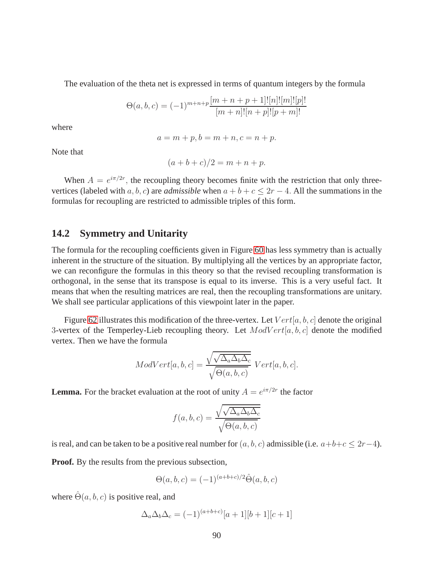The evaluation of the theta net is expressed in terms of quantum integers by the formula

$$
\Theta(a,b,c) = (-1)^{m+n+p} \frac{[m+n+p+1]![n]![m]![p]!}{[m+n]![n+p]![p+m]!}
$$

where

$$
a = m + p, b = m + n, c = n + p.
$$

Note that

$$
(a+b+c)/2 = m+n+p.
$$

When  $A = e^{i\pi/2r}$ , the recoupling theory becomes finite with the restriction that only threevertices (labeled with a, b, c) are *admissible* when  $a + b + c \leq 2r - 4$ . All the summations in the formulas for recoupling are restricted to admissible triples of this form.

### **14.2 Symmetry and Unitarity**

The formula for the recoupling coefficients given in Figure [60](#page-87-2) has less symmetry than is actually inherent in the structure of the situation. By multiplying all the vertices by an appropriate factor, we can reconfigure the formulas in this theory so that the revised recoupling transformation is orthogonal, in the sense that its transpose is equal to its inverse. This is a very useful fact. It means that when the resulting matrices are real, then the recoupling transformations are unitary. We shall see particular applications of this viewpoint later in the paper.

Figure [62](#page-91-0) illustrates this modification of the three-vertex. Let  $Verta, b, c \vert$  denote the original 3-vertex of the Temperley-Lieb recoupling theory. Let  $ModVert [a, b, c]$  denote the modified vertex. Then we have the formula

$$
ModVert[a, b, c] = \frac{\sqrt{\sqrt{\Delta_a \Delta_b \Delta_c}}}{\sqrt{\Theta(a, b, c)}} \; Vert[a, b, c].
$$

**Lemma.** For the bracket evaluation at the root of unity  $A = e^{i\pi/2r}$  the factor

$$
f(a, b, c) = \frac{\sqrt{\sqrt{\Delta_a \Delta_b \Delta_c}}}{\sqrt{\Theta(a, b, c)}}
$$

is real, and can be taken to be a positive real number for  $(a, b, c)$  admissible (i.e.  $a+b+c \leq 2r-4$ ).

**Proof.** By the results from the previous subsection,

$$
\Theta(a, b, c) = (-1)^{(a+b+c)/2} \hat{\Theta}(a, b, c)
$$

where  $\hat{\Theta}(a, b, c)$  is positive real, and

$$
\Delta_a \Delta_b \Delta_c = (-1)^{(a+b+c)} [a+1][b+1][c+1]
$$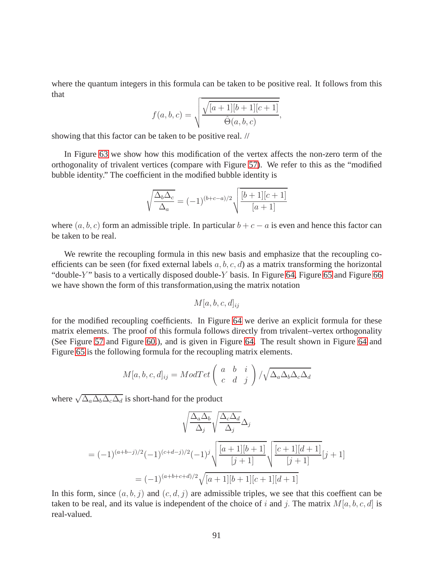where the quantum integers in this formula can be taken to be positive real. It follows from this that

$$
f(a, b, c) = \sqrt{\frac{\sqrt{[a+1][b+1][c+1]}}{\hat{\Theta}(a, b, c)}},
$$

showing that this factor can be taken to be positive real. //

In Figure [63](#page-91-1) we show how this modification of the vertex affects the non-zero term of the orthogonality of trivalent vertices (compare with Figure [57\)](#page-86-0). We refer to this as the "modified bubble identity." The coefficient in the modified bubble identity is

$$
\sqrt{\frac{\Delta_b \Delta_c}{\Delta_a}} = (-1)^{(b+c-a)/2} \sqrt{\frac{[b+1][c+1]}{[a+1]}}
$$

where  $(a, b, c)$  form an admissible triple. In particular  $b + c - a$  is even and hence this factor can be taken to be real.

We rewrite the recoupling formula in this new basis and emphasize that the recoupling coefficients can be seen (for fixed external labels  $a, b, c, d$ ) as a matrix transforming the horizontal "double-Y" basis to a vertically disposed double-Y basis. In Figure [64,](#page-92-0) Figure [65](#page-92-1) and Figure [66](#page-92-2) we have shown the form of this transformation,using the matrix notation

$$
M[a, b, c, d]_{ij}
$$

for the modified recoupling coefficients. In Figure [64](#page-92-0) we derive an explicit formula for these matrix elements. The proof of this formula follows directly from trivalent–vertex orthogonality (See Figure [57](#page-86-0) and Figure [60.](#page-87-2)), and is given in Figure [64.](#page-92-0) The result shown in Figure [64](#page-92-0) and Figure [65](#page-92-1) is the following formula for the recoupling matrix elements.

$$
M[a, b, c, d]_{ij} = ModTet\left(\begin{array}{cc} a & b & i \\ c & d & j \end{array}\right) / \sqrt{\Delta_a \Delta_b \Delta_c \Delta_d}
$$

where  $\sqrt{\Delta_a \Delta_b \Delta_c \Delta_d}$  is short-hand for the product

$$
\sqrt{\frac{\Delta_a \Delta_b}{\Delta_j}} \sqrt{\frac{\Delta_c \Delta_d}{\Delta_j}} \Delta_j
$$
  
=  $(-1)^{(a+b-j)/2}(-1)^{(c+d-j)/2}(-1)^j \sqrt{\frac{[a+1][b+1]}{[j+1]}} \sqrt{\frac{[c+1][d+1]}{[j+1]}} [j+1]$   
=  $(-1)^{(a+b+c+d)/2} \sqrt{[a+1][b+1][c+1][d+1]}$ 

In this form, since  $(a, b, j)$  and  $(c, d, j)$  are admissible triples, we see that this coeffient can be taken to be real, and its value is independent of the choice of i and j. The matrix  $M[a, b, c, d]$  is real-valued.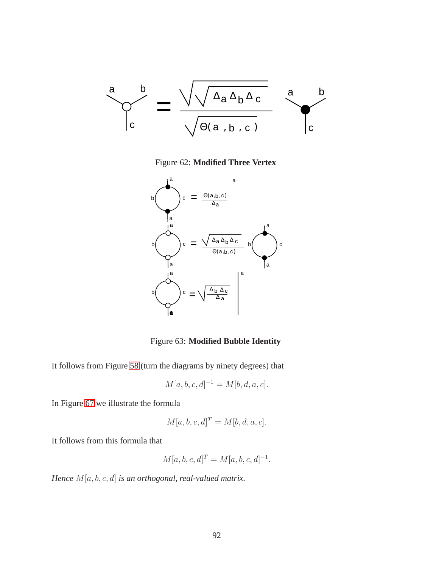

<span id="page-91-0"></span>Figure 62: **Modified Three Vertex**



<span id="page-91-1"></span>Figure 63: **Modified Bubble Identity**

It follows from Figure [58](#page-87-0) (turn the diagrams by ninety degrees) that

$$
M[a, b, c, d]^{-1} = M[b, d, a, c].
$$

In Figure [67](#page-93-0) we illustrate the formula

$$
M[a, b, c, d]^T = M[b, d, a, c].
$$

It follows from this formula that

$$
M[a, b, c, d]^T = M[a, b, c, d]^{-1}.
$$

*Hence* M[a, b, c, d] *is an orthogonal, real-valued matrix.*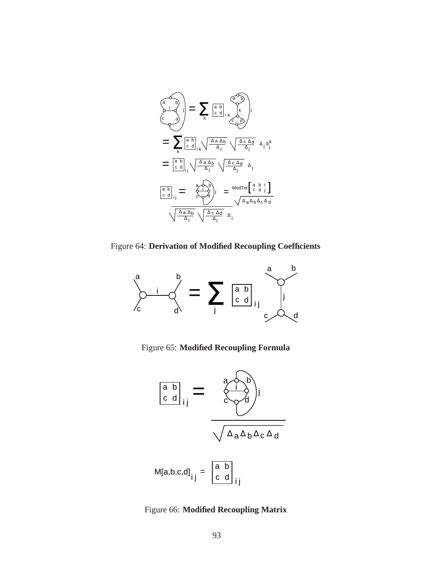

Figure 64: **Derivation of Modified Recoupling Coefficients**

<span id="page-92-0"></span>

Figure 65: **Modified Recoupling Formula**

<span id="page-92-1"></span>

<span id="page-92-2"></span>Figure 66: **Modified Recoupling Matrix**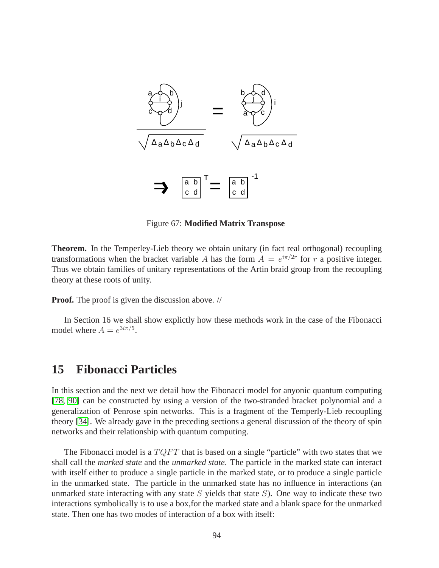

<span id="page-93-0"></span>Figure 67: **Modified Matrix Transpose**

**Theorem.** In the Temperley-Lieb theory we obtain unitary (in fact real orthogonal) recoupling transformations when the bracket variable A has the form  $A = e^{i\pi/2r}$  for r a positive integer. Thus we obtain families of unitary representations of the Artin braid group from the recoupling theory at these roots of unity.

**Proof.** The proof is given the discussion above. //

In Section 16 we shall show explictly how these methods work in the case of the Fibonacci model where  $A = e^{3i\pi/5}$ .

# **15 Fibonacci Particles**

In this section and the next we detail how the Fibonacci model for anyonic quantum computing [\[78,](#page-121-3) [90\]](#page-122-2) can be constructed by using a version of the two-stranded bracket polynomial and a generalization of Penrose spin networks. This is a fragment of the Temperly-Lieb recoupling theory [\[34\]](#page-118-0). We already gave in the preceding sections a general discussion of the theory of spin networks and their relationship with quantum computing.

The Fibonacci model is a  $TQFT$  that is based on a single "particle" with two states that we shall call the *marked state* and the *unmarked state*. The particle in the marked state can interact with itself either to produce a single particle in the marked state, or to produce a single particle in the unmarked state. The particle in the unmarked state has no influence in interactions (an unmarked state interacting with any state  $S$  yields that state  $S$ ). One way to indicate these two interactions symbolically is to use a box,for the marked state and a blank space for the unmarked state. Then one has two modes of interaction of a box with itself: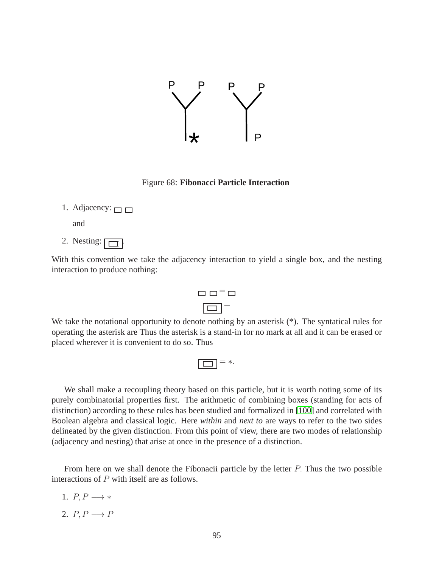

Figure 68: **Fibonacci Particle Interaction**

1. Adjacency:  $\Box$ 

and

2. Nesting:  $\boxed{\Box}$ 

With this convention we take the adjacency interaction to yield a single box, and the nesting interaction to produce nothing:

$$
\square \square^= \square
$$

We take the notational opportunity to denote nothing by an asterisk (\*). The syntatical rules for operating the asterisk are Thus the asterisk is a stand-in for no mark at all and it can be erased or placed wherever it is convenient to do so. Thus

$$
\boxed{\square} = *.
$$

We shall make a recoupling theory based on this particle, but it is worth noting some of its purely combinatorial properties first. The arithmetic of combining boxes (standing for acts of distinction) according to these rules has been studied and formalized in [\[100\]](#page-122-3) and correlated with Boolean algebra and classical logic. Here *within* and *next to* are ways to refer to the two sides delineated by the given distinction. From this point of view, there are two modes of relationship (adjacency and nesting) that arise at once in the presence of a distinction.

From here on we shall denote the Fibonacii particle by the letter P. Thus the two possible interactions of P with itself are as follows.

- 1.  $P, P \longrightarrow *$
- 2.  $P, P \longrightarrow P$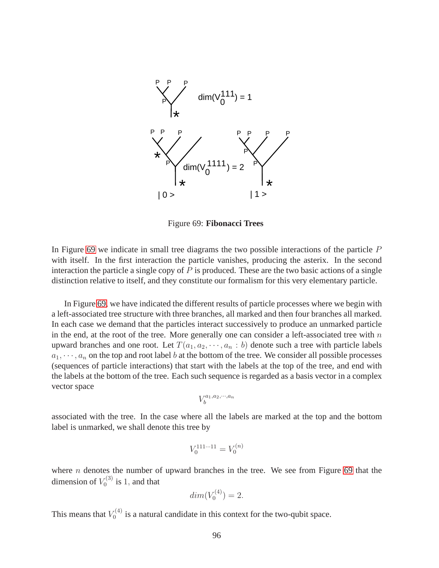

<span id="page-95-0"></span>Figure 69: **Fibonacci Trees**

In Figure [69](#page-95-0) we indicate in small tree diagrams the two possible interactions of the particle  $$ with itself. In the first interaction the particle vanishes, producing the asterix. In the second interaction the particle a single copy of  $P$  is produced. These are the two basic actions of a single distinction relative to itself, and they constitute our formalism for this very elementary particle.

In Figure [69,](#page-95-0) we have indicated the different results of particle processes where we begin with a left-associated tree structure with three branches, all marked and then four branches all marked. In each case we demand that the particles interact successively to produce an unmarked particle in the end, at the root of the tree. More generally one can consider a left-associated tree with  $n$ upward branches and one root. Let  $T(a_1, a_2, \dots, a_n : b)$  denote such a tree with particle labels  $a_1, \dots, a_n$  on the top and root label b at the bottom of the tree. We consider all possible processes (sequences of particle interactions) that start with the labels at the top of the tree, and end with the labels at the bottom of the tree. Each such sequence is regarded as a basis vector in a complex vector space

$$
V_b^{a_1, a_2, \cdots, a_n}
$$

associated with the tree. In the case where all the labels are marked at the top and the bottom label is unmarked, we shall denote this tree by

$$
V_0^{111\cdots 11} = V_0^{(n)}
$$

where  $n$  denotes the number of upward branches in the tree. We see from Figure [69](#page-95-0) that the dimension of  $V_0^{(3)}$  $\int_0^{\tau(3)}$  is 1, and that

$$
dim(V_0^{(4)}) = 2.
$$

This means that  $V_0^{(4)}$  $\mathcal{O}_0^{(4)}$  is a natural candidate in this context for the two-qubit space.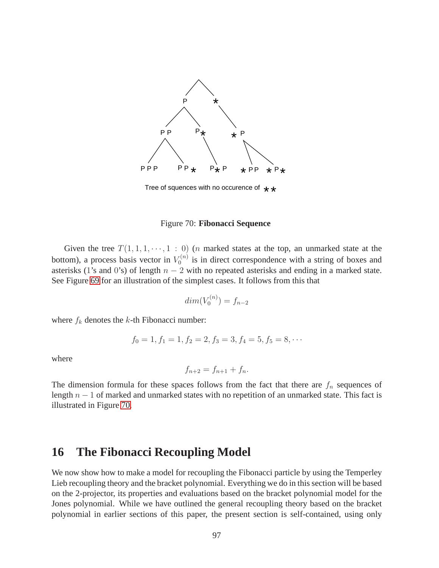

Tree of squences with no occurence of  $*$ 

#### <span id="page-96-0"></span>Figure 70: **Fibonacci Sequence**

Given the tree  $T(1, 1, 1, \dots, 1 : 0)$  (*n* marked states at the top, an unmarked state at the bottom), a process basis vector in  $V_0^{(n)}$  $\mathcal{O}_0^{(n)}$  is in direct correspondence with a string of boxes and asterisks (1's and 0's) of length  $n - 2$  with no repeated asterisks and ending in a marked state. See Figure [69](#page-95-0) for an illustration of the simplest cases. It follows from this that

$$
dim(V_0^{(n)}) = f_{n-2}
$$

where  $f_k$  denotes the k-th Fibonacci number:

$$
f_0 = 1, f_1 = 1, f_2 = 2, f_3 = 3, f_4 = 5, f_5 = 8, \cdots
$$

where

$$
f_{n+2} = f_{n+1} + f_n.
$$

The dimension formula for these spaces follows from the fact that there are  $f_n$  sequences of length  $n - 1$  of marked and unmarked states with no repetition of an unmarked state. This fact is illustrated in Figure [70.](#page-96-0)

# **16 The Fibonacci Recoupling Model**

We now show how to make a model for recoupling the Fibonacci particle by using the Temperley Lieb recoupling theory and the bracket polynomial. Everything we do in this section will be based on the 2-projector, its properties and evaluations based on the bracket polynomial model for the Jones polynomial. While we have outlined the general recoupling theory based on the bracket polynomial in earlier sections of this paper, the present section is self-contained, using only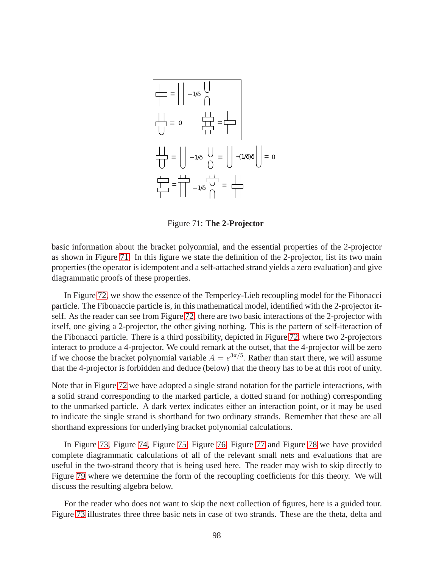

<span id="page-97-0"></span>Figure 71: **The 2-Projector**

basic information about the bracket polyonmial, and the essential properties of the 2-projector as shown in Figure [71.](#page-97-0) In this figure we state the definition of the 2-projector, list its two main properties (the operator is idempotent and a self-attached strand yields a zero evaluation) and give diagrammatic proofs of these properties.

In Figure [72,](#page-98-0) we show the essence of the Temperley-Lieb recoupling model for the Fibonacci particle. The Fibonaccie particle is, in this mathematical model, identified with the 2-projector itself. As the reader can see from Figure [72,](#page-98-0) there are two basic interactions of the 2-projector with itself, one giving a 2-projector, the other giving nothing. This is the pattern of self-iteraction of the Fibonacci particle. There is a third possibility, depicted in Figure [72,](#page-98-0) where two 2-projectors interact to produce a 4-projector. We could remark at the outset, that the 4-projector will be zero if we choose the bracket polynomial variable  $A = e^{3\pi/5}$ . Rather than start there, we will assume that the 4-projector is forbidden and deduce (below) that the theory has to be at this root of unity.

Note that in Figure [72](#page-98-0) we have adopted a single strand notation for the particle interactions, with a solid strand corresponding to the marked particle, a dotted strand (or nothing) corresponding to the unmarked particle. A dark vertex indicates either an interaction point, or it may be used to indicate the single strand is shorthand for two ordinary strands. Remember that these are all shorthand expressions for underlying bracket polynomial calculations.

In Figure [73,](#page-99-0) Figure [74,](#page-99-1) Figure [75,](#page-100-0) Figure [76,](#page-100-1) Figure [77](#page-101-0) and Figure [78](#page-101-1) we have provided complete diagrammatic calculations of all of the relevant small nets and evaluations that are useful in the two-strand theory that is being used here. The reader may wish to skip directly to Figure [79](#page-102-0) where we determine the form of the recoupling coefficients for this theory. We will discuss the resulting algebra below.

For the reader who does not want to skip the next collection of figures, here is a guided tour. Figure [73](#page-99-0) illustrates three three basic nets in case of two strands. These are the theta, delta and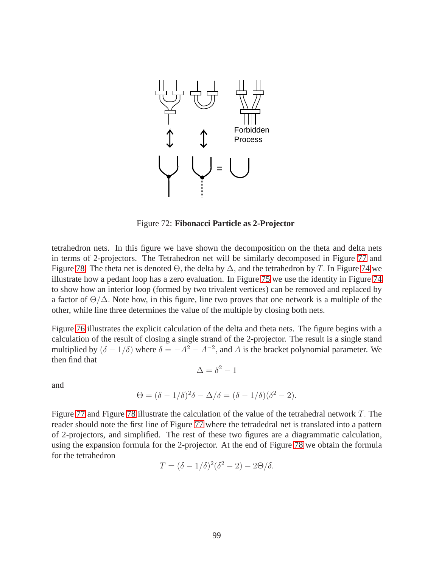

<span id="page-98-0"></span>Figure 72: **Fibonacci Particle as 2-Projector**

tetrahedron nets. In this figure we have shown the decomposition on the theta and delta nets in terms of 2-projectors. The Tetrahedron net will be similarly decomposed in Figure [77](#page-101-0) and Figure [78.](#page-101-1) The theta net is denoted  $\Theta$ , the delta by  $\Delta$ , and the tetrahedron by T. In Figure [74](#page-99-1) we illustrate how a pedant loop has a zero evaluation. In Figure [75](#page-100-0) we use the identity in Figure [74](#page-99-1) to show how an interior loop (formed by two trivalent vertices) can be removed and replaced by a factor of  $\Theta/\Delta$ . Note how, in this figure, line two proves that one network is a multiple of the other, while line three determines the value of the multiple by closing both nets.

Figure [76](#page-100-1) illustrates the explicit calculation of the delta and theta nets. The figure begins with a calculation of the result of closing a single strand of the 2-projector. The result is a single stand multiplied by  $(\delta - 1/\delta)$  where  $\delta = -A^2 - A^{-2}$ , and A is the bracket polynomial parameter. We then find that

and

$$
\Theta = (\delta - 1/\delta)^2 \delta - \Delta/\delta = (\delta - 1/\delta)(\delta^2 - 2).
$$

 $\Delta = \delta^2 - 1$ 

Figure [77](#page-101-0) and Figure [78](#page-101-1) illustrate the calculation of the value of the tetrahedral network T. The reader should note the first line of Figure [77](#page-101-0) where the tetradedral net is translated into a pattern of 2-projectors, and simplified. The rest of these two figures are a diagrammatic calculation, using the expansion formula for the 2-projector. At the end of Figure [78](#page-101-1) we obtain the formula for the tetrahedron

$$
T = (\delta - 1/\delta)^2 (\delta^2 - 2) - 2\Theta/\delta.
$$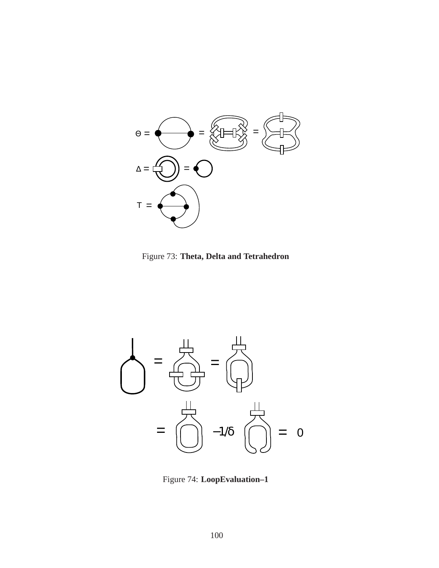

<span id="page-99-0"></span>Figure 73: **Theta, Delta and Tetrahedron**



<span id="page-99-1"></span>Figure 74: **LoopEvaluation–1**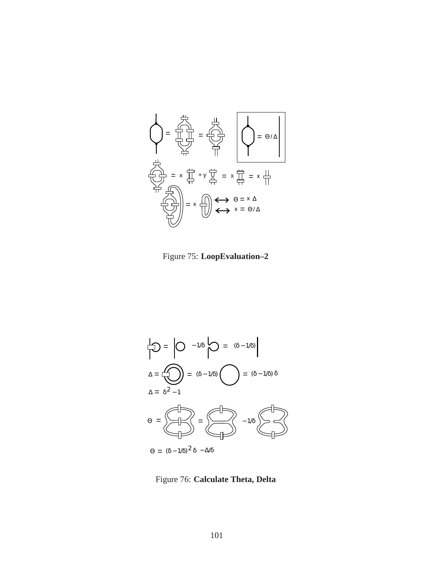

<span id="page-100-0"></span>Figure 75: **LoopEvaluation–2**



<span id="page-100-1"></span>Figure 76: **Calculate Theta, Delta**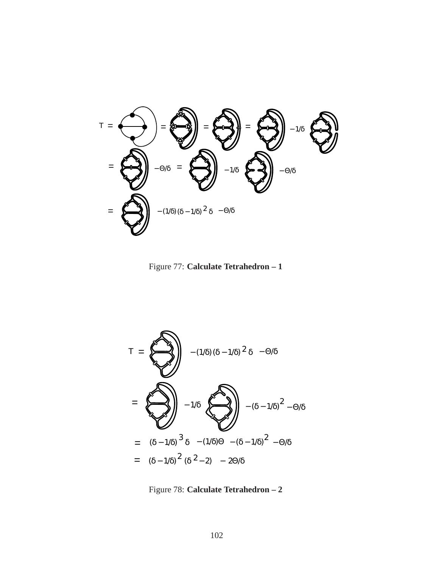

<span id="page-101-0"></span>Figure 77: **Calculate Tetrahedron – 1**



<span id="page-101-1"></span>Figure 78: **Calculate Tetrahedron – 2**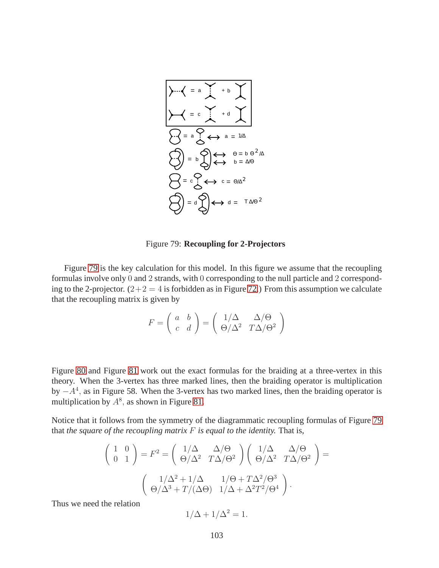

<span id="page-102-0"></span>Figure 79: **Recoupling for 2-Projectors**

Figure [79](#page-102-0) is the key calculation for this model. In this figure we assume that the recoupling formulas involve only 0 and 2 strands, with 0 corresponding to the null particle and 2 corresponding to the 2-projector.  $(2+2 = 4$  is forbidden as in Figure [72.](#page-98-0)) From this assumption we calculate that the recoupling matrix is given by

$$
F = \begin{pmatrix} a & b \\ c & d \end{pmatrix} = \begin{pmatrix} 1/\Delta & \Delta/\Theta \\ \Theta/\Delta^2 & T\Delta/\Theta^2 \end{pmatrix}
$$

Figure [80](#page-103-0) and Figure [81](#page-103-1) work out the exact formulas for the braiding at a three-vertex in this theory. When the 3-vertex has three marked lines, then the braiding operator is multiplication by  $-A<sup>4</sup>$ , as in Figure 58. When the 3-vertex has two marked lines, then the braiding operator is multiplication by  $A^8$ , as shown in Figure [81.](#page-103-1)

Notice that it follows from the symmetry of the diagrammatic recoupling formulas of Figure [79](#page-102-0) that *the square of the recoupling matrix* F *is equal to the identity.* That is,

$$
\begin{pmatrix} 1 & 0 \ 0 & 1 \end{pmatrix} = F^2 = \begin{pmatrix} 1/\Delta & \Delta/\Theta \\ \Theta/\Delta^2 & T\Delta/\Theta^2 \end{pmatrix} \begin{pmatrix} 1/\Delta & \Delta/\Theta \\ \Theta/\Delta^2 & T\Delta/\Theta^2 \end{pmatrix} =
$$

$$
\begin{pmatrix} 1/\Delta^2 + 1/\Delta & 1/\Theta + T\Delta^2/\Theta^3 \\ \Theta/\Delta^3 + T/(\Delta\Theta) & 1/\Delta + \Delta^2 T^2/\Theta^4 \end{pmatrix}.
$$

Thus we need the relation

$$
1/\Delta + 1/\Delta^2 = 1.
$$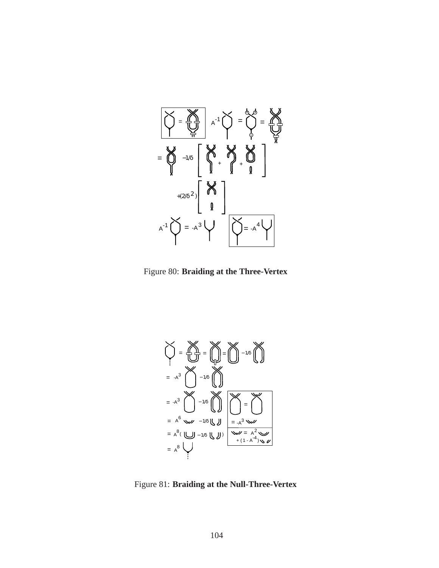

<span id="page-103-0"></span>Figure 80: **Braiding at the Three-Vertex**



<span id="page-103-1"></span>Figure 81: **Braiding at the Null-Three-Vertex**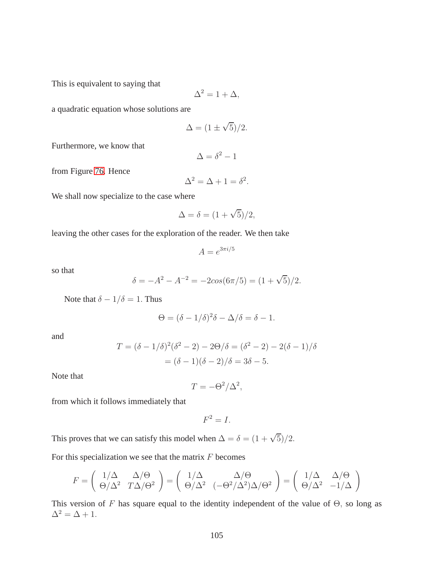This is equivalent to saying that

$$
\Delta^2=1+\Delta,
$$

a quadratic equation whose solutions are

$$
\Delta = (1 \pm \sqrt{5})/2.
$$

Furthermore, we know that

$$
\Delta = \delta^2 - 1
$$

from Figure [76.](#page-100-1) Hence

$$
\Delta^2 = \Delta + 1 = \delta^2.
$$

We shall now specialize to the case where

$$
\Delta = \delta = (1 + \sqrt{5})/2,
$$

leaving the other cases for the exploration of the reader. We then take

$$
A = e^{3\pi i/5}
$$

so that

$$
\delta = -A^2 - A^{-2} = -2\cos(6\pi/5) = (1 + \sqrt{5})/2.
$$

Note that  $\delta - 1/\delta = 1$ . Thus

$$
\Theta = (\delta - 1/\delta)^2 \delta - \Delta/\delta = \delta - 1.
$$

and

$$
T = (\delta - 1/\delta)^2 (\delta^2 - 2) - 2\Theta/\delta = (\delta^2 - 2) - 2(\delta - 1)/\delta
$$
  
= (\delta - 1)(\delta - 2)/\delta = 3\delta - 5.

Note that

$$
T = -\Theta^2/\Delta^2,
$$

from which it follows immediately that

$$
F^2 = I.
$$

This proves that we can satisfy this model when  $\Delta = \delta = (1 + \sqrt{5})/2$ .

For this specialization we see that the matrix  $F$  becomes

$$
F = \begin{pmatrix} 1/\Delta & \Delta/\Theta \\ \Theta/\Delta^2 & T\Delta/\Theta^2 \end{pmatrix} = \begin{pmatrix} 1/\Delta & \Delta/\Theta \\ \Theta/\Delta^2 & (-\Theta^2/\Delta^2)\Delta/\Theta^2 \end{pmatrix} = \begin{pmatrix} 1/\Delta & \Delta/\Theta \\ \Theta/\Delta^2 & -1/\Delta \end{pmatrix}
$$

This version of F has square equal to the identity independent of the value of  $\Theta$ , so long as  $\Delta^2 = \Delta + 1.$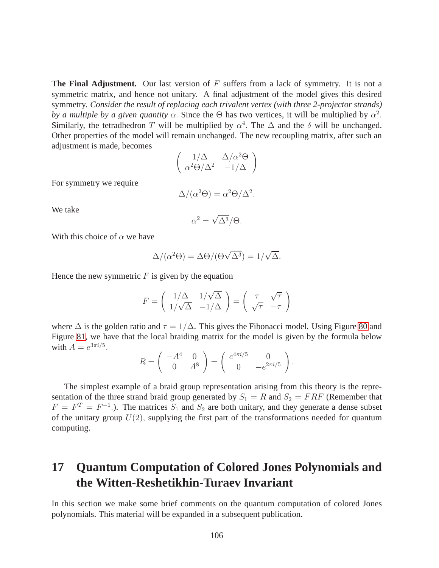**The Final Adjustment.** Our last version of  $F$  suffers from a lack of symmetry. It is not a symmetric matrix, and hence not unitary. A final adjustment of the model gives this desired symmetry. *Consider the result of replacing each trivalent vertex (with three 2-projector strands) by a multiple by a given quantity*  $\alpha$ . Since the  $\Theta$  has two vertices, it will be multiplied by  $\alpha^2$ . Similarly, the tetradhedron T will be multiplied by  $\alpha^4$ . The  $\Delta$  and the  $\delta$  will be unchanged. Other properties of the model will remain unchanged. The new recoupling matrix, after such an adjustment is made, becomes

$$
\left(\begin{array}{cc} 1/\Delta & \Delta/\alpha^2 \Theta \\ \alpha^2 \Theta/\Delta^2 & -1/\Delta \end{array}\right)
$$

For symmetry we require

$$
\Delta/(\alpha^2 \Theta) = \alpha^2 \Theta / \Delta^2.
$$

We take

$$
\alpha^2 = \sqrt{\Delta^3}/\Theta.
$$

With this choice of  $\alpha$  we have

$$
\Delta/(\alpha^2 \Theta) = \Delta \Theta / (\Theta \sqrt{\Delta^3}) = 1/\sqrt{\Delta}.
$$

Hence the new symmetric  $F$  is given by the equation

$$
F = \begin{pmatrix} 1/\Delta & 1/\sqrt{\Delta} \\ 1/\sqrt{\Delta} & -1/\Delta \end{pmatrix} = \begin{pmatrix} \tau & \sqrt{\tau} \\ \sqrt{\tau} & -\tau \end{pmatrix}
$$

where  $\Delta$  is the golden ratio and  $\tau = 1/\Delta$ . This gives the Fibonacci model. Using Figure [80](#page-103-0) and Figure [81,](#page-103-1) we have that the local braiding matrix for the model is given by the formula below with  $A = e^{3\pi i/5}$ .

$$
R = \begin{pmatrix} -A^4 & 0 \\ 0 & A^8 \end{pmatrix} = \begin{pmatrix} e^{4\pi i/5} & 0 \\ 0 & -e^{2\pi i/5} \end{pmatrix}.
$$

The simplest example of a braid group representation arising from this theory is the representation of the three strand braid group generated by  $S_1 = R$  and  $S_2 = FRF$  (Remember that  $F = F^T = F^{-1}$ .). The matrices  $S_1$  and  $S_2$  are both unitary, and they generate a dense subset of the unitary group  $U(2)$ , supplying the first part of the transformations needed for quantum computing.

# **17 Quantum Computation of Colored Jones Polynomials and the Witten-Reshetikhin-Turaev Invariant**

In this section we make some brief comments on the quantum computation of colored Jones polynomials. This material will be expanded in a subsequent publication.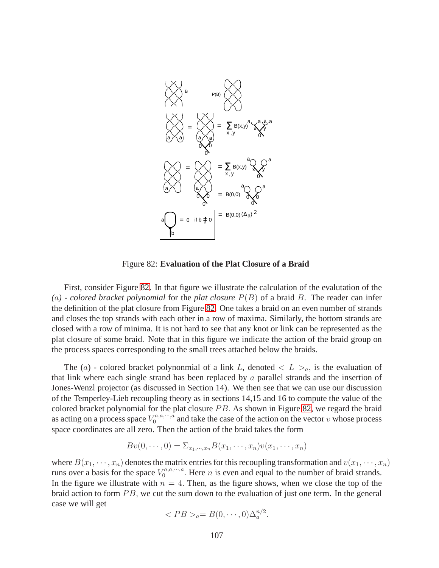

<span id="page-106-0"></span>Figure 82: **Evaluation of the Plat Closure of a Braid**

First, consider Figure [82.](#page-106-0) In that figure we illustrate the calculation of the evalutation of the  $(a)$  - colored bracket polynomial for the *plat closure*  $P(B)$  of a braid B. The reader can infer the definition of the plat closure from Figure [82.](#page-106-0) One takes a braid on an even number of strands and closes the top strands with each other in a row of maxima. Similarly, the bottom strands are closed with a row of minima. It is not hard to see that any knot or link can be represented as the plat closure of some braid. Note that in this figure we indicate the action of the braid group on the process spaces corresponding to the small trees attached below the braids.

The (a) - colored bracket polynonmial of a link L, denoted  $\langle L \rangle_{a}$ , is the evaluation of that link where each single strand has been replaced by a parallel strands and the insertion of Jones-Wenzl projector (as discussed in Section 14). We then see that we can use our discussion of the Temperley-Lieb recoupling theory as in sections 14,15 and 16 to compute the value of the colored bracket polynomial for the plat closure  $PB$ . As shown in Figure [82,](#page-106-0) we regard the braid as acting on a process space  $V_0^{a,a,\dots,a}$  and take the case of the action on the vector  $v$  whose process space coordinates are all zero. Then the action of the braid takes the form

$$
Bv(0,\dots,0)=\Sigma_{x_1,\dots,x_n}B(x_1,\dots,x_n)v(x_1,\dots,x_n)
$$

where  $B(x_1, \dots, x_n)$  denotes the matrix entries for this recoupling transformation and  $v(x_1, \dots, x_n)$ runs over a basis for the space  $V_0^{a,a,\dots,a}$ . Here *n* is even and equal to the number of braid strands. In the figure we illustrate with  $n = 4$ . Then, as the figure shows, when we close the top of the braid action to form  $PB$ , we cut the sum down to the evaluation of just one term. In the general case we will get

$$
\langle PB \rangle_a = B(0, \cdots, 0)\Delta_a^{n/2}.
$$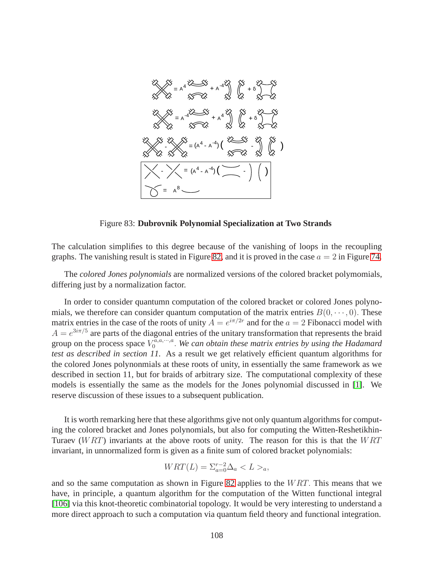$$
\frac{1}{2} \int_{\frac{1}{2}}^{\frac{1}{2}} \frac{x^{3}}{3} dx = A^{4} \sum_{\frac{1}{2}} \frac{1}{2} \sum_{\frac{1}{2}} \frac{1}{2} \left(1 + \frac{1}{2} \sum_{\frac{1}{2}} \sum_{\frac{1}{2}} \frac{1}{2} \right)} x^{3} dx
$$
\n
$$
\frac{1}{2} \sum_{\frac{1}{2}} \frac{1}{2} \sum_{\frac{1}{2}} \frac{1}{2} \sum_{\frac{1}{2}} \frac{1}{2} \sum_{\frac{1}{2}} \frac{1}{2} \sum_{\frac{1}{2}} \frac{1}{2} \sum_{\frac{1}{2}} \frac{1}{2} \sum_{\frac{1}{2}} \frac{1}{2} \sum_{\frac{1}{2}} \frac{1}{2} \sum_{\frac{1}{2}} \frac{1}{2} \sum_{\frac{1}{2}} \frac{1}{2} \sum_{\frac{1}{2}} \frac{1}{2} \sum_{\frac{1}{2}} \frac{1}{2} \sum_{\frac{1}{2}} \frac{1}{2} \sum_{\frac{1}{2}} \frac{1}{2} \sum_{\frac{1}{2}} \frac{1}{2} \sum_{\frac{1}{2}} \frac{1}{2} \sum_{\frac{1}{2}} \frac{1}{2} \sum_{\frac{1}{2}} \frac{1}{2} \sum_{\frac{1}{2}} \frac{1}{2} \sum_{\frac{1}{2}} \frac{1}{2} \sum_{\frac{1}{2}} \frac{1}{2} \sum_{\frac{1}{2}} \frac{1}{2} \sum_{\frac{1}{2}} \frac{1}{2} \sum_{\frac{1}{2}} \frac{1}{2} \sum_{\frac{1}{2}} \frac{1}{2} \sum_{\frac{1}{2}} \frac{1}{2} \sum_{\frac{1}{2}} \frac{1}{2} \sum_{\frac{1}{2}} \frac{1}{2} \sum_{\frac{1}{2}} \frac{1}{2} \sum_{\frac{1}{2}} \frac{1}{2} \sum_{\frac{1}{2}} \frac{1}{2} \sum_{\frac{1}{2}} \frac{1}{2} \sum_{\frac{1}{2}} \frac{1}{2} \sum_{\frac{1}{2}} \frac{1}{2} \sum_{\frac{1}{2}} \frac{1}{2} \sum_{\frac{1}{2}} \frac{1}{2} \sum_{\frac{1}{2}} \
$$

Figure 83: **Dubrovnik Polynomial Specialization at Two Strands**

The calculation simplifies to this degree because of the vanishing of loops in the recoupling graphs. The vanishing result is stated in Figure [82,](#page-106-0) and it is proved in the case  $a = 2$  in Figure [74.](#page-99-1)

The *colored Jones polynomials* are normalized versions of the colored bracket polymomials, differing just by a normalization factor.

In order to consider quantumn computation of the colored bracket or colored Jones polynomials, we therefore can consider quantum computation of the matrix entries  $B(0, \dots, 0)$ . These matrix entries in the case of the roots of unity  $A = e^{i\pi/2r}$  and for the  $a = 2$  Fibonacci model with  $A = e^{3i\pi/5}$  are parts of the diagonal entries of the unitary transformation that represents the braid group on the process space  $V_0^{a,a,\dots,a}$ . We can obtain these matrix entries by using the Hadamard *test as described in section 11.* As a result we get relatively efficient quantum algorithms for the colored Jones polynonmials at these roots of unity, in essentially the same framework as we described in section 11, but for braids of arbitrary size. The computational complexity of these models is essentially the same as the models for the Jones polynomial discussed in [\[1\]](#page-116-2). We reserve discussion of these issues to a subsequent publication.

It is worth remarking here that these algorithms give not only quantum algorithms for computing the colored bracket and Jones polynomials, but also for computing the Witten-Reshetikhin-Turaev (WRT) invariants at the above roots of unity. The reason for this is that the WRT invariant, in unnormalized form is given as a finite sum of colored bracket polynomials:

$$
WRT(L) = \sum_{a=0}^{r-2} \Delta_a < L >_a,
$$

and so the same computation as shown in Figure [82](#page-106-0) applies to the  $WRT$ . This means that we have, in principle, a quantum algorithm for the computation of the Witten functional integral [\[106\]](#page-123-0) via this knot-theoretic combinatorial topology. It would be very interesting to understand a more direct approach to such a computation via quantum field theory and functional integration.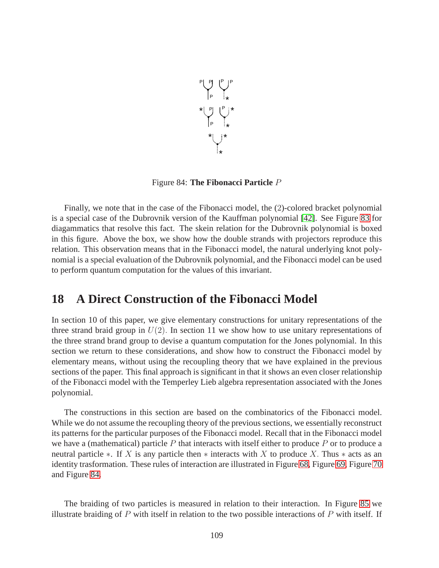$$
\begin{array}{c}\nP \\
P \\
P \\
P\n\end{array}
$$

<span id="page-108-0"></span>Figure 84: **The Fibonacci Particle** P

Finally, we note that in the case of the Fibonacci model, the (2)-colored bracket polynomial is a special case of the Dubrovnik version of the Kauffman polynomial [\[42\]](#page-118-0). See Figure [83](#page-107-0) for diagammatics that resolve this fact. The skein relation for the Dubrovnik polynomial is boxed in this figure. Above the box, we show how the double strands with projectors reproduce this relation. This observation means that in the Fibonacci model, the natural underlying knot polynomial is a special evaluation of the Dubrovnik polynomial, and the Fibonacci model can be used to perform quantum computation for the values of this invariant.

## **18 A Direct Construction of the Fibonacci Model**

In section 10 of this paper, we give elementary constructions for unitary representations of the three strand braid group in  $U(2)$ . In section 11 we show how to use unitary representations of the three strand brand group to devise a quantum computation for the Jones polynomial. In this section we return to these considerations, and show how to construct the Fibonacci model by elementary means, without using the recoupling theory that we have explained in the previous sections of the paper. This final approach is significant in that it shows an even closer relationship of the Fibonacci model with the Temperley Lieb algebra representation associated with the Jones polynomial.

The constructions in this section are based on the combinatorics of the Fibonacci model. While we do not assume the recoupling theory of the previous sections, we essentially reconstruct its patterns for the particular purposes of the Fibonacci model. Recall that in the Fibonacci model we have a (mathematical) particle  $P$  that interacts with itself either to produce  $P$  or to produce a neutral particle ∗. If X is any particle then  $*$  interacts with X to produce X. Thus  $*$  acts as an identity trasformation. These rules of interaction are illustrated in Figure [68,](#page-94-0) Figure [69,](#page-95-0) Figure [70](#page-96-0) and Figure [84.](#page-108-0)

The braiding of two particles is measured in relation to their interaction. In Figure [85](#page-109-0) we illustrate braiding of  $P$  with itself in relation to the two possible interactions of  $P$  with itself. If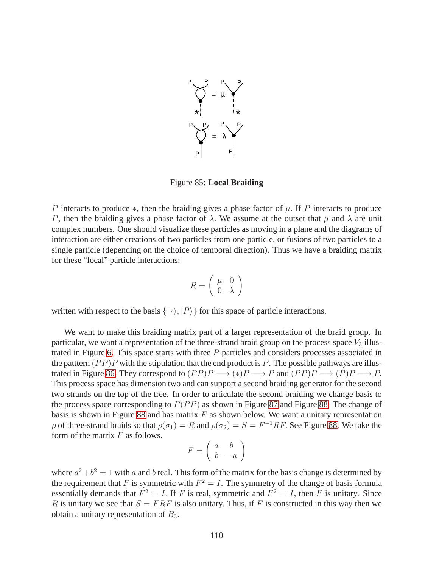

<span id="page-109-0"></span>Figure 85: **Local Braiding**

P interacts to produce  $\ast$ , then the braiding gives a phase factor of  $\mu$ . If P interacts to produce P, then the braiding gives a phase factor of  $\lambda$ . We assume at the outset that  $\mu$  and  $\lambda$  are unit complex numbers. One should visualize these particles as moving in a plane and the diagrams of interaction are either creations of two particles from one particle, or fusions of two particles to a single particle (depending on the choice of temporal direction). Thus we have a braiding matrix for these "local" particle interactions:

$$
R = \left(\begin{array}{cc} \mu & 0 \\ 0 & \lambda \end{array}\right)
$$

written with respect to the basis  $\{|\ast\rangle, |P\rangle\}$  for this space of particle interactions.

We want to make this braiding matrix part of a larger representation of the braid group. In particular, we want a representation of the three-strand braid group on the process space  $V_3$  illustrated in Figure [6.](#page-11-0) This space starts with three P particles and considers processes associated in the patttern  $(PP)P$  with the stipulation that the end product is P. The possible pathways are illus-trated in Figure [86.](#page-110-0) They correspond to  $(PP)P \longrightarrow (*)P \longrightarrow P$  and  $(PP)P \longrightarrow (P)P \longrightarrow P$ . This process space has dimension two and can support a second braiding generator for the second two strands on the top of the tree. In order to articulate the second braiding we change basis to the process space corresponding to  $P(PP)$  as shown in Figure [87](#page-110-1) and Figure [88.](#page-111-0) The change of basis is shown in Figure [88](#page-111-0) and has matrix  $F$  as shown below. We want a unitary representation  $\rho$  of three-strand braids so that  $\rho(\sigma_1) = R$  and  $\rho(\sigma_2) = S = F^{-1}RF$ . See Figure [88.](#page-111-0) We take the form of the matrix  $F$  as follows.

$$
F = \left(\begin{array}{cc} a & b \\ b & -a \end{array}\right)
$$

where  $a^2 + b^2 = 1$  with a and b real. This form of the matrix for the basis change is determined by the requirement that F is symmetric with  $F^2 = I$ . The symmetry of the change of basis formula essentially demands that  $F^2 = I$ . If F is real, symmetric and  $F^2 = I$ , then F is unitary. Since R is unitary we see that  $S = FRF$  is also unitary. Thus, if F is constructed in this way then we obtain a unitary representation of  $B_3$ .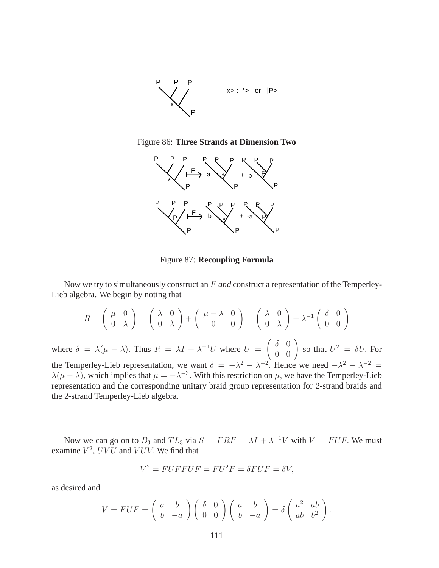

Figure 86: **Three Strands at Dimension Two**

<span id="page-110-0"></span>

<span id="page-110-1"></span>Figure 87: **Recoupling Formula**

Now we try to simultaneously construct an F *and* construct a representation of the Temperley-Lieb algebra. We begin by noting that

$$
R = \begin{pmatrix} \mu & 0 \\ 0 & \lambda \end{pmatrix} = \begin{pmatrix} \lambda & 0 \\ 0 & \lambda \end{pmatrix} + \begin{pmatrix} \mu - \lambda & 0 \\ 0 & 0 \end{pmatrix} = \begin{pmatrix} \lambda & 0 \\ 0 & \lambda \end{pmatrix} + \lambda^{-1} \begin{pmatrix} \delta & 0 \\ 0 & 0 \end{pmatrix}
$$

where  $\delta = \lambda(\mu - \lambda)$ . Thus  $R = \lambda I + \lambda^{-1}U$  where  $U = \begin{pmatrix} \delta & 0 \\ 0 & 0 \end{pmatrix}$  so that  $U^2 = \delta U$ . For the Temperley-Lieb representation, we want  $\delta = -\lambda^2 - \lambda^{-2}$ . Hence we need  $-\lambda^2 - \lambda^{-2} =$  $\lambda(\mu - \lambda)$ , which implies that  $\mu = -\lambda^{-3}$ . With this restriction on  $\mu$ , we have the Temperley-Lieb representation and the corresponding unitary braid group representation for 2-strand braids and the 2-strand Temperley-Lieb algebra.

Now we can go on to  $B_3$  and  $TL_3$  via  $S = FRF = \lambda I + \lambda^{-1}V$  with  $V = FUF$ . We must examine  $V^2$ ,  $UVU$  and  $VUV$ . We find that

$$
V^2 = FUFFUF = FU^2F = \delta FUF = \delta V,
$$

as desired and

$$
V = FUF = \begin{pmatrix} a & b \\ b & -a \end{pmatrix} \begin{pmatrix} \delta & 0 \\ 0 & 0 \end{pmatrix} \begin{pmatrix} a & b \\ b & -a \end{pmatrix} = \delta \begin{pmatrix} a^2 & ab \\ ab & b^2 \end{pmatrix}.
$$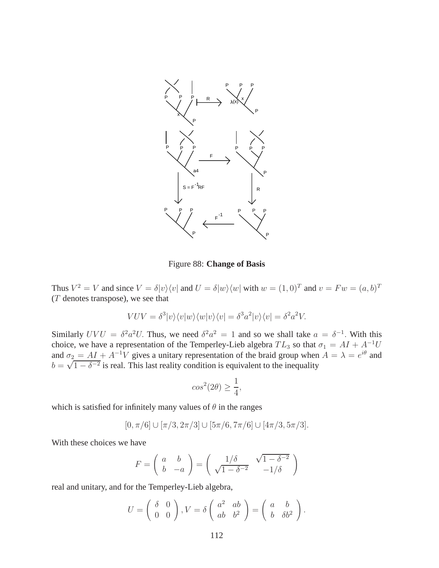

<span id="page-111-0"></span>Figure 88: **Change of Basis**

Thus  $V^2 = V$  and since  $V = \delta |v\rangle\langle v|$  and  $U = \delta |w\rangle\langle w|$  with  $w = (1, 0)^T$  and  $v = Fw = (a, b)^T$  $(T$  denotes transpose), we see that

$$
VUV = \delta^3|v\rangle\langle v|w\rangle\langle w|v\rangle\langle v| = \delta^3 a^2|v\rangle\langle v| = \delta^2 a^2V.
$$

Similarly  $UVU = \delta^2 a^2 U$ . Thus, we need  $\delta^2 a^2 = 1$  and so we shall take  $a = \delta^{-1}$ . With this choice, we have a representation of the Temperley-Lieb algebra  $TL_3$  so that  $\sigma_1 = AI + A^{-1}U$ and  $\sigma_2 = A I + A^{-1} V$  gives a unitary representation of the braid group when  $A = \lambda = e^{i\theta}$  and  $b = \sqrt{1 - \delta^{-2}}$  is real. This last reality condition is equivalent to the inequality

$$
\cos^2(2\theta) \ge \frac{1}{4},
$$

which is satisfied for infinitely many values of  $\theta$  in the ranges

$$
[0, \pi/6] \cup [\pi/3, 2\pi/3] \cup [5\pi/6, 7\pi/6] \cup [4\pi/3, 5\pi/3].
$$

With these choices we have

$$
F = \begin{pmatrix} a & b \\ b & -a \end{pmatrix} = \begin{pmatrix} 1/\delta & \sqrt{1 - \delta^{-2}} \\ \sqrt{1 - \delta^{-2}} & -1/\delta \end{pmatrix}
$$

real and unitary, and for the Temperley-Lieb algebra,

$$
U = \begin{pmatrix} \delta & 0 \\ 0 & 0 \end{pmatrix}, V = \delta \begin{pmatrix} a^2 & ab \\ ab & b^2 \end{pmatrix} = \begin{pmatrix} a & b \\ b & \delta b^2 \end{pmatrix}.
$$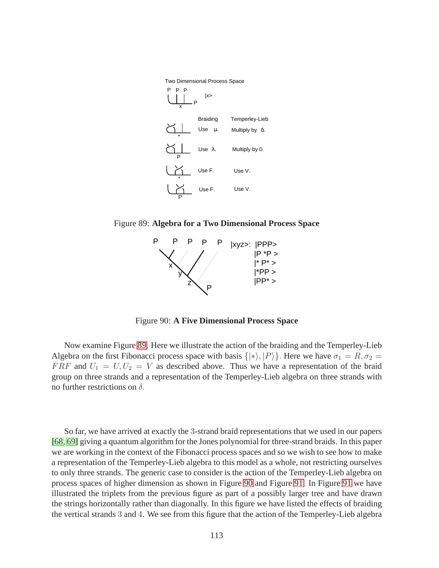

Figure 89: **Algebra for a Two Dimensional Process Space**

<span id="page-112-0"></span>

<span id="page-112-1"></span>Figure 90: **A Five Dimensional Process Space**

Now examine Figure [89.](#page-112-0) Here we illustrate the action of the braiding and the Temperley-Lieb Algebra on the first Fibonacci process space with basis  $\{|\ast\rangle, |P\rangle\}$ . Here we have  $\sigma_1 = R, \sigma_2 =$ FRF and  $U_1 = U, U_2 = V$  as described above. Thus we have a representation of the braid group on three strands and a representation of the Temperley-Lieb algebra on three strands with no further restrictions on  $\delta$ .

So far, we have arrived at exactly the 3-strand braid representations that we used in our papers [\[68,](#page-120-0) [69\]](#page-120-1) giving a quantum algorithm for the Jones polynomial for three-strand braids. In this paper we are working in the context of the Fibonacci process spaces and so we wish to see how to make a representation of the Temperley-Lieb algebra to this model as a whole, not restricting ourselves to only three strands. The generic case to consider is the action of the Temperley-Lieb algebra on process spaces of higher dimension as shown in Figure [90](#page-112-1) and Figure [91.](#page-113-0) In Figure [91](#page-113-0) we have illustrated the triplets from the previous figure as part of a possibly larger tree and have drawn the strings horizontally rather than diagonally. In this figure we have listed the effects of braiding the vertical strands 3 and 4. We see from this figure that the action of the Temperley-Lieb algebra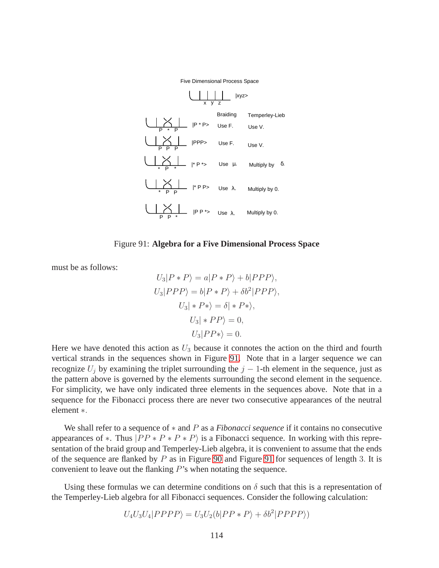Five Dimensional Process Space

| Example 1 | lyyz                                      |
|-----------|-------------------------------------------|
| $x$ y z   | Braiding<br>Braiding<br>The property-Lieb |
| $y$ y z   | Braiding<br>Use F. Use V.                 |
| $y$ y z   | Use F. Use V.                             |
| $y$ y z   | Use F. Use V.                             |
| $y$ y z   | Use F. Use V.                             |
| $y$ y z   | Use F. Use V.                             |
| $y$ y z   | Use F. Use V.                             |
| $y$ y z   | Use F. Use V.                             |
| $y$ y z   | Use V.                                    |
| $y$ y z   | Use F. Use V.                             |
| $y$ y z   | Use V.                                    |
| $y$ y z   | Use V.                                    |
| $y$ y z   | Use V.                                    |
| $y$ y z   | Use V.                                    |
| $y$ y z   | Use V.                                    |
| $y$ y z   | Use V.                                    |
| $y$ y z   | Use V.                                    |
| $y$ y z   | Use V.                                    |
| $y$ y z   | Use V.                                    |
| $y$ y z   | Use V.                                    |

Figure 91: **Algebra for a Five Dimensional Process Space**

must be as follows:

<span id="page-113-0"></span>
$$
U_3|P*P\rangle = a|P*P\rangle + b|PPP\rangle,
$$
  
\n
$$
U_3|PPP\rangle = b|P*P\rangle + \delta b^2|PPP\rangle,
$$
  
\n
$$
U_3|*P*\rangle = \delta|*P*\rangle,
$$
  
\n
$$
U_3|*PP\rangle = 0,
$$
  
\n
$$
U_3|PP*\rangle = 0.
$$

Here we have denoted this action as  $U_3$  because it connotes the action on the third and fourth vertical strands in the sequences shown in Figure [91.](#page-113-0) Note that in a larger sequence we can recognize  $U_j$  by examining the triplet surrounding the  $j - 1$ -th element in the sequence, just as the pattern above is governed by the elements surrounding the second element in the sequence. For simplicity, we have only indicated three elements in the sequences above. Note that in a sequence for the Fibonacci process there are never two consecutive appearances of the neutral element ∗.

We shall refer to a sequence of ∗ and P as a *Fibonacci sequence* if it contains no consecutive appearances of ∗. Thus  $|PP \times P \times P \times P|$  is a Fibonacci sequence. In working with this representation of the braid group and Temperley-Lieb algebra, it is convenient to assume that the ends of the sequence are flanked by  $P$  as in Figure [90](#page-112-1) and Figure [91](#page-113-0) for sequences of length 3. It is convenient to leave out the flanking P's when notating the sequence.

Using these formulas we can determine conditions on  $\delta$  such that this is a representation of the Temperley-Lieb algebra for all Fibonacci sequences. Consider the following calculation:

$$
U_4U_3U_4|PPPP\rangle = U_3U_2(b|PP*P\rangle + \delta b^2|PPP\rangle)
$$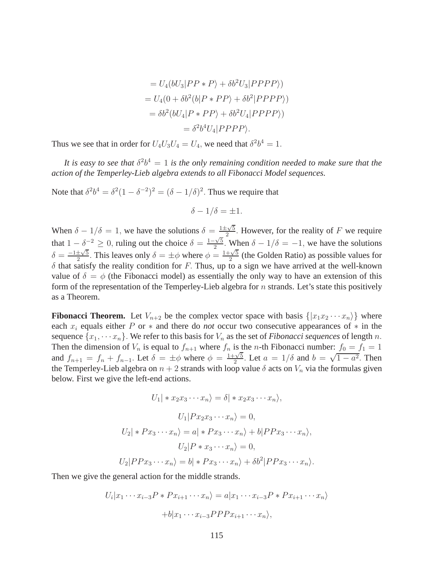$$
= U_4 (bU_3|PP*P\rangle + \delta b^2 U_3|PPPP\rangle)
$$
  
=  $U_4 (0 + \delta b^2 (b|P*PP\rangle + \delta b^2|PPP\rangle))$   
=  $\delta b^2 (bU_4|P*PP\rangle + \delta b^2 U_4|PPP\rangle)$   
=  $\delta^2 b^4 U_4|PPP\rangle.$ 

Thus we see that in order for  $U_4U_3U_4 = U_4$ , we need that  $\delta^2 b^4 = 1$ .

It is easy to see that  $\delta^2 b^4 = 1$  is the only remaining condition needed to make sure that the *action of the Temperley-Lieb algebra extends to all Fibonacci Model sequences.*

Note that  $\delta^2 b^4 = \delta^2 (1 - \delta^{-2})^2 = (\delta - 1/\delta)^2$ . Thus we require that

$$
\delta - 1/\delta = \pm 1.
$$

When  $\delta - 1/\delta = 1$ , we have the solutions  $\delta = \frac{1 \pm \sqrt{5}}{2}$  $\frac{2}{2}$ . However, for the reality of F we require that  $1 - \delta^{-2} \ge 0$ , ruling out the choice  $\delta = \frac{1 - \sqrt{5}}{2}$  $\frac{2\sqrt{5}}{2}$ . When  $\delta - 1/\delta = -1$ , we have the solutions  $\delta = \frac{-1 \pm \sqrt{5}}{2}$  $\frac{\pm\sqrt{5}}{2}$ . This leaves only  $\delta = \pm\phi$  where  $\phi = \frac{1+\sqrt{5}}{2}$  $\frac{2.5}{2}$  (the Golden Ratio) as possible values for  $\delta$  that satisfy the reality condition for F. Thus, up to a sign we have arrived at the well-known value of  $\delta = \phi$  (the Fibonacci model) as essentially the only way to have an extension of this form of the representation of the Temperley-Lieb algebra for  $n$  strands. Let's state this positively as a Theorem.

**Fibonacci Theorem.** Let  $V_{n+2}$  be the complex vector space with basis  $\{ |x_1x_2 \cdots x_n \rangle \}$  where each  $x_i$  equals either P or  $*$  and there do *not* occur two consecutive appearances of  $*$  in the sequence  $\{x_1, \dots, x_n\}$ . We refer to this basis for  $V_n$  as the set of *Fibonacci sequences* of length n. Then the dimension of  $V_n$  is equal to  $f_{n+1}$  where  $f_n$  is the *n*-th Fibonacci number:  $f_0 = f_1 = 1$ and  $f_{n+1} = f_n + f_{n-1}$ . Let  $\delta = \pm \phi$  where  $\phi = \frac{1+\sqrt{5}}{2}$  $\frac{\sqrt{5}}{2}$ . Let  $a = 1/\delta$  and  $b = \sqrt{1 - a^2}$ . Then the Temperley-Lieb algebra on  $n + 2$  strands with loop value  $\delta$  acts on  $V_n$  via the formulas given below. First we give the left-end actions.

$$
U_1 \rvert * x_2 x_3 \cdots x_n \rangle = \delta \rvert * x_2 x_3 \cdots x_n \rangle,
$$
  
\n
$$
U_1 \rvert Px_2 x_3 \cdots x_n \rangle = 0,
$$
  
\n
$$
U_2 \rvert * Px_3 \cdots x_n \rangle = a \rvert * Px_3 \cdots x_n \rangle + b \rvert PPx_3 \cdots x_n \rangle,
$$
  
\n
$$
U_2 \rvert P * x_3 \cdots x_n \rangle = 0,
$$
  
\n
$$
U_2 \rvert PPx_3 \cdots x_n \rangle = b \rvert * Px_3 \cdots x_n \rangle + \delta b^2 \rvert PPx_3 \cdots x_n \rangle.
$$

Then we give the general action for the middle strands.

$$
U_i|x_1\cdots x_{i-3}P*Px_{i+1}\cdots x_n\rangle = a|x_1\cdots x_{i-3}P*Px_{i+1}\cdots x_n\rangle
$$

$$
+b|x_1\cdots x_{i-3}PPPx_{i+1}\cdots x_n\rangle,
$$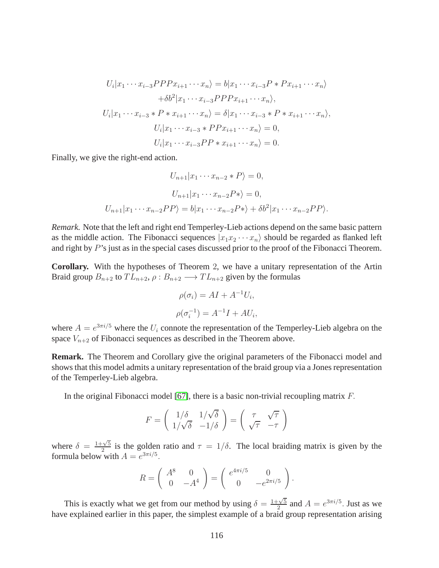$$
U_i|x_1\cdots x_{i-3}PPPx_{i+1}\cdots x_n\rangle = b|x_1\cdots x_{i-3}P*Px_{i+1}\cdots x_n\rangle
$$

$$
+ \delta b^2|x_1\cdots x_{i-3}PPPx_{i+1}\cdots x_n\rangle,
$$

$$
U_i|x_1\cdots x_{i-3}*P*x_{i+1}\cdots x_n\rangle = \delta|x_1\cdots x_{i-3}*P*x_{i+1}\cdots x_n\rangle,
$$

$$
U_i|x_1\cdots x_{i-3}*PPx_{i+1}\cdots x_n\rangle = 0,
$$

$$
U_i|x_1\cdots x_{i-3}PP*x_{i+1}\cdots x_n\rangle = 0.
$$

Finally, we give the right-end action.

$$
U_{n+1}|x_1 \cdots x_{n-2} * P\rangle = 0,
$$
  

$$
U_{n+1}|x_1 \cdots x_{n-2}P*\rangle = 0,
$$
  

$$
U_{n+1}|x_1 \cdots x_{n-2}P P\rangle = b|x_1 \cdots x_{n-2}P*\rangle + \delta b^2 |x_1 \cdots x_{n-2}P P\rangle.
$$

*Remark.* Note that the left and right end Temperley-Lieb actions depend on the same basic pattern as the middle action. The Fibonacci sequences  $|x_1x_2 \cdots x_n\rangle$  should be regarded as flanked left and right by P's just as in the special cases discussed prior to the proof of the Fibonacci Theorem.

**Corollary.** With the hypotheses of Theorem 2, we have a unitary representation of the Artin Braid group  $B_{n+2}$  to  $TL_{n+2}$ ,  $\rho : B_{n+2} \longrightarrow TL_{n+2}$  given by the formulas

$$
\rho(\sigma_i) = AI + A^{-1}U_i,
$$
  

$$
\rho(\sigma_i^{-1}) = A^{-1}I + AU_i,
$$

where  $A = e^{3\pi i/5}$  where the  $U_i$  connote the representation of the Temperley-Lieb algebra on the space  $V_{n+2}$  of Fibonacci sequences as described in the Theorem above.

**Remark.** The Theorem and Corollary give the original parameters of the Fibonacci model and shows that this model admits a unitary representation of the braid group via a Jones representation of the Temperley-Lieb algebra.

In the original Fibonacci model [\[67\]](#page-120-2), there is a basic non-trivial recoupling matrix  $F$ .

$$
F = \begin{pmatrix} 1/\delta & 1/\sqrt{\delta} \\ 1/\sqrt{\delta} & -1/\delta \end{pmatrix} = \begin{pmatrix} \tau & \sqrt{\tau} \\ \sqrt{\tau} & -\tau \end{pmatrix}
$$

where  $\delta = \frac{1+\sqrt{5}}{2}$  $\frac{1}{2}$  is the golden ratio and  $\tau = 1/\delta$ . The local braiding matrix is given by the formula below with  $A = e^{3\pi i/5}$ .

$$
R = \left(\begin{array}{cc} A^8 & 0\\ 0 & -A^4 \end{array}\right) = \left(\begin{array}{cc} e^{4\pi i/5} & 0\\ 0 & -e^{2\pi i/5} \end{array}\right).
$$

This is exactly what we get from our method by using  $\delta = \frac{1+\sqrt{5}}{2}$  $\frac{1}{2} \times 5$  and  $A = e^{3\pi i/5}$ . Just as we have explained earlier in this paper, the simplest example of a braid group representation arising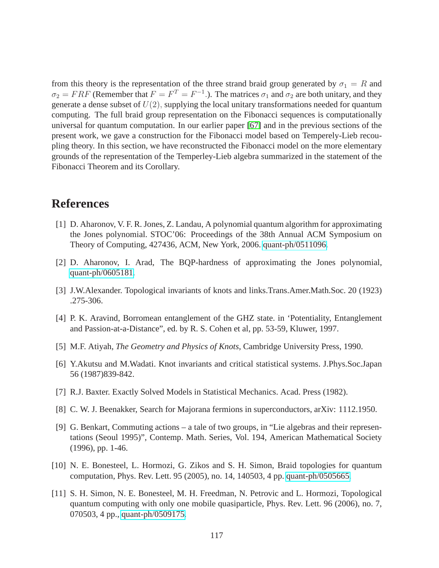from this theory is the representation of the three strand braid group generated by  $\sigma_1 = R$  and  $\sigma_2 = FRF$  (Remember that  $F = F^T = F^{-1}$ .). The matrices  $\sigma_1$  and  $\sigma_2$  are both unitary, and they generate a dense subset of  $U(2)$ , supplying the local unitary transformations needed for quantum computing. The full braid group representation on the Fibonacci sequences is computationally universal for quantum computation. In our earlier paper [\[67\]](#page-120-2) and in the previous sections of the present work, we gave a construction for the Fibonacci model based on Temperely-Lieb recoupling theory. In this section, we have reconstructed the Fibonacci model on the more elementary grounds of the representation of the Temperley-Lieb algebra summarized in the statement of the Fibonacci Theorem and its Corollary.

## **References**

- [1] D. Aharonov, V. F. R. Jones, Z. Landau, A polynomial quantum algorithm for approximating the Jones polynomial. STOC'06: Proceedings of the 38th Annual ACM Symposium on Theory of Computing, 427436, ACM, New York, 2006. [quant-ph/0511096.](http://arxiv.org/abs/quant-ph/0511096)
- [2] D. Aharonov, I. Arad, The BQP-hardness of approximating the Jones polynomial, [quant-ph/0605181.](http://arxiv.org/abs/quant-ph/0605181)
- [3] J.W.Alexander. Topological invariants of knots and links.Trans.Amer.Math.Soc. 20 (1923) .275-306.
- [4] P. K. Aravind, Borromean entanglement of the GHZ state. in 'Potentiality, Entanglement and Passion-at-a-Distance", ed. by R. S. Cohen et al, pp. 53-59, Kluwer, 1997.
- [5] M.F. Atiyah, *The Geometry and Physics of Knots*, Cambridge University Press, 1990.
- [6] Y.Akutsu and M.Wadati. Knot invariants and critical statistical systems. J.Phys.Soc.Japan 56 (1987)839-842.
- [7] R.J. Baxter. Exactly Solved Models in Statistical Mechanics. Acad. Press (1982).
- [8] C. W. J. Beenakker, Search for Majorana fermions in superconductors, arXiv: 1112.1950.
- [9] G. Benkart, Commuting actions a tale of two groups, in "Lie algebras and their representations (Seoul 1995)", Contemp. Math. Series, Vol. 194, American Mathematical Society (1996), pp. 1-46.
- [10] N. E. Bonesteel, L. Hormozi, G. Zikos and S. H. Simon, Braid topologies for quantum computation, Phys. Rev. Lett. 95 (2005), no. 14, 140503, 4 pp. [quant-ph/0505665.](http://arxiv.org/abs/quant-ph/0505665)
- [11] S. H. Simon, N. E. Bonesteel, M. H. Freedman, N. Petrovic and L. Hormozi, Topological quantum computing with only one mobile quasiparticle, Phys. Rev. Lett. 96 (2006), no. 7, 070503, 4 pp., [quant-ph/0509175.](http://arxiv.org/abs/quant-ph/0509175)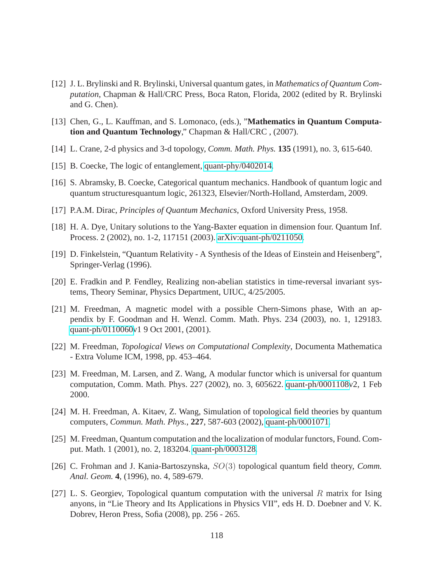- [12] J. L. Brylinski and R. Brylinski, Universal quantum gates, in *Mathematics of Quantum Computation*, Chapman & Hall/CRC Press, Boca Raton, Florida, 2002 (edited by R. Brylinski and G. Chen).
- [13] Chen, G., L. Kauffman, and S. Lomonaco, (eds.), "**Mathematics in Quantum Computation and Quantum Technology**," Chapman & Hall/CRC , (2007).
- [14] L. Crane, 2-d physics and 3-d topology, *Comm. Math. Phys.* **135** (1991), no. 3, 615-640.
- [15] B. Coecke, The logic of entanglement, [quant-phy/0402014.](http://arxiv.org/abs/quant-phy/0402014)
- [16] S. Abramsky, B. Coecke, Categorical quantum mechanics. Handbook of quantum logic and quantum structuresquantum logic, 261323, Elsevier/North-Holland, Amsterdam, 2009.
- [17] P.A.M. Dirac, *Principles of Quantum Mechanics*, Oxford University Press, 1958.
- [18] H. A. Dye, Unitary solutions to the Yang-Baxter equation in dimension four. Quantum Inf. Process. 2 (2002), no. 1-2, 117151 (2003). [arXiv:quant-ph/0211050.](http://arxiv.org/abs/quant-ph/0211050)
- [19] D. Finkelstein, "Quantum Relativity A Synthesis of the Ideas of Einstein and Heisenberg", Springer-Verlag (1996).
- [20] E. Fradkin and P. Fendley, Realizing non-abelian statistics in time-reversal invariant systems, Theory Seminar, Physics Department, UIUC, 4/25/2005.
- [21] M. Freedman, A magnetic model with a possible Chern-Simons phase, With an appendix by F. Goodman and H. Wenzl. Comm. Math. Phys. 234 (2003), no. 1, 129183. [quant-ph/0110060v](http://arxiv.org/abs/quant-ph/0110060)1 9 Oct 2001, (2001).
- [22] M. Freedman, *Topological Views on Computational Complexity*, Documenta Mathematica - Extra Volume ICM, 1998, pp. 453–464.
- [23] M. Freedman, M. Larsen, and Z. Wang, A modular functor which is universal for quantum computation, Comm. Math. Phys. 227 (2002), no. 3, 605622. [quant-ph/0001108v](http://arxiv.org/abs/quant-ph/0001108)2, 1 Feb 2000.
- [24] M. H. Freedman, A. Kitaev, Z. Wang, Simulation of topological field theories by quantum computers, *Commun. Math. Phys.*, **227**, 587-603 (2002), [quant-ph/0001071.](http://arxiv.org/abs/quant-ph/0001071)
- [25] M. Freedman, Quantum computation and the localization of modular functors, Found. Comput. Math. 1 (2001), no. 2, 183204. [quant-ph/0003128.](http://arxiv.org/abs/quant-ph/0003128)
- [26] C. Frohman and J. Kania-Bartoszynska, SO(3) topological quantum field theory, *Comm. Anal. Geom.* **4**, (1996), no. 4, 589-679.
- [27] L. S. Georgiev, Topological quantum computation with the universal R matrix for Ising anyons, in "Lie Theory and Its Applications in Physics VII", eds H. D. Doebner and V. K. Dobrev, Heron Press, Sofia (2008), pp. 256 - 265.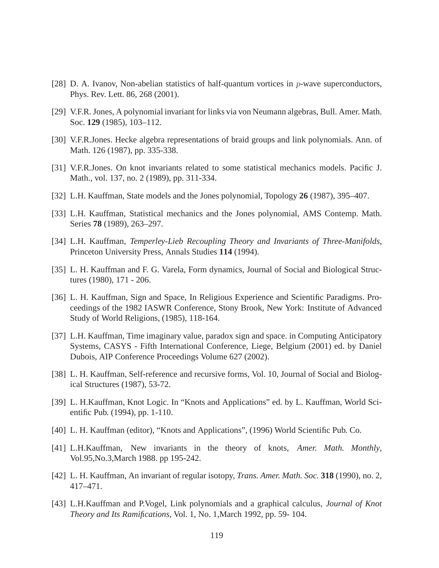- [28] D. A. Ivanov, Non-abelian statistics of half-quantum vortices in  $p$ -wave superconductors, Phys. Rev. Lett. 86, 268 (2001).
- [29] V.F.R. Jones, A polynomial invariant for links via von Neumann algebras, Bull. Amer. Math. Soc. **129** (1985), 103–112.
- [30] V.F.R.Jones. Hecke algebra representations of braid groups and link polynomials. Ann. of Math. 126 (1987), pp. 335-338.
- [31] V.F.R.Jones. On knot invariants related to some statistical mechanics models. Pacific J. Math., vol. 137, no. 2 (1989), pp. 311-334.
- [32] L.H. Kauffman, State models and the Jones polynomial, Topology **26** (1987), 395–407.
- [33] L.H. Kauffman, Statistical mechanics and the Jones polynomial, AMS Contemp. Math. Series **78** (1989), 263–297.
- [34] L.H. Kauffman, *Temperley-Lieb Recoupling Theory and Invariants of Three-Manifolds*, Princeton University Press, Annals Studies **114** (1994).
- [35] L. H. Kauffman and F. G. Varela, Form dynamics, Journal of Social and Biological Structures (1980), 171 - 206.
- [36] L. H. Kauffman, Sign and Space, In Religious Experience and Scientific Paradigms. Proceedings of the 1982 IASWR Conference, Stony Brook, New York: Institute of Advanced Study of World Religions, (1985), 118-164.
- [37] L.H. Kauffman, Time imaginary value, paradox sign and space. in Computing Anticipatory Systems, CASYS - Fifth International Conference, Liege, Belgium (2001) ed. by Daniel Dubois, AIP Conference Proceedings Volume 627 (2002).
- [38] L. H. Kauffman, Self-reference and recursive forms, Vol. 10, Journal of Social and Biological Structures (1987), 53-72.
- [39] L. H.Kauffman, Knot Logic. In "Knots and Applications" ed. by L. Kauffman, World Scientific Pub. (1994), pp. 1-110.
- [40] L. H. Kauffman (editor), "Knots and Applications", (1996) World Scientific Pub. Co.
- <span id="page-118-0"></span>[41] L.H.Kauffman, New invariants in the theory of knots, *Amer. Math. Monthly*, Vol.95,No.3,March 1988. pp 195-242.
- [42] L. H. Kauffman, An invariant of regular isotopy, *Trans. Amer. Math. Soc.* **318** (1990), no. 2, 417–471.
- [43] L.H.Kauffman and P.Vogel, Link polynomials and a graphical calculus, *Journal of Knot Theory and Its Ramifications*, Vol. 1, No. 1,March 1992, pp. 59- 104.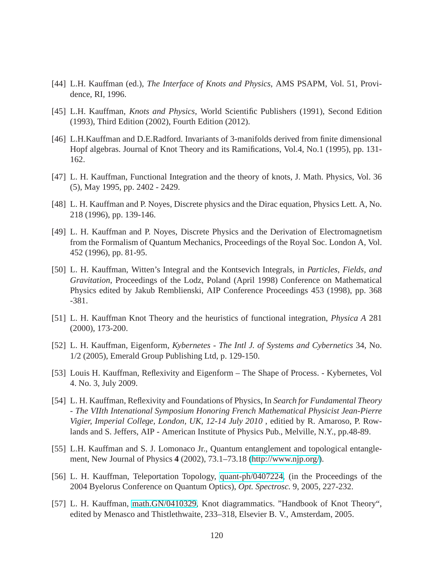- [44] L.H. Kauffman (ed.), *The Interface of Knots and Physics*, AMS PSAPM, Vol. 51, Providence, RI, 1996.
- [45] L.H. Kauffman, *Knots and Physics*, World Scientific Publishers (1991), Second Edition (1993), Third Edition (2002), Fourth Edition (2012).
- [46] L.H.Kauffman and D.E.Radford. Invariants of 3-manifolds derived from finite dimensional Hopf algebras. Journal of Knot Theory and its Ramifications, Vol.4, No.1 (1995), pp. 131- 162.
- [47] L. H. Kauffman, Functional Integration and the theory of knots, J. Math. Physics, Vol. 36 (5), May 1995, pp. 2402 - 2429.
- [48] L. H. Kauffman and P. Noyes, Discrete physics and the Dirac equation, Physics Lett. A, No. 218 (1996), pp. 139-146.
- [49] L. H. Kauffman and P. Noyes, Discrete Physics and the Derivation of Electromagnetism from the Formalism of Quantum Mechanics, Proceedings of the Royal Soc. London A, Vol. 452 (1996), pp. 81-95.
- [50] L. H. Kauffman, Witten's Integral and the Kontsevich Integrals, in *Particles, Fields, and Gravitation*, Proceedings of the Lodz, Poland (April 1998) Conference on Mathematical Physics edited by Jakub Remblienski, AIP Conference Proceedings 453 (1998), pp. 368 -381.
- [51] L. H. Kauffman Knot Theory and the heuristics of functional integration, *Physica A* 281 (2000), 173-200.
- [52] L. H. Kauffman, Eigenform, *Kybernetes The Intl J. of Systems and Cybernetics* 34, No. 1/2 (2005), Emerald Group Publishing Ltd, p. 129-150.
- [53] Louis H. Kauffman, Reflexivity and Eigenform The Shape of Process. Kybernetes, Vol 4. No. 3, July 2009.
- [54] L. H. Kauffman, Reflexivity and Foundations of Physics, In *Search for Fundamental Theory - The VIIth Intenational Symposium Honoring French Mathematical Physicist Jean-Pierre Vigier, Imperial College, London, UK, 12-14 July 2010* , editied by R. Amaroso, P. Rowlands and S. Jeffers, AIP - American Institute of Physics Pub., Melville, N.Y., pp.48-89.
- [55] L.H. Kauffman and S. J. Lomonaco Jr., Quantum entanglement and topological entanglement, New Journal of Physics **4** (2002), 73.1–73.18 [\(http://www.njp.org/\)](http://www.njp.org/).
- [56] L. H. Kauffman, Teleportation Topology, [quant-ph/0407224,](http://arxiv.org/abs/quant-ph/0407224) (in the Proceedings of the 2004 Byelorus Conference on Quantum Optics), *Opt. Spectrosc.* 9, 2005, 227-232.
- [57] L. H. Kauffman, [math.GN/0410329,](http://arxiv.org/abs/math/0410329) Knot diagrammatics. "Handbook of Knot Theory", edited by Menasco and Thistlethwaite, 233–318, Elsevier B. V., Amsterdam, 2005.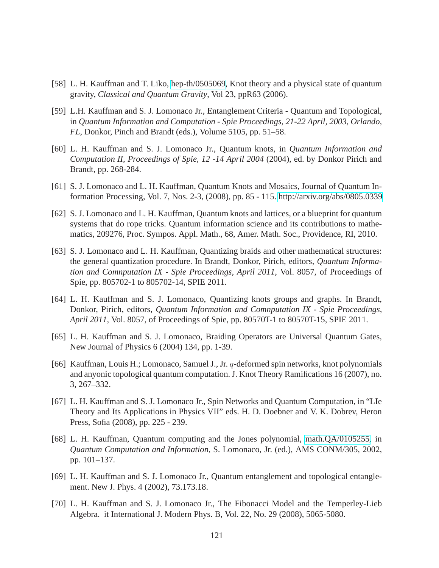- [58] L. H. Kauffman and T. Liko, [hep-th/0505069,](http://arxiv.org/abs/hep-th/0505069) Knot theory and a physical state of quantum gravity, *Classical and Quantum Gravity*, Vol 23, ppR63 (2006).
- [59] L.H. Kauffman and S. J. Lomonaco Jr., Entanglement Criteria Quantum and Topological, in *Quantum Information and Computation - Spie Proceedings, 21-22 April, 2003, Orlando, FL*, Donkor, Pinch and Brandt (eds.), Volume 5105, pp. 51–58.
- [60] L. H. Kauffman and S. J. Lomonaco Jr., Quantum knots, in *Quantum Information and Computation II, Proceedings of Spie, 12 -14 April 2004* (2004), ed. by Donkor Pirich and Brandt, pp. 268-284.
- [61] S. J. Lomonaco and L. H. Kauffman, Quantum Knots and Mosaics, Journal of Quantum Information Processing, Vol. 7, Nos. 2-3, (2008), pp. 85 - 115. <http://arxiv.org/abs/0805.0339>
- [62] S. J. Lomonaco and L. H. Kauffman, Quantum knots and lattices, or a blueprint for quantum systems that do rope tricks. Quantum information science and its contributions to mathematics, 209276, Proc. Sympos. Appl. Math., 68, Amer. Math. Soc., Providence, RI, 2010.
- [63] S. J. Lomonaco and L. H. Kauffman, Quantizing braids and other mathematical structures: the general quantization procedure. In Brandt, Donkor, Pirich, editors, *Quantum Information and Comnputation IX - Spie Proceedings, April 2011*, Vol. 8057, of Proceedings of Spie, pp. 805702-1 to 805702-14, SPIE 2011.
- [64] L. H. Kauffman and S. J. Lomonaco, Quantizing knots groups and graphs. In Brandt, Donkor, Pirich, editors, *Quantum Information and Comnputation IX - Spie Proceedings, April 2011*, Vol. 8057, of Proceedings of Spie, pp. 80570T-1 to 80570T-15, SPIE 2011.
- [65] L. H. Kauffman and S. J. Lomonaco, Braiding Operators are Universal Quantum Gates, New Journal of Physics 6 (2004) 134, pp. 1-39.
- [66] Kauffman, Louis H.; Lomonaco, Samuel J., Jr. q-deformed spin networks, knot polynomials and anyonic topological quantum computation. J. Knot Theory Ramifications 16 (2007), no. 3, 267–332.
- <span id="page-120-2"></span>[67] L. H. Kauffman and S. J. Lomonaco Jr., Spin Networks and Quantum Computation, in "LIe Theory and Its Applications in Physics VII" eds. H. D. Doebner and V. K. Dobrev, Heron Press, Sofia (2008), pp. 225 - 239.
- <span id="page-120-0"></span>[68] L. H. Kauffman, Quantum computing and the Jones polynomial, [math.QA/0105255,](http://arxiv.org/abs/math/0105255) in *Quantum Computation and Information*, S. Lomonaco, Jr. (ed.), AMS CONM/305, 2002, pp. 101–137.
- <span id="page-120-1"></span>[69] L. H. Kauffman and S. J. Lomonaco Jr., Quantum entanglement and topological entanglement. New J. Phys. 4 (2002), 73.173.18.
- [70] L. H. Kauffman and S. J. Lomonaco Jr., The Fibonacci Model and the Temperley-Lieb Algebra. it International J. Modern Phys. B, Vol. 22, No. 29 (2008), 5065-5080.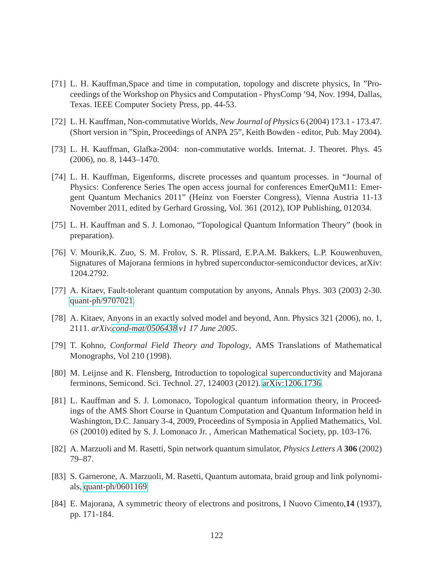- [71] L. H. Kauffman,Space and time in computation, topology and discrete physics, In "Proceedings of the Workshop on Physics and Computation - PhysComp '94, Nov. 1994, Dallas, Texas. IEEE Computer Society Press, pp. 44-53.
- [72] L. H. Kauffman, Non-commutative Worlds, *New Journal of Physics* 6 (2004) 173.1 173.47. (Short version in "Spin, Proceedings of ANPA 25", Keith Bowden - editor, Pub. May 2004).
- [73] L. H. Kauffman, Glafka-2004: non-commutative worlds. Internat. J. Theoret. Phys. 45 (2006), no. 8, 1443–1470.
- [74] L. H. Kauffman, Eigenforms, discrete processes and quantum processes. in "Journal of Physics: Conference Series The open access journal for conferences EmerQuM11: Emergent Quantum Mechanics 2011" (Heinz von Foerster Congress), Vienna Austria 11-13 November 2011, edited by Gerhard Grossing, Vol. 361 (2012), IOP Publishing, 012034.
- [75] L. H. Kauffman and S. J. Lomonao, "Topological Quantum Information Theory" (book in preparation).
- [76] V. Mourik,K. Zuo, S. M. Frolov, S. R. Plissard, E.P.A.M. Bakkers, L.P. Kouwenhuven, Signatures of Majorana fermions in hybred superconductor-semiconductor devices, arXiv: 1204.2792.
- [77] A. Kitaev, Fault-tolerant quantum computation by anyons, Annals Phys. 303 (2003) 2-30. [quant-ph/9707021.](http://arxiv.org/abs/quant-ph/9707021)
- [78] A. Kitaev, Anyons in an exactly solved model and beyond, Ann. Physics 321 (2006), no. 1, 2111. *arXiv[.cond-mat/0506438](http://arxiv.org/abs/cond-mat/0506438) v1 17 June 2005*.
- [79] T. Kohno, *Conformal Field Theory and Topology*, AMS Translations of Mathematical Monographs, Vol 210 (1998).
- [80] M. Leijnse and K. Flensberg, Introduction to topological superconductivity and Majorana ferminons, Semicond. Sci. Technol. 27, 124003 (2012). [arXiv:1206.1736.](http://arxiv.org/abs/1206.1736)
- [81] L. Kauffman and S. J. Lomonaco, Topological quantum information theory, in Proceedings of the AMS Short Course in Quantum Computation and Quantum Information held in Washington, D.C. January 3-4, 2009, Proceedins of Symposia in Applied Mathematics, Vol. 68 (20010) edited by S. J. Lomonaco Jr. , American Mathematical Society, pp. 103-176.
- [82] A. Marzuoli and M. Rasetti, Spin network quantum simulator, *Physics Letters A* **306** (2002) 79–87.
- [83] S. Garnerone, A. Marzuoli, M. Rasetti, Quantum automata, braid group and link polynomials, [quant-ph/0601169](http://arxiv.org/abs/quant-ph/0601169)
- [84] E. Majorana, A symmetric theory of electrons and positrons, I Nuovo Cimento,**14** (1937), pp. 171-184.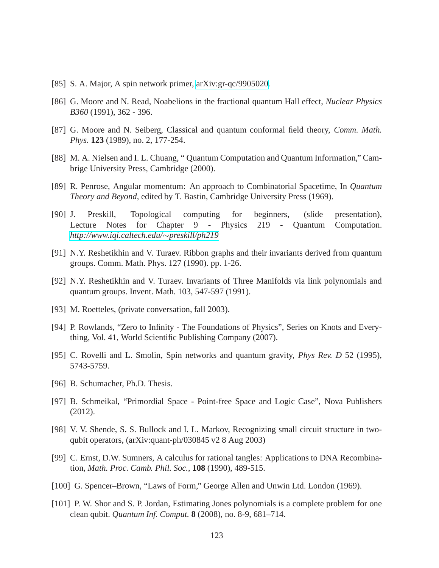- [85] S. A. Major, A spin network primer, [arXiv:gr-qc/9905020.](http://arxiv.org/abs/gr-qc/9905020)
- [86] G. Moore and N. Read, Noabelions in the fractional quantum Hall effect, *Nuclear Physics B360* (1991), 362 - 396.
- [87] G. Moore and N. Seiberg, Classical and quantum conformal field theory, *Comm. Math. Phys.* **123** (1989), no. 2, 177-254.
- [88] M. A. Nielsen and I. L. Chuang, "Quantum Computation and Quantum Information," Cambrige University Press, Cambridge (2000).
- [89] R. Penrose, Angular momentum: An approach to Combinatorial Spacetime, In *Quantum Theory and Beyond*, edited by T. Bastin, Cambridge University Press (1969).
- [90] J. Preskill, Topological computing for beginners, (slide presentation), Lecture Notes for Chapter 9 - Physics 219 - Quantum Computation. *[http://www.iqi.caltech.edu/](http://www.iqi.caltech.edu/~preskill/ph219)*∼*preskill/ph219*
- [91] N.Y. Reshetikhin and V. Turaev. Ribbon graphs and their invariants derived from quantum groups. Comm. Math. Phys. 127 (1990). pp. 1-26.
- [92] N.Y. Reshetikhin and V. Turaev. Invariants of Three Manifolds via link polynomials and quantum groups. Invent. Math. 103, 547-597 (1991).
- [93] M. Roetteles, (private conversation, fall 2003).
- [94] P. Rowlands, "Zero to Infinity The Foundations of Physics", Series on Knots and Everything, Vol. 41, World Scientific Publishing Company (2007).
- [95] C. Rovelli and L. Smolin, Spin networks and quantum gravity, *Phys Rev. D* 52 (1995), 5743-5759.
- [96] B. Schumacher, Ph.D. Thesis.
- [97] B. Schmeikal, "Primordial Space Point-free Space and Logic Case", Nova Publishers (2012).
- [98] V. V. Shende, S. S. Bullock and I. L. Markov, Recognizing small circuit structure in twoqubit operators, (arXiv:quant-ph/030845 v2 8 Aug 2003)
- [99] C. Ernst, D.W. Sumners, A calculus for rational tangles: Applications to DNA Recombination, *Math. Proc. Camb. Phil. Soc.*, **108** (1990), 489-515.
- [100] G. Spencer–Brown, "Laws of Form," George Allen and Unwin Ltd. London (1969).
- [101] P. W. Shor and S. P. Jordan, Estimating Jones polynomials is a complete problem for one clean qubit. *Quantum Inf. Comput.* **8** (2008), no. 8-9, 681–714.